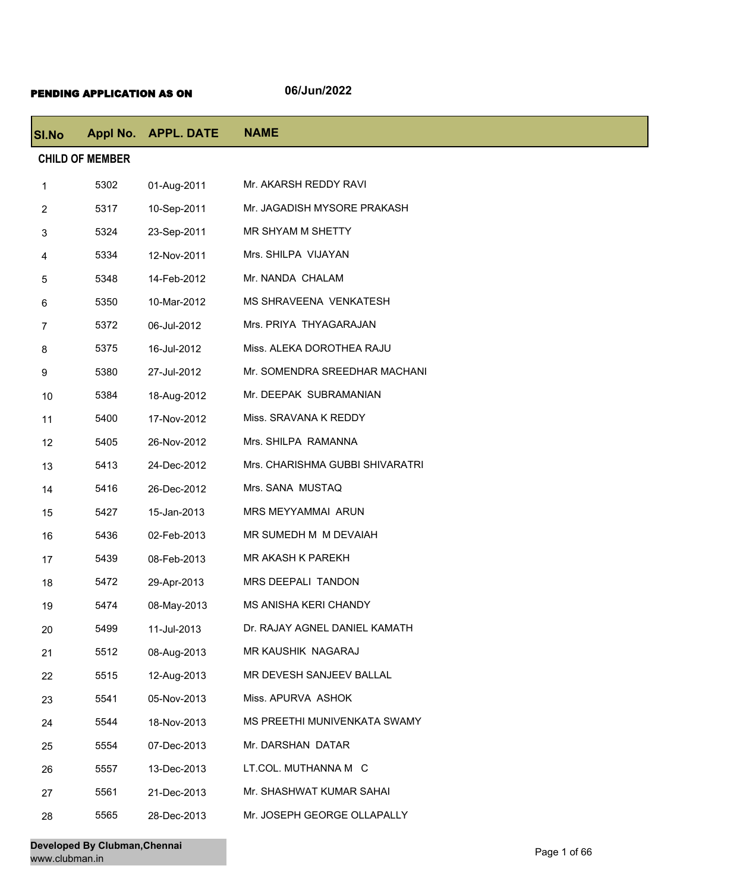## PENDING APPLICATION AS ON **06/Jun/2022**

| <b>SI.No</b>           |      | Appl No. APPL. DATE | <b>NAME</b>                     |  |
|------------------------|------|---------------------|---------------------------------|--|
| <b>CHILD OF MEMBER</b> |      |                     |                                 |  |
| 1                      | 5302 | 01-Aug-2011         | Mr. AKARSH REDDY RAVI           |  |
| $\overline{2}$         | 5317 | 10-Sep-2011         | Mr. JAGADISH MYSORE PRAKASH     |  |
| 3                      | 5324 | 23-Sep-2011         | MR SHYAM M SHETTY               |  |
| 4                      | 5334 | 12-Nov-2011         | Mrs. SHILPA VIJAYAN             |  |
| 5                      | 5348 | 14-Feb-2012         | Mr. NANDA CHALAM                |  |
| 6                      | 5350 | 10-Mar-2012         | MS SHRAVEENA VENKATESH          |  |
| $\overline{7}$         | 5372 | 06-Jul-2012         | Mrs. PRIYA THYAGARAJAN          |  |
| 8                      | 5375 | 16-Jul-2012         | Miss. ALEKA DOROTHEA RAJU       |  |
| 9                      | 5380 | 27-Jul-2012         | Mr. SOMENDRA SREEDHAR MACHANI   |  |
| 10                     | 5384 | 18-Aug-2012         | Mr. DEEPAK SUBRAMANIAN          |  |
| 11                     | 5400 | 17-Nov-2012         | Miss. SRAVANA K REDDY           |  |
| 12                     | 5405 | 26-Nov-2012         | Mrs. SHILPA RAMANNA             |  |
| 13                     | 5413 | 24-Dec-2012         | Mrs. CHARISHMA GUBBI SHIVARATRI |  |
| 14                     | 5416 | 26-Dec-2012         | Mrs. SANA MUSTAQ                |  |
| 15                     | 5427 | 15-Jan-2013         | MRS MEYYAMMAI ARUN              |  |
| 16                     | 5436 | 02-Feb-2013         | MR SUMEDH M M DEVAIAH           |  |
| 17                     | 5439 | 08-Feb-2013         | MR AKASH K PAREKH               |  |
| 18                     | 5472 | 29-Apr-2013         | MRS DEEPALI TANDON              |  |
| 19                     | 5474 | 08-May-2013         | MS ANISHA KERI CHANDY           |  |
| 20                     | 5499 | 11-Jul-2013         | Dr. RAJAY AGNEL DANIEL KAMATH   |  |
| 21                     | 5512 | 08-Aug-2013         | MR KAUSHIK NAGARAJ              |  |
| 22                     | 5515 | 12-Aug-2013         | MR DEVESH SANJEEV BALLAL        |  |
| 23                     | 5541 | 05-Nov-2013         | Miss. APURVA ASHOK              |  |
| 24                     | 5544 | 18-Nov-2013         | MS PREETHI MUNIVENKATA SWAMY    |  |
| 25                     | 5554 | 07-Dec-2013         | Mr. DARSHAN DATAR               |  |
| 26                     | 5557 | 13-Dec-2013         | LT.COL. MUTHANNA M C            |  |
| 27                     | 5561 | 21-Dec-2013         | Mr. SHASHWAT KUMAR SAHAI        |  |
| 28                     | 5565 | 28-Dec-2013         | Mr. JOSEPH GEORGE OLLAPALLY     |  |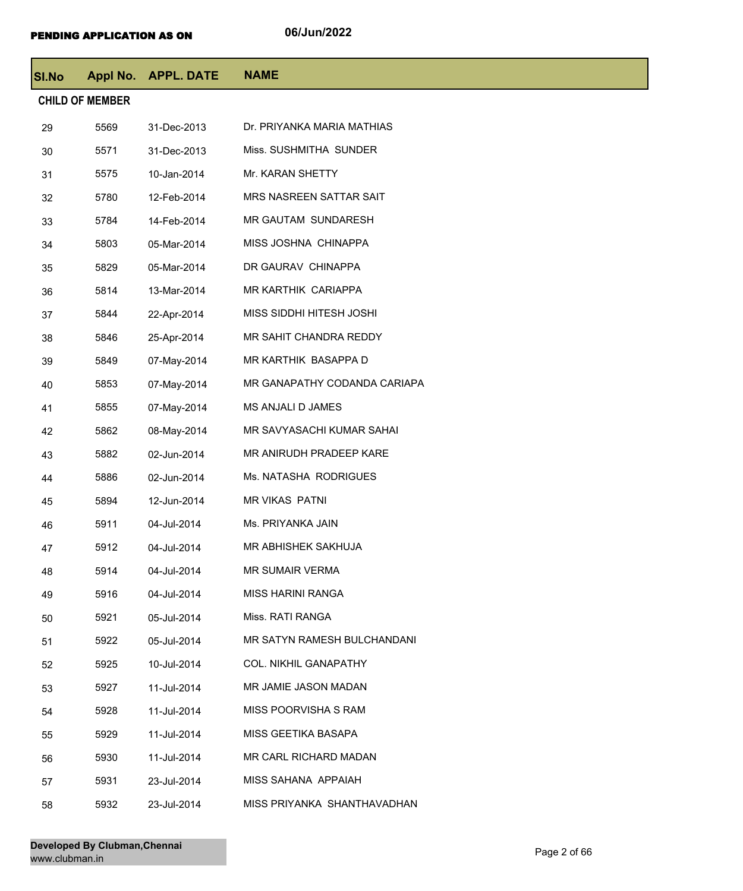| <b>SI.No</b>           |      | Appl No. APPL. DATE | <b>NAME</b>                  |  |  |
|------------------------|------|---------------------|------------------------------|--|--|
| <b>CHILD OF MEMBER</b> |      |                     |                              |  |  |
| 29                     | 5569 | 31-Dec-2013         | Dr. PRIYANKA MARIA MATHIAS   |  |  |
| 30                     | 5571 | 31-Dec-2013         | Miss. SUSHMITHA SUNDER       |  |  |
| 31                     | 5575 | 10-Jan-2014         | Mr. KARAN SHETTY             |  |  |
| 32                     | 5780 | 12-Feb-2014         | MRS NASREEN SATTAR SAIT      |  |  |
| 33                     | 5784 | 14-Feb-2014         | MR GAUTAM SUNDARESH          |  |  |
| 34                     | 5803 | 05-Mar-2014         | MISS JOSHNA CHINAPPA         |  |  |
| 35                     | 5829 | 05-Mar-2014         | DR GAURAV CHINAPPA           |  |  |
| 36                     | 5814 | 13-Mar-2014         | MR KARTHIK CARIAPPA          |  |  |
| 37                     | 5844 | 22-Apr-2014         | MISS SIDDHI HITESH JOSHI     |  |  |
| 38                     | 5846 | 25-Apr-2014         | MR SAHIT CHANDRA REDDY       |  |  |
| 39                     | 5849 | 07-May-2014         | MR KARTHIK BASAPPA D         |  |  |
| 40                     | 5853 | 07-May-2014         | MR GANAPATHY CODANDA CARIAPA |  |  |
| 41                     | 5855 | 07-May-2014         | MS ANJALI D JAMES            |  |  |
| 42                     | 5862 | 08-May-2014         | MR SAVYASACHI KUMAR SAHAI    |  |  |
| 43                     | 5882 | 02-Jun-2014         | MR ANIRUDH PRADEEP KARE      |  |  |
| 44                     | 5886 | 02-Jun-2014         | Ms. NATASHA RODRIGUES        |  |  |
| 45                     | 5894 | 12-Jun-2014         | <b>MR VIKAS PATNI</b>        |  |  |
| 46                     | 5911 | 04-Jul-2014         | Ms. PRIYANKA JAIN            |  |  |
| 47                     | 5912 | 04-Jul-2014         | MR ABHISHEK SAKHUJA          |  |  |
| 48                     | 5914 | 04-Jul-2014         | MR SUMAIR VERMA              |  |  |
| 49                     | 5916 | 04-Jul-2014         | <b>MISS HARINI RANGA</b>     |  |  |
| 50                     | 5921 | 05-Jul-2014         | Miss. RATI RANGA             |  |  |
| 51                     | 5922 | 05-Jul-2014         | MR SATYN RAMESH BULCHANDANI  |  |  |
| 52                     | 5925 | 10-Jul-2014         | <b>COL. NIKHIL GANAPATHY</b> |  |  |
| 53                     | 5927 | 11-Jul-2014         | MR JAMIE JASON MADAN         |  |  |
| 54                     | 5928 | 11-Jul-2014         | MISS POORVISHA S RAM         |  |  |
| 55                     | 5929 | 11-Jul-2014         | MISS GEETIKA BASAPA          |  |  |
| 56                     | 5930 | 11-Jul-2014         | MR CARL RICHARD MADAN        |  |  |
| 57                     | 5931 | 23-Jul-2014         | MISS SAHANA APPAIAH          |  |  |
| 58                     | 5932 | 23-Jul-2014         | MISS PRIYANKA SHANTHAVADHAN  |  |  |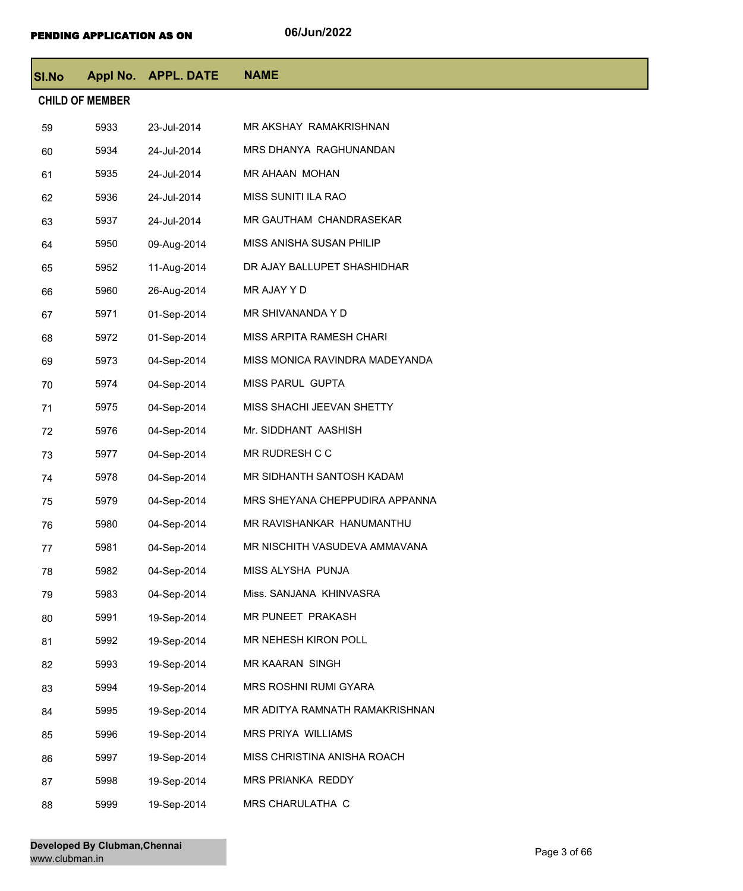| <b>SI.No</b>           |      | Appl No. APPL. DATE | <b>NAME</b>                    |  |  |  |
|------------------------|------|---------------------|--------------------------------|--|--|--|
| <b>CHILD OF MEMBER</b> |      |                     |                                |  |  |  |
| 59                     | 5933 | 23-Jul-2014         | MR AKSHAY RAMAKRISHNAN         |  |  |  |
| 60                     | 5934 | 24-Jul-2014         | MRS DHANYA RAGHUNANDAN         |  |  |  |
| 61                     | 5935 | 24-Jul-2014         | MR AHAAN MOHAN                 |  |  |  |
| 62                     | 5936 | 24-Jul-2014         | MISS SUNITI ILA RAO            |  |  |  |
| 63                     | 5937 | 24-Jul-2014         | MR GAUTHAM CHANDRASEKAR        |  |  |  |
| 64                     | 5950 | 09-Aug-2014         | MISS ANISHA SUSAN PHILIP       |  |  |  |
| 65                     | 5952 | 11-Aug-2014         | DR AJAY BALLUPET SHASHIDHAR    |  |  |  |
| 66                     | 5960 | 26-Aug-2014         | MR AJAY Y D                    |  |  |  |
| 67                     | 5971 | 01-Sep-2014         | MR SHIVANANDA Y D              |  |  |  |
| 68                     | 5972 | 01-Sep-2014         | MISS ARPITA RAMESH CHARI       |  |  |  |
| 69                     | 5973 | 04-Sep-2014         | MISS MONICA RAVINDRA MADEYANDA |  |  |  |
| 70                     | 5974 | 04-Sep-2014         | MISS PARUL GUPTA               |  |  |  |
| 71                     | 5975 | 04-Sep-2014         | MISS SHACHI JEEVAN SHETTY      |  |  |  |
| 72                     | 5976 | 04-Sep-2014         | Mr. SIDDHANT AASHISH           |  |  |  |
| 73                     | 5977 | 04-Sep-2014         | MR RUDRESH C C                 |  |  |  |
| 74                     | 5978 | 04-Sep-2014         | MR SIDHANTH SANTOSH KADAM      |  |  |  |
| 75                     | 5979 | 04-Sep-2014         | MRS SHEYANA CHEPPUDIRA APPANNA |  |  |  |
| 76                     | 5980 | 04-Sep-2014         | MR RAVISHANKAR HANUMANTHU      |  |  |  |
| 77                     | 5981 | 04-Sep-2014         | MR NISCHITH VASUDEVA AMMAVANA  |  |  |  |
| 78                     | 5982 | 04-Sep-2014         | MISS ALYSHA PUNJA              |  |  |  |
| 79                     | 5983 | 04-Sep-2014         | Miss. SANJANA KHINVASRA        |  |  |  |
| 80                     | 5991 | 19-Sep-2014         | MR PUNEET PRAKASH              |  |  |  |
| 81                     | 5992 | 19-Sep-2014         | MR NEHESH KIRON POLL           |  |  |  |
| 82                     | 5993 | 19-Sep-2014         | MR KAARAN SINGH                |  |  |  |
| 83                     | 5994 | 19-Sep-2014         | MRS ROSHNI RUMI GYARA          |  |  |  |
| 84                     | 5995 | 19-Sep-2014         | MR ADITYA RAMNATH RAMAKRISHNAN |  |  |  |
| 85                     | 5996 | 19-Sep-2014         | MRS PRIYA WILLIAMS             |  |  |  |
| 86                     | 5997 | 19-Sep-2014         | MISS CHRISTINA ANISHA ROACH    |  |  |  |
| 87                     | 5998 | 19-Sep-2014         | MRS PRIANKA REDDY              |  |  |  |
| 88                     | 5999 | 19-Sep-2014         | MRS CHARULATHA C               |  |  |  |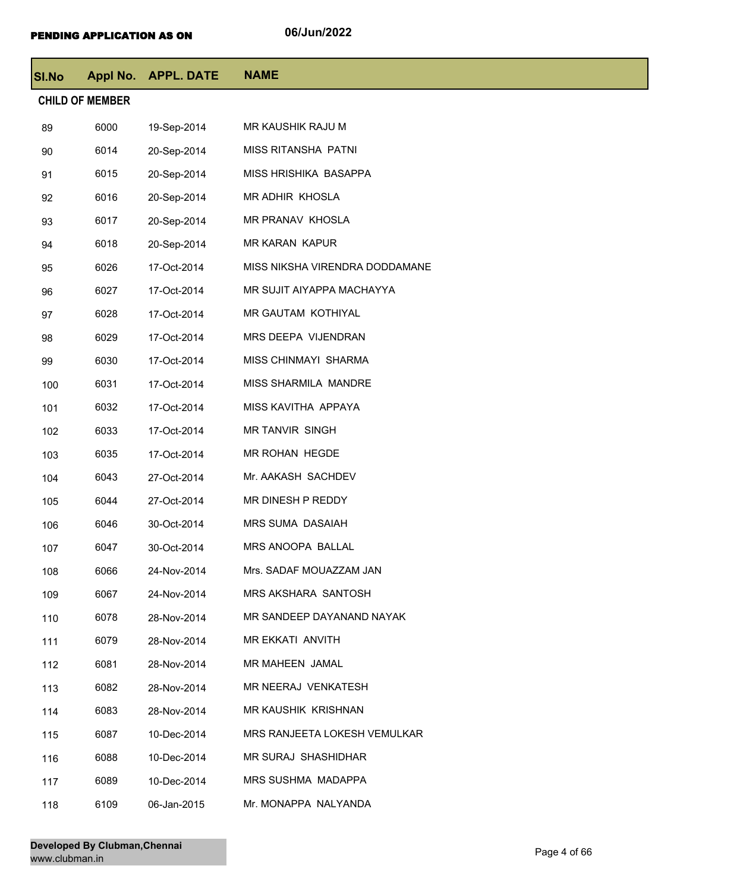| <b>SI.No</b> |                        | Appl No. APPL. DATE | <b>NAME</b>                    |
|--------------|------------------------|---------------------|--------------------------------|
|              | <b>CHILD OF MEMBER</b> |                     |                                |
| 89           | 6000                   | 19-Sep-2014         | MR KAUSHIK RAJU M              |
| 90           | 6014                   | 20-Sep-2014         | MISS RITANSHA PATNI            |
| 91           | 6015                   | 20-Sep-2014         | MISS HRISHIKA BASAPPA          |
| 92           | 6016                   | 20-Sep-2014         | MR ADHIR KHOSLA                |
| 93           | 6017                   | 20-Sep-2014         | MR PRANAV KHOSLA               |
| 94           | 6018                   | 20-Sep-2014         | MR KARAN KAPUR                 |
| 95           | 6026                   | 17-Oct-2014         | MISS NIKSHA VIRENDRA DODDAMANE |
| 96           | 6027                   | 17-Oct-2014         | MR SUJIT AIYAPPA MACHAYYA      |
| 97           | 6028                   | 17-Oct-2014         | MR GAUTAM KOTHIYAL             |
| 98           | 6029                   | 17-Oct-2014         | MRS DEEPA VIJENDRAN            |
| 99           | 6030                   | 17-Oct-2014         | MISS CHINMAYI SHARMA           |
| 100          | 6031                   | 17-Oct-2014         | MISS SHARMILA MANDRE           |
| 101          | 6032                   | 17-Oct-2014         | MISS KAVITHA APPAYA            |
| 102          | 6033                   | 17-Oct-2014         | <b>MR TANVIR SINGH</b>         |
| 103          | 6035                   | 17-Oct-2014         | MR ROHAN HEGDE                 |
| 104          | 6043                   | 27-Oct-2014         | Mr. AAKASH SACHDEV             |
| 105          | 6044                   | 27-Oct-2014         | MR DINESH P REDDY              |
| 106          | 6046                   | 30-Oct-2014         | MRS SUMA DASAIAH               |
| 107          | 6047                   | 30-Oct-2014         | MRS ANOOPA BALLAL              |
| 108          | 6066                   | 24-Nov-2014         | Mrs. SADAF MOUAZZAM JAN        |
| 109          | 6067                   | 24-Nov-2014         | MRS AKSHARA SANTOSH            |
| 110          | 6078                   | 28-Nov-2014         | MR SANDEEP DAYANAND NAYAK      |
| 111          | 6079                   | 28-Nov-2014         | MR EKKATI ANVITH               |
| 112          | 6081                   | 28-Nov-2014         | MR MAHEEN JAMAL                |
| 113          | 6082                   | 28-Nov-2014         | MR NEERAJ VENKATESH            |
| 114          | 6083                   | 28-Nov-2014         | MR KAUSHIK KRISHNAN            |
| 115          | 6087                   | 10-Dec-2014         | MRS RANJEETA LOKESH VEMULKAR   |
| 116          | 6088                   | 10-Dec-2014         | MR SURAJ SHASHIDHAR            |
| 117          | 6089                   | 10-Dec-2014         | MRS SUSHMA MADAPPA             |
| 118          | 6109                   | 06-Jan-2015         | Mr. MONAPPA NALYANDA           |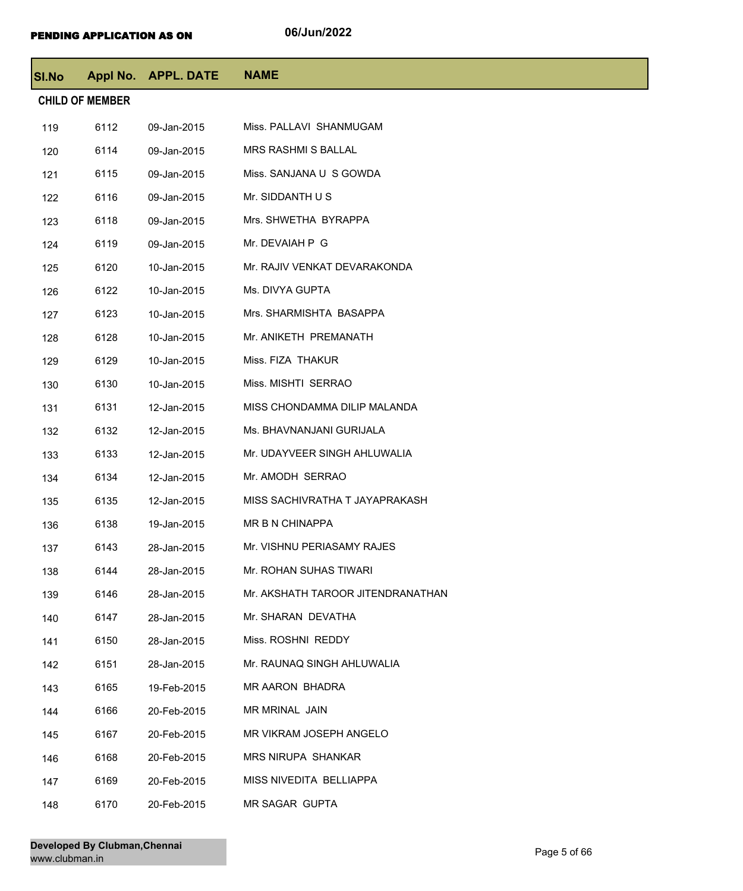| SI.No |                        | Appl No. APPL. DATE | <b>NAME</b>                       |
|-------|------------------------|---------------------|-----------------------------------|
|       | <b>CHILD OF MEMBER</b> |                     |                                   |
| 119   | 6112                   | 09-Jan-2015         | Miss. PALLAVI SHANMUGAM           |
| 120   | 6114                   | 09-Jan-2015         | <b>MRS RASHMI S BALLAL</b>        |
| 121   | 6115                   | 09-Jan-2015         | Miss. SANJANA U S GOWDA           |
| 122   | 6116                   | 09-Jan-2015         | Mr. SIDDANTH U S                  |
| 123   | 6118                   | 09-Jan-2015         | Mrs. SHWETHA BYRAPPA              |
| 124   | 6119                   | 09-Jan-2015         | Mr. DEVAIAH P G                   |
| 125   | 6120                   | 10-Jan-2015         | Mr. RAJIV VENKAT DEVARAKONDA      |
| 126   | 6122                   | 10-Jan-2015         | Ms. DIVYA GUPTA                   |
| 127   | 6123                   | 10-Jan-2015         | Mrs. SHARMISHTA BASAPPA           |
| 128   | 6128                   | 10-Jan-2015         | Mr. ANIKETH PREMANATH             |
| 129   | 6129                   | 10-Jan-2015         | Miss. FIZA THAKUR                 |
| 130   | 6130                   | 10-Jan-2015         | Miss. MISHTI SERRAO               |
| 131   | 6131                   | 12-Jan-2015         | MISS CHONDAMMA DILIP MALANDA      |
| 132   | 6132                   | 12-Jan-2015         | Ms. BHAVNANJANI GURIJALA          |
| 133   | 6133                   | 12-Jan-2015         | Mr. UDAYVEER SINGH AHLUWALIA      |
| 134   | 6134                   | 12-Jan-2015         | Mr. AMODH SERRAO                  |
| 135   | 6135                   | 12-Jan-2015         | MISS SACHIVRATHA T JAYAPRAKASH    |
| 136   | 6138                   | 19-Jan-2015         | MR B N CHINAPPA                   |
| 137   | 6143                   | 28-Jan-2015         | Mr. VISHNU PERIASAMY RAJES        |
| 138   | 6144                   | 28-Jan-2015         | Mr. ROHAN SUHAS TIWARI            |
| 139   | 6146                   | 28-Jan-2015         | Mr. AKSHATH TAROOR JITENDRANATHAN |
| 140   | 6147                   | 28-Jan-2015         | Mr. SHARAN DEVATHA                |
| 141   | 6150                   | 28-Jan-2015         | Miss. ROSHNI REDDY                |
| 142   | 6151                   | 28-Jan-2015         | Mr. RAUNAQ SINGH AHLUWALIA        |
| 143   | 6165                   | 19-Feb-2015         | MR AARON BHADRA                   |
| 144   | 6166                   | 20-Feb-2015         | MR MRINAL JAIN                    |
| 145   | 6167                   | 20-Feb-2015         | MR VIKRAM JOSEPH ANGELO           |
| 146   | 6168                   | 20-Feb-2015         | <b>MRS NIRUPA SHANKAR</b>         |
| 147   | 6169                   | 20-Feb-2015         | MISS NIVEDITA BELLIAPPA           |
| 148   | 6170                   | 20-Feb-2015         | MR SAGAR GUPTA                    |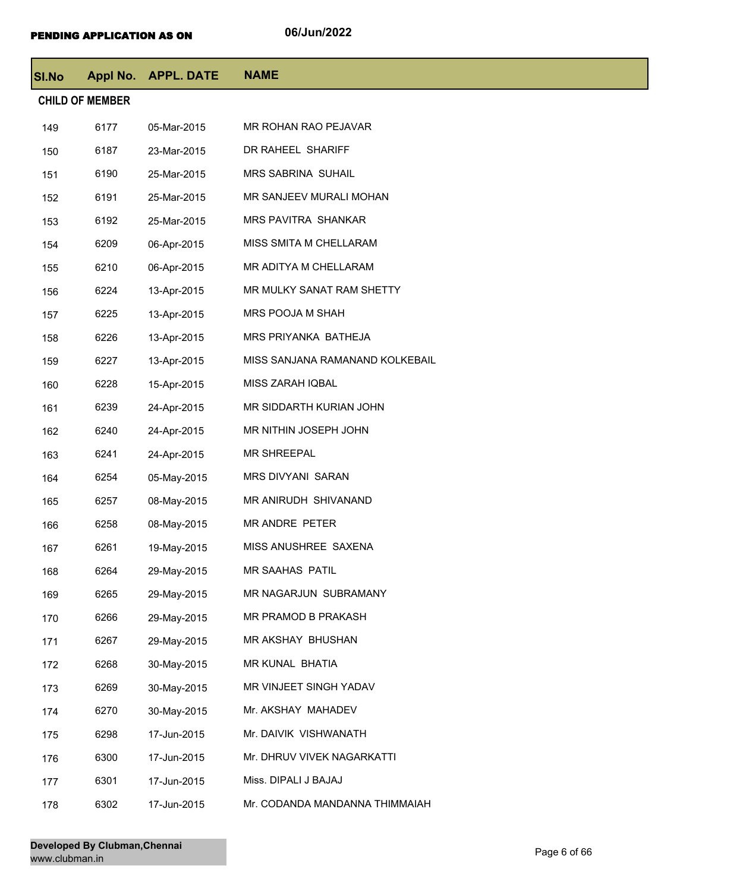| <b>SI.No</b> |                        | Appl No. APPL. DATE | <b>NAME</b>                     |
|--------------|------------------------|---------------------|---------------------------------|
|              | <b>CHILD OF MEMBER</b> |                     |                                 |
| 149          | 6177                   | 05-Mar-2015         | MR ROHAN RAO PEJAVAR            |
| 150          | 6187                   | 23-Mar-2015         | DR RAHEEL SHARIFF               |
| 151          | 6190                   | 25-Mar-2015         | <b>MRS SABRINA SUHAIL</b>       |
| 152          | 6191                   | 25-Mar-2015         | MR SANJEEV MURALI MOHAN         |
| 153          | 6192                   | 25-Mar-2015         | MRS PAVITRA SHANKAR             |
| 154          | 6209                   | 06-Apr-2015         | MISS SMITA M CHELLARAM          |
| 155          | 6210                   | 06-Apr-2015         | MR ADITYA M CHELLARAM           |
| 156          | 6224                   | 13-Apr-2015         | MR MULKY SANAT RAM SHETTY       |
| 157          | 6225                   | 13-Apr-2015         | MRS POOJA M SHAH                |
| 158          | 6226                   | 13-Apr-2015         | MRS PRIYANKA BATHEJA            |
| 159          | 6227                   | 13-Apr-2015         | MISS SANJANA RAMANAND KOLKEBAIL |
| 160          | 6228                   | 15-Apr-2015         | MISS ZARAH IQBAL                |
| 161          | 6239                   | 24-Apr-2015         | MR SIDDARTH KURIAN JOHN         |
| 162          | 6240                   | 24-Apr-2015         | MR NITHIN JOSEPH JOHN           |
| 163          | 6241                   | 24-Apr-2015         | <b>MR SHREEPAL</b>              |
| 164          | 6254                   | 05-May-2015         | MRS DIVYANI SARAN               |
| 165          | 6257                   | 08-May-2015         | MR ANIRUDH SHIVANAND            |
| 166          | 6258                   | 08-May-2015         | MR ANDRE PETER                  |
| 167          | 6261                   | 19-May-2015         | MISS ANUSHREE SAXENA            |
| 168          | 6264                   | 29-May-2015         | <b>MR SAAHAS PATIL</b>          |
| 169          | 6265                   | 29-May-2015         | MR NAGARJUN SUBRAMANY           |
| 170          | 6266                   | 29-May-2015         | MR PRAMOD B PRAKASH             |
| 171          | 6267                   | 29-May-2015         | MR AKSHAY BHUSHAN               |
| 172          | 6268                   | 30-May-2015         | MR KUNAL BHATIA                 |
| 173          | 6269                   | 30-May-2015         | MR VINJEET SINGH YADAV          |
| 174          | 6270                   | 30-May-2015         | Mr. AKSHAY MAHADEV              |
| 175          | 6298                   | 17-Jun-2015         | Mr. DAIVIK VISHWANATH           |
| 176          | 6300                   | 17-Jun-2015         | Mr. DHRUV VIVEK NAGARKATTI      |
| 177          | 6301                   | 17-Jun-2015         | Miss. DIPALI J BAJAJ            |
| 178          | 6302                   | 17-Jun-2015         | Mr. CODANDA MANDANNA THIMMAIAH  |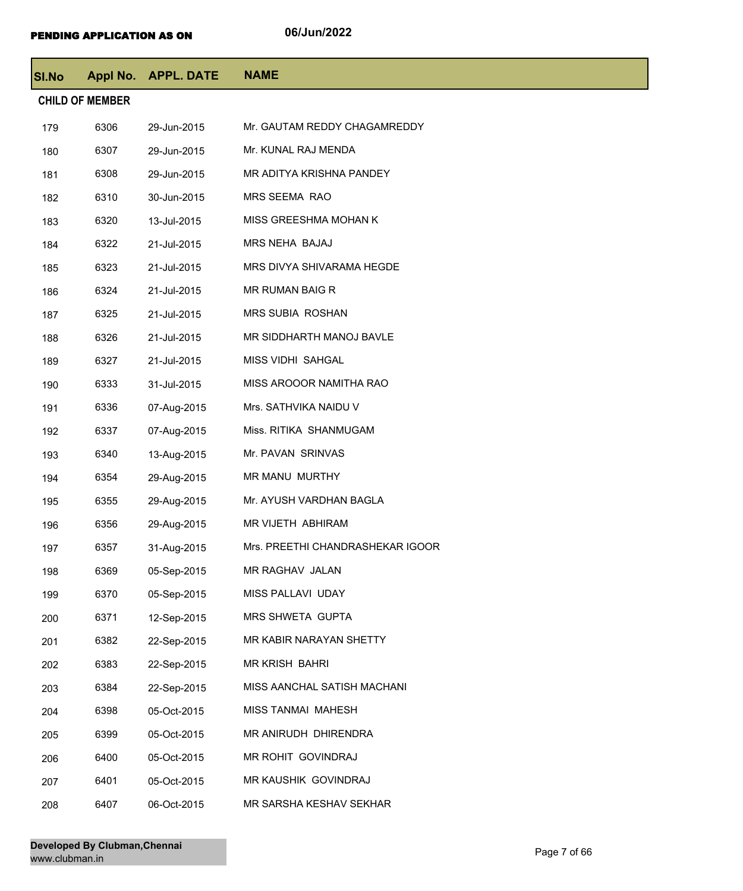| SI.No                  |      | Appl No. APPL. DATE | <b>NAME</b>                      |  |  |
|------------------------|------|---------------------|----------------------------------|--|--|
| <b>CHILD OF MEMBER</b> |      |                     |                                  |  |  |
| 179                    | 6306 | 29-Jun-2015         | Mr. GAUTAM REDDY CHAGAMREDDY     |  |  |
| 180                    | 6307 | 29-Jun-2015         | Mr. KUNAL RAJ MENDA              |  |  |
| 181                    | 6308 | 29-Jun-2015         | MR ADITYA KRISHNA PANDEY         |  |  |
| 182                    | 6310 | 30-Jun-2015         | MRS SEEMA RAO                    |  |  |
| 183                    | 6320 | 13-Jul-2015         | MISS GREESHMA MOHAN K            |  |  |
| 184                    | 6322 | 21-Jul-2015         | MRS NEHA BAJAJ                   |  |  |
| 185                    | 6323 | 21-Jul-2015         | MRS DIVYA SHIVARAMA HEGDE        |  |  |
| 186                    | 6324 | 21-Jul-2015         | MR RUMAN BAIG R                  |  |  |
| 187                    | 6325 | 21-Jul-2015         | <b>MRS SUBIA ROSHAN</b>          |  |  |
| 188                    | 6326 | 21-Jul-2015         | MR SIDDHARTH MANOJ BAVLE         |  |  |
| 189                    | 6327 | 21-Jul-2015         | MISS VIDHI SAHGAL                |  |  |
| 190                    | 6333 | 31-Jul-2015         | MISS AROOOR NAMITHA RAO          |  |  |
| 191                    | 6336 | 07-Aug-2015         | Mrs. SATHVIKA NAIDU V            |  |  |
| 192                    | 6337 | 07-Aug-2015         | Miss. RITIKA SHANMUGAM           |  |  |
| 193                    | 6340 | 13-Aug-2015         | Mr. PAVAN SRINVAS                |  |  |
| 194                    | 6354 | 29-Aug-2015         | MR MANU MURTHY                   |  |  |
| 195                    | 6355 | 29-Aug-2015         | Mr. AYUSH VARDHAN BAGLA          |  |  |
| 196                    | 6356 | 29-Aug-2015         | MR VIJETH ABHIRAM                |  |  |
| 197                    | 6357 | 31-Aug-2015         | Mrs. PREETHI CHANDRASHEKAR IGOOR |  |  |
| 198                    | 6369 | 05-Sep-2015         | MR RAGHAV JALAN                  |  |  |
| 199                    | 6370 | 05-Sep-2015         | MISS PALLAVI UDAY                |  |  |
| 200                    | 6371 | 12-Sep-2015         | MRS SHWETA GUPTA                 |  |  |
| 201                    | 6382 | 22-Sep-2015         | MR KABIR NARAYAN SHETTY          |  |  |
| 202                    | 6383 | 22-Sep-2015         | MR KRISH BAHRI                   |  |  |
| 203                    | 6384 | 22-Sep-2015         | MISS AANCHAL SATISH MACHANI      |  |  |
| 204                    | 6398 | 05-Oct-2015         | MISS TANMAI MAHESH               |  |  |
| 205                    | 6399 | 05-Oct-2015         | MR ANIRUDH DHIRENDRA             |  |  |
| 206                    | 6400 | 05-Oct-2015         | MR ROHIT GOVINDRAJ               |  |  |
| 207                    | 6401 | 05-Oct-2015         | MR KAUSHIK GOVINDRAJ             |  |  |
| 208                    | 6407 | 06-Oct-2015         | MR SARSHA KESHAV SEKHAR          |  |  |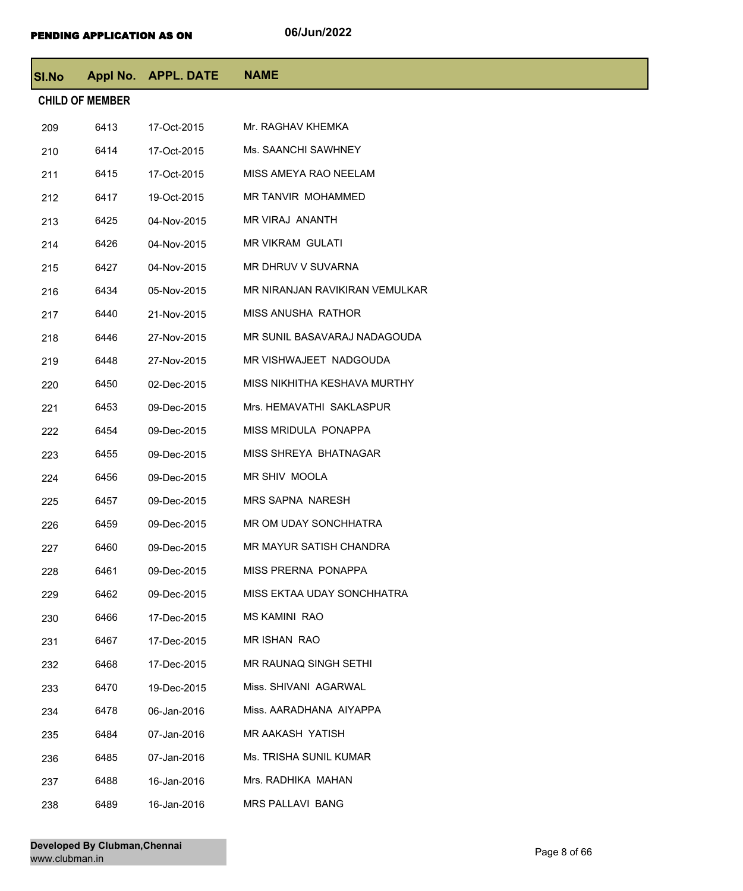| <b>SI.No</b>           |      | Appl No. APPL. DATE | <b>NAME</b>                    |  |  |
|------------------------|------|---------------------|--------------------------------|--|--|
| <b>CHILD OF MEMBER</b> |      |                     |                                |  |  |
| 209                    | 6413 | 17-Oct-2015         | Mr. RAGHAV KHEMKA              |  |  |
| 210                    | 6414 | 17-Oct-2015         | Ms. SAANCHI SAWHNEY            |  |  |
| 211                    | 6415 | 17-Oct-2015         | MISS AMEYA RAO NEELAM          |  |  |
| 212                    | 6417 | 19-Oct-2015         | MR TANVIR MOHAMMED             |  |  |
| 213                    | 6425 | 04-Nov-2015         | MR VIRAJ ANANTH                |  |  |
| 214                    | 6426 | 04-Nov-2015         | <b>MR VIKRAM GULATI</b>        |  |  |
| 215                    | 6427 | 04-Nov-2015         | MR DHRUV V SUVARNA             |  |  |
| 216                    | 6434 | 05-Nov-2015         | MR NIRANJAN RAVIKIRAN VEMULKAR |  |  |
| 217                    | 6440 | 21-Nov-2015         | <b>MISS ANUSHA RATHOR</b>      |  |  |
| 218                    | 6446 | 27-Nov-2015         | MR SUNIL BASAVARAJ NADAGOUDA   |  |  |
| 219                    | 6448 | 27-Nov-2015         | MR VISHWAJEET NADGOUDA         |  |  |
| 220                    | 6450 | 02-Dec-2015         | MISS NIKHITHA KESHAVA MURTHY   |  |  |
| 221                    | 6453 | 09-Dec-2015         | Mrs. HEMAVATHI SAKLASPUR       |  |  |
| 222                    | 6454 | 09-Dec-2015         | MISS MRIDULA PONAPPA           |  |  |
| 223                    | 6455 | 09-Dec-2015         | MISS SHREYA BHATNAGAR          |  |  |
| 224                    | 6456 | 09-Dec-2015         | MR SHIV MOOLA                  |  |  |
| 225                    | 6457 | 09-Dec-2015         | <b>MRS SAPNA NARESH</b>        |  |  |
| 226                    | 6459 | 09-Dec-2015         | MR OM UDAY SONCHHATRA          |  |  |
| 227                    | 6460 | 09-Dec-2015         | MR MAYUR SATISH CHANDRA        |  |  |
| 228                    | 6461 | 09-Dec-2015         | MISS PRERNA PONAPPA            |  |  |
| 229                    | 6462 | 09-Dec-2015         | MISS EKTAA UDAY SONCHHATRA     |  |  |
| 230                    | 6466 | 17-Dec-2015         | <b>MS KAMINI RAO</b>           |  |  |
| 231                    | 6467 | 17-Dec-2015         | MR ISHAN RAO                   |  |  |
| 232                    | 6468 | 17-Dec-2015         | MR RAUNAQ SINGH SETHI          |  |  |
| 233                    | 6470 | 19-Dec-2015         | Miss. SHIVANI AGARWAL          |  |  |
| 234                    | 6478 | 06-Jan-2016         | Miss. AARADHANA AIYAPPA        |  |  |
| 235                    | 6484 | 07-Jan-2016         | MR AAKASH YATISH               |  |  |
| 236                    | 6485 | 07-Jan-2016         | Ms. TRISHA SUNIL KUMAR         |  |  |
| 237                    | 6488 | 16-Jan-2016         | Mrs. RADHIKA MAHAN             |  |  |
| 238                    | 6489 | 16-Jan-2016         | MRS PALLAVI BANG               |  |  |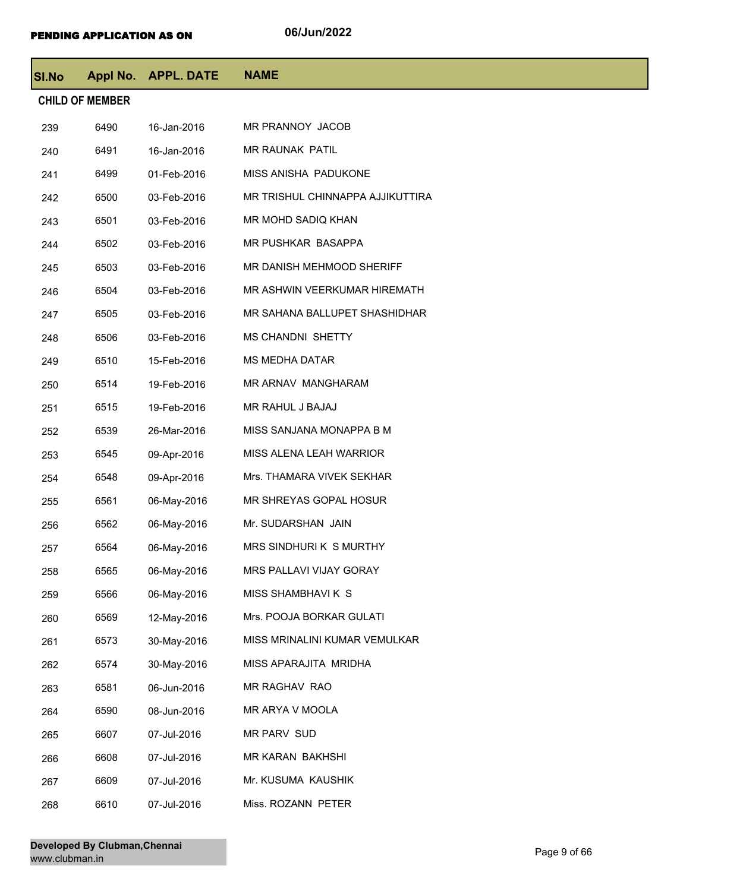| <b>SI.No</b>           |      | Appl No. APPL. DATE | <b>NAME</b>                      |  |  |
|------------------------|------|---------------------|----------------------------------|--|--|
| <b>CHILD OF MEMBER</b> |      |                     |                                  |  |  |
| 239                    | 6490 | 16-Jan-2016         | MR PRANNOY JACOB                 |  |  |
| 240                    | 6491 | 16-Jan-2016         | MR RAUNAK PATIL                  |  |  |
| 241                    | 6499 | 01-Feb-2016         | MISS ANISHA PADUKONE             |  |  |
| 242                    | 6500 | 03-Feb-2016         | MR TRISHUL CHINNAPPA AJJIKUTTIRA |  |  |
| 243                    | 6501 | 03-Feb-2016         | MR MOHD SADIQ KHAN               |  |  |
| 244                    | 6502 | 03-Feb-2016         | MR PUSHKAR BASAPPA               |  |  |
| 245                    | 6503 | 03-Feb-2016         | MR DANISH MEHMOOD SHERIFF        |  |  |
| 246                    | 6504 | 03-Feb-2016         | MR ASHWIN VEERKUMAR HIREMATH     |  |  |
| 247                    | 6505 | 03-Feb-2016         | MR SAHANA BALLUPET SHASHIDHAR    |  |  |
| 248                    | 6506 | 03-Feb-2016         | <b>MS CHANDNI SHETTY</b>         |  |  |
| 249                    | 6510 | 15-Feb-2016         | <b>MS MEDHA DATAR</b>            |  |  |
| 250                    | 6514 | 19-Feb-2016         | MR ARNAV MANGHARAM               |  |  |
| 251                    | 6515 | 19-Feb-2016         | MR RAHUL J BAJAJ                 |  |  |
| 252                    | 6539 | 26-Mar-2016         | MISS SANJANA MONAPPA B M         |  |  |
| 253                    | 6545 | 09-Apr-2016         | MISS ALENA LEAH WARRIOR          |  |  |
| 254                    | 6548 | 09-Apr-2016         | Mrs. THAMARA VIVEK SEKHAR        |  |  |
| 255                    | 6561 | 06-May-2016         | MR SHREYAS GOPAL HOSUR           |  |  |
| 256                    | 6562 | 06-May-2016         | Mr. SUDARSHAN JAIN               |  |  |
| 257                    | 6564 | 06-May-2016         | MRS SINDHURIK S MURTHY           |  |  |
| 258                    | 6565 | 06-May-2016         | MRS PALLAVI VIJAY GORAY          |  |  |
| 259                    | 6566 | 06-May-2016         | MISS SHAMBHAVI K S               |  |  |
| 260                    | 6569 | 12-May-2016         | Mrs. POOJA BORKAR GULATI         |  |  |
| 261                    | 6573 | 30-May-2016         | MISS MRINALINI KUMAR VEMULKAR    |  |  |
| 262                    | 6574 | 30-May-2016         | MISS APARAJITA MRIDHA            |  |  |
| 263                    | 6581 | 06-Jun-2016         | MR RAGHAV RAO                    |  |  |
| 264                    | 6590 | 08-Jun-2016         | MR ARYA V MOOLA                  |  |  |
| 265                    | 6607 | 07-Jul-2016         | MR PARV SUD                      |  |  |
| 266                    | 6608 | 07-Jul-2016         | MR KARAN BAKHSHI                 |  |  |
| 267                    | 6609 | 07-Jul-2016         | Mr. KUSUMA KAUSHIK               |  |  |
| 268                    | 6610 | 07-Jul-2016         | Miss. ROZANN PETER               |  |  |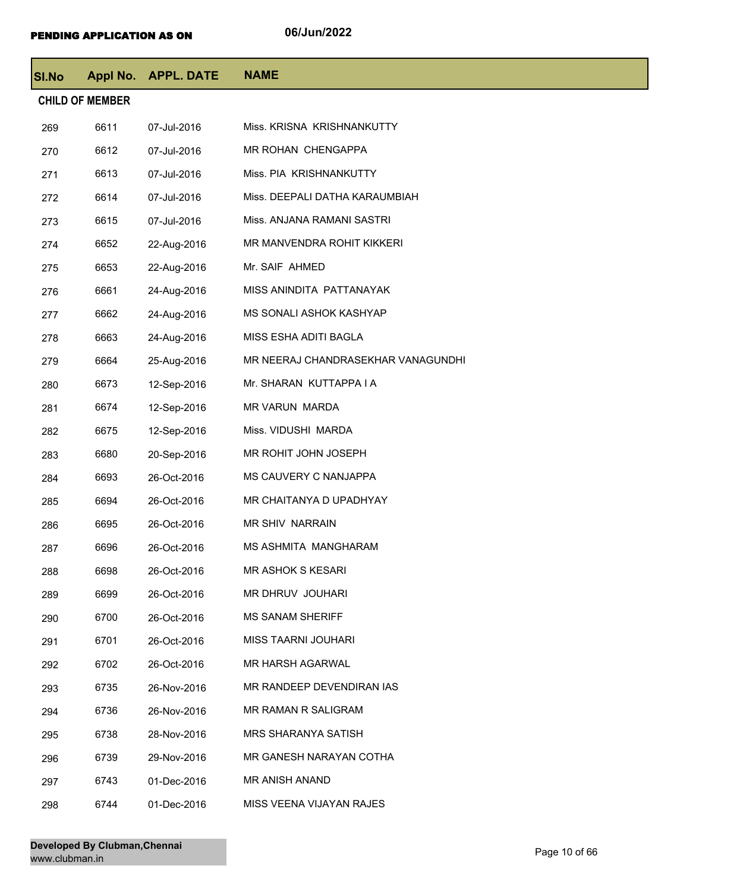| <b>SI.No</b> |                        | Appl No. APPL. DATE | <b>NAME</b>                        |
|--------------|------------------------|---------------------|------------------------------------|
|              | <b>CHILD OF MEMBER</b> |                     |                                    |
| 269          | 6611                   | 07-Jul-2016         | Miss. KRISNA KRISHNANKUTTY         |
| 270          | 6612                   | 07-Jul-2016         | MR ROHAN CHENGAPPA                 |
| 271          | 6613                   | 07-Jul-2016         | Miss. PIA KRISHNANKUTTY            |
| 272          | 6614                   | 07-Jul-2016         | Miss. DEEPALI DATHA KARAUMBIAH     |
| 273          | 6615                   | 07-Jul-2016         | Miss. ANJANA RAMANI SASTRI         |
| 274          | 6652                   | 22-Aug-2016         | MR MANVENDRA ROHIT KIKKERI         |
| 275          | 6653                   | 22-Aug-2016         | Mr. SAIF AHMED                     |
| 276          | 6661                   | 24-Aug-2016         | MISS ANINDITA PATTANAYAK           |
| 277          | 6662                   | 24-Aug-2016         | MS SONALI ASHOK KASHYAP            |
| 278          | 6663                   | 24-Aug-2016         | MISS ESHA ADITI BAGLA              |
| 279          | 6664                   | 25-Aug-2016         | MR NEERAJ CHANDRASEKHAR VANAGUNDHI |
| 280          | 6673                   | 12-Sep-2016         | Mr. SHARAN KUTTAPPA I A            |
| 281          | 6674                   | 12-Sep-2016         | MR VARUN MARDA                     |
| 282          | 6675                   | 12-Sep-2016         | Miss. VIDUSHI MARDA                |
| 283          | 6680                   | 20-Sep-2016         | MR ROHIT JOHN JOSEPH               |
| 284          | 6693                   | 26-Oct-2016         | MS CAUVERY C NANJAPPA              |
| 285          | 6694                   | 26-Oct-2016         | MR CHAITANYA D UPADHYAY            |
| 286          | 6695                   | 26-Oct-2016         | <b>MR SHIV NARRAIN</b>             |
| 287          | 6696                   | 26-Oct-2016         | MS ASHMITA MANGHARAM               |
| 288          | 6698                   | 26-Oct-2016         | <b>MR ASHOK S KESARI</b>           |
| 289          | 6699                   | 26-Oct-2016         | MR DHRUV JOUHARI                   |
| 290          | 6700                   | 26-Oct-2016         | <b>MS SANAM SHERIFF</b>            |
| 291          | 6701                   | 26-Oct-2016         | <b>MISS TAARNI JOUHARI</b>         |
| 292          | 6702                   | 26-Oct-2016         | <b>MR HARSH AGARWAL</b>            |
| 293          | 6735                   | 26-Nov-2016         | MR RANDEEP DEVENDIRAN IAS          |
| 294          | 6736                   | 26-Nov-2016         | MR RAMAN R SALIGRAM                |
| 295          | 6738                   | 28-Nov-2016         | <b>MRS SHARANYA SATISH</b>         |
| 296          | 6739                   | 29-Nov-2016         | MR GANESH NARAYAN COTHA            |
| 297          | 6743                   | 01-Dec-2016         | MR ANISH ANAND                     |
| 298          | 6744                   | 01-Dec-2016         | MISS VEENA VIJAYAN RAJES           |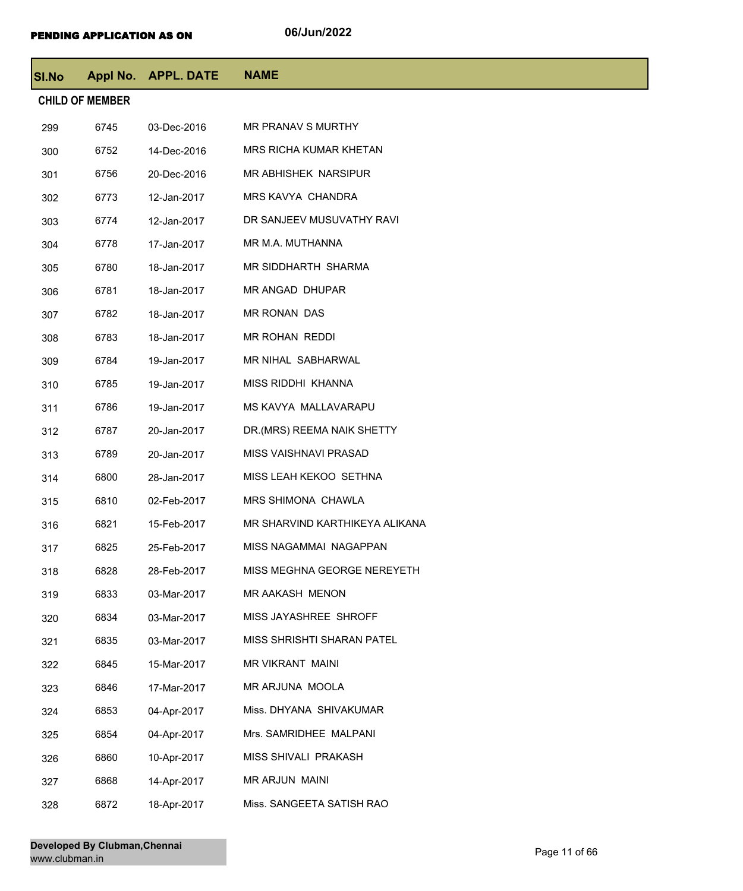| <b>SI.No</b> |                        | Appl No. APPL. DATE | <b>NAME</b>                    |
|--------------|------------------------|---------------------|--------------------------------|
|              | <b>CHILD OF MEMBER</b> |                     |                                |
| 299          | 6745                   | 03-Dec-2016         | MR PRANAV S MURTHY             |
| 300          | 6752                   | 14-Dec-2016         | <b>MRS RICHA KUMAR KHETAN</b>  |
| 301          | 6756                   | 20-Dec-2016         | MR ABHISHEK NARSIPUR           |
| 302          | 6773                   | 12-Jan-2017         | <b>MRS KAVYA CHANDRA</b>       |
| 303          | 6774                   | 12-Jan-2017         | DR SANJEEV MUSUVATHY RAVI      |
| 304          | 6778                   | 17-Jan-2017         | MR M.A. MUTHANNA               |
| 305          | 6780                   | 18-Jan-2017         | MR SIDDHARTH SHARMA            |
| 306          | 6781                   | 18-Jan-2017         | MR ANGAD DHUPAR                |
| 307          | 6782                   | 18-Jan-2017         | MR RONAN DAS                   |
| 308          | 6783                   | 18-Jan-2017         | MR ROHAN REDDI                 |
| 309          | 6784                   | 19-Jan-2017         | MR NIHAL SABHARWAL             |
| 310          | 6785                   | 19-Jan-2017         | MISS RIDDHI KHANNA             |
| 311          | 6786                   | 19-Jan-2017         | MS KAVYA MALLAVARAPU           |
| 312          | 6787                   | 20-Jan-2017         | DR.(MRS) REEMA NAIK SHETTY     |
| 313          | 6789                   | 20-Jan-2017         | MISS VAISHNAVI PRASAD          |
| 314          | 6800                   | 28-Jan-2017         | MISS LEAH KEKOO SETHNA         |
| 315          | 6810                   | 02-Feb-2017         | MRS SHIMONA CHAWLA             |
| 316          | 6821                   | 15-Feb-2017         | MR SHARVIND KARTHIKEYA ALIKANA |
| 317          | 6825                   | 25-Feb-2017         | MISS NAGAMMAI NAGAPPAN         |
| 318          | 6828                   | 28-Feb-2017         | MISS MEGHNA GEORGE NEREYETH    |
| 319          | 6833                   | 03-Mar-2017         | MR AAKASH MENON                |
| 320          | 6834                   | 03-Mar-2017         | MISS JAYASHREE SHROFF          |
| 321          | 6835                   | 03-Mar-2017         | MISS SHRISHTI SHARAN PATEL     |
| 322          | 6845                   | 15-Mar-2017         | MR VIKRANT MAINI               |
| 323          | 6846                   | 17-Mar-2017         | MR ARJUNA MOOLA                |
| 324          | 6853                   | 04-Apr-2017         | Miss. DHYANA SHIVAKUMAR        |
| 325          | 6854                   | 04-Apr-2017         | Mrs. SAMRIDHEE MALPANI         |
| 326          | 6860                   | 10-Apr-2017         | MISS SHIVALI PRAKASH           |
| 327          | 6868                   | 14-Apr-2017         | MR ARJUN MAINI                 |
| 328          | 6872                   | 18-Apr-2017         | Miss. SANGEETA SATISH RAO      |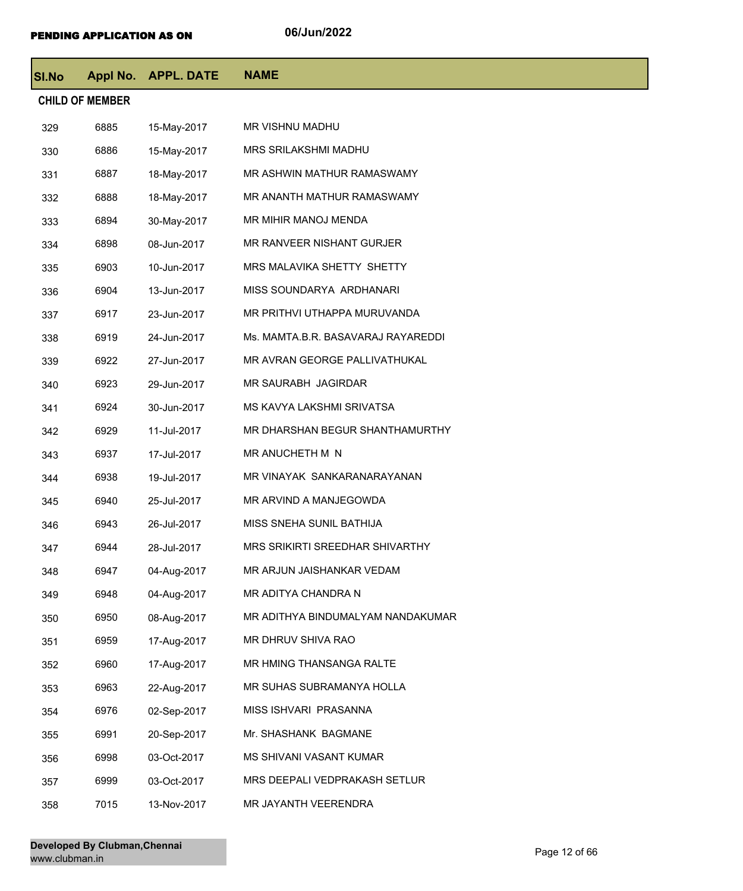| <b>SI.No</b>           |      | Appl No. APPL. DATE | <b>NAME</b>                        |  |  |
|------------------------|------|---------------------|------------------------------------|--|--|
| <b>CHILD OF MEMBER</b> |      |                     |                                    |  |  |
| 329                    | 6885 | 15-May-2017         | MR VISHNU MADHU                    |  |  |
| 330                    | 6886 | 15-May-2017         | MRS SRILAKSHMI MADHU               |  |  |
| 331                    | 6887 | 18-May-2017         | MR ASHWIN MATHUR RAMASWAMY         |  |  |
| 332                    | 6888 | 18-May-2017         | MR ANANTH MATHUR RAMASWAMY         |  |  |
| 333                    | 6894 | 30-May-2017         | MR MIHIR MANOJ MENDA               |  |  |
| 334                    | 6898 | 08-Jun-2017         | MR RANVEER NISHANT GURJER          |  |  |
| 335                    | 6903 | 10-Jun-2017         | MRS MALAVIKA SHETTY SHETTY         |  |  |
| 336                    | 6904 | 13-Jun-2017         | MISS SOUNDARYA ARDHANARI           |  |  |
| 337                    | 6917 | 23-Jun-2017         | MR PRITHVI UTHAPPA MURUVANDA       |  |  |
| 338                    | 6919 | 24-Jun-2017         | Ms. MAMTA.B.R. BASAVARAJ RAYAREDDI |  |  |
| 339                    | 6922 | 27-Jun-2017         | MR AVRAN GEORGE PALLIVATHUKAL      |  |  |
| 340                    | 6923 | 29-Jun-2017         | MR SAURABH JAGIRDAR                |  |  |
| 341                    | 6924 | 30-Jun-2017         | MS KAVYA LAKSHMI SRIVATSA          |  |  |
| 342                    | 6929 | 11-Jul-2017         | MR DHARSHAN BEGUR SHANTHAMURTHY    |  |  |
| 343                    | 6937 | 17-Jul-2017         | MR ANUCHETH M N                    |  |  |
| 344                    | 6938 | 19-Jul-2017         | MR VINAYAK SANKARANARAYANAN        |  |  |
| 345                    | 6940 | 25-Jul-2017         | MR ARVIND A MANJEGOWDA             |  |  |
| 346                    | 6943 | 26-Jul-2017         | MISS SNEHA SUNIL BATHIJA           |  |  |
| 347                    | 6944 | 28-Jul-2017         | MRS SRIKIRTI SREEDHAR SHIVARTHY    |  |  |
| 348                    | 6947 | 04-Aug-2017         | MR ARJUN JAISHANKAR VEDAM          |  |  |
| 349                    | 6948 | 04-Aug-2017         | MR ADITYA CHANDRA N                |  |  |
| 350                    | 6950 | 08-Aug-2017         | MR ADITHYA BINDUMALYAM NANDAKUMAR  |  |  |
| 351                    | 6959 | 17-Aug-2017         | MR DHRUV SHIVA RAO                 |  |  |
| 352                    | 6960 | 17-Aug-2017         | MR HMING THANSANGA RALTE           |  |  |
| 353                    | 6963 | 22-Aug-2017         | MR SUHAS SUBRAMANYA HOLLA          |  |  |
| 354                    | 6976 | 02-Sep-2017         | MISS ISHVARI PRASANNA              |  |  |
| 355                    | 6991 | 20-Sep-2017         | Mr. SHASHANK BAGMANE               |  |  |
| 356                    | 6998 | 03-Oct-2017         | MS SHIVANI VASANT KUMAR            |  |  |
| 357                    | 6999 | 03-Oct-2017         | MRS DEEPALI VEDPRAKASH SETLUR      |  |  |
| 358                    | 7015 | 13-Nov-2017         | MR JAYANTH VEERENDRA               |  |  |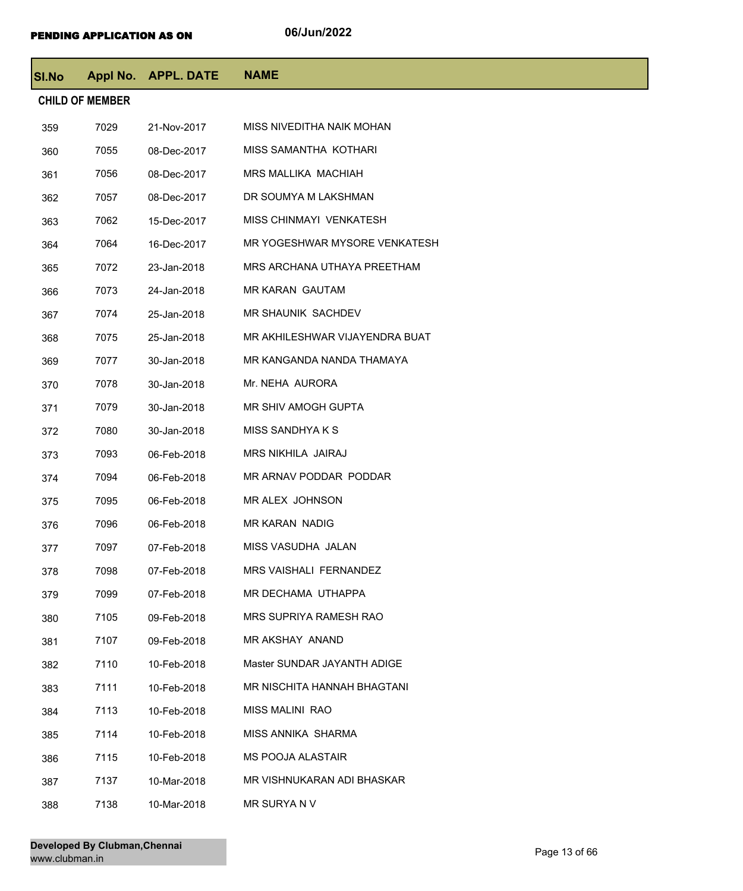| <b>SI.No</b> |                        | Appl No. APPL. DATE | <b>NAME</b>                    |
|--------------|------------------------|---------------------|--------------------------------|
|              | <b>CHILD OF MEMBER</b> |                     |                                |
| 359          | 7029                   | 21-Nov-2017         | MISS NIVEDITHA NAIK MOHAN      |
| 360          | 7055                   | 08-Dec-2017         | MISS SAMANTHA KOTHARI          |
| 361          | 7056                   | 08-Dec-2017         | MRS MALLIKA MACHIAH            |
| 362          | 7057                   | 08-Dec-2017         | DR SOUMYA M LAKSHMAN           |
| 363          | 7062                   | 15-Dec-2017         | MISS CHINMAYI VENKATESH        |
| 364          | 7064                   | 16-Dec-2017         | MR YOGESHWAR MYSORE VENKATESH  |
| 365          | 7072                   | 23-Jan-2018         | MRS ARCHANA UTHAYA PREETHAM    |
| 366          | 7073                   | 24-Jan-2018         | <b>MR KARAN GAUTAM</b>         |
| 367          | 7074                   | 25-Jan-2018         | MR SHAUNIK SACHDEV             |
| 368          | 7075                   | 25-Jan-2018         | MR AKHILESHWAR VIJAYENDRA BUAT |
| 369          | 7077                   | 30-Jan-2018         | MR KANGANDA NANDA THAMAYA      |
| 370          | 7078                   | 30-Jan-2018         | Mr. NEHA AURORA                |
| 371          | 7079                   | 30-Jan-2018         | MR SHIV AMOGH GUPTA            |
| 372          | 7080                   | 30-Jan-2018         | MISS SANDHYA K S               |
| 373          | 7093                   | 06-Feb-2018         | MRS NIKHILA JAIRAJ             |
| 374          | 7094                   | 06-Feb-2018         | MR ARNAV PODDAR PODDAR         |
| 375          | 7095                   | 06-Feb-2018         | MR ALEX JOHNSON                |
| 376          | 7096                   | 06-Feb-2018         | MR KARAN NADIG                 |
| 377          | 7097                   | 07-Feb-2018         | MISS VASUDHA JALAN             |
| 378          | 7098                   | 07-Feb-2018         | MRS VAISHALI FERNANDEZ         |
| 379          | 7099                   | 07-Feb-2018         | MR DECHAMA UTHAPPA             |
| 380          | 7105                   | 09-Feb-2018         | MRS SUPRIYA RAMESH RAO         |
| 381          | 7107                   | 09-Feb-2018         | MR AKSHAY ANAND                |
| 382          | 7110                   | 10-Feb-2018         | Master SUNDAR JAYANTH ADIGE    |
| 383          | 7111                   | 10-Feb-2018         | MR NISCHITA HANNAH BHAGTANI    |
| 384          | 7113                   | 10-Feb-2018         | <b>MISS MALINI RAO</b>         |
| 385          | 7114                   | 10-Feb-2018         | MISS ANNIKA SHARMA             |
| 386          | 7115                   | 10-Feb-2018         | <b>MS POOJA ALASTAIR</b>       |
| 387          | 7137                   | 10-Mar-2018         | MR VISHNUKARAN ADI BHASKAR     |
| 388          | 7138                   | 10-Mar-2018         | MR SURYAN V                    |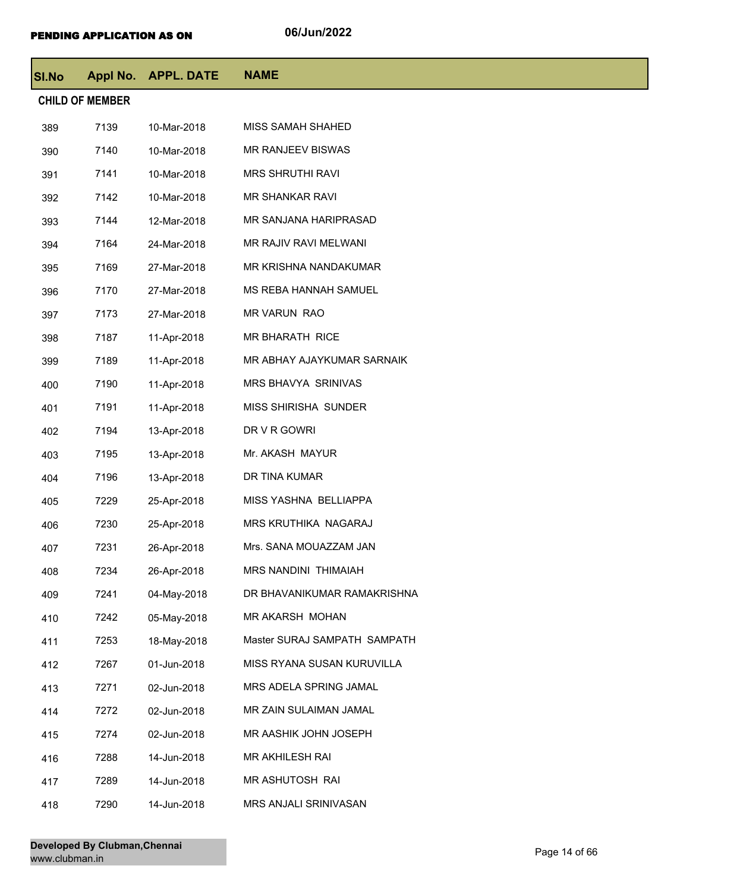| <b>SI.No</b> | Appl No.               | <b>APPL. DATE</b> | <b>NAME</b>                  |
|--------------|------------------------|-------------------|------------------------------|
|              | <b>CHILD OF MEMBER</b> |                   |                              |
| 389          | 7139                   | 10-Mar-2018       | MISS SAMAH SHAHED            |
| 390          | 7140                   | 10-Mar-2018       | MR RANJEEV BISWAS            |
| 391          | 7141                   | 10-Mar-2018       | <b>MRS SHRUTHI RAVI</b>      |
| 392          | 7142                   | 10-Mar-2018       | MR SHANKAR RAVI              |
| 393          | 7144                   | 12-Mar-2018       | MR SANJANA HARIPRASAD        |
| 394          | 7164                   | 24-Mar-2018       | MR RAJIV RAVI MELWANI        |
| 395          | 7169                   | 27-Mar-2018       | MR KRISHNA NANDAKUMAR        |
| 396          | 7170                   | 27-Mar-2018       | MS REBA HANNAH SAMUEL        |
| 397          | 7173                   | 27-Mar-2018       | <b>MR VARUN RAO</b>          |
| 398          | 7187                   | 11-Apr-2018       | MR BHARATH RICE              |
| 399          | 7189                   | 11-Apr-2018       | MR ABHAY AJAYKUMAR SARNAIK   |
| 400          | 7190                   | 11-Apr-2018       | MRS BHAVYA SRINIVAS          |
| 401          | 7191                   | 11-Apr-2018       | MISS SHIRISHA SUNDER         |
| 402          | 7194                   | 13-Apr-2018       | DR V R GOWRI                 |
| 403          | 7195                   | 13-Apr-2018       | Mr. AKASH MAYUR              |
| 404          | 7196                   | 13-Apr-2018       | DR TINA KUMAR                |
| 405          | 7229                   | 25-Apr-2018       | MISS YASHNA BELLIAPPA        |
| 406          | 7230                   | 25-Apr-2018       | MRS KRUTHIKA NAGARAJ         |
| 407          | 7231                   | 26-Apr-2018       | Mrs. SANA MOUAZZAM JAN       |
| 408          | 7234                   | 26-Apr-2018       | <b>MRS NANDINI THIMAIAH</b>  |
| 409          | 7241                   | 04-May-2018       | DR BHAVANIKUMAR RAMAKRISHNA  |
| 410          | 7242                   | 05-May-2018       | MR AKARSH MOHAN              |
| 411          | 7253                   | 18-May-2018       | Master SURAJ SAMPATH SAMPATH |
| 412          | 7267                   | 01-Jun-2018       | MISS RYANA SUSAN KURUVILLA   |
| 413          | 7271                   | 02-Jun-2018       | MRS ADELA SPRING JAMAL       |
| 414          | 7272                   | 02-Jun-2018       | MR ZAIN SULAIMAN JAMAL       |
| 415          | 7274                   | 02-Jun-2018       | MR AASHIK JOHN JOSEPH        |
| 416          | 7288                   | 14-Jun-2018       | MR AKHILESH RAI              |
| 417          | 7289                   | 14-Jun-2018       | MR ASHUTOSH RAI              |
| 418          | 7290                   | 14-Jun-2018       | MRS ANJALI SRINIVASAN        |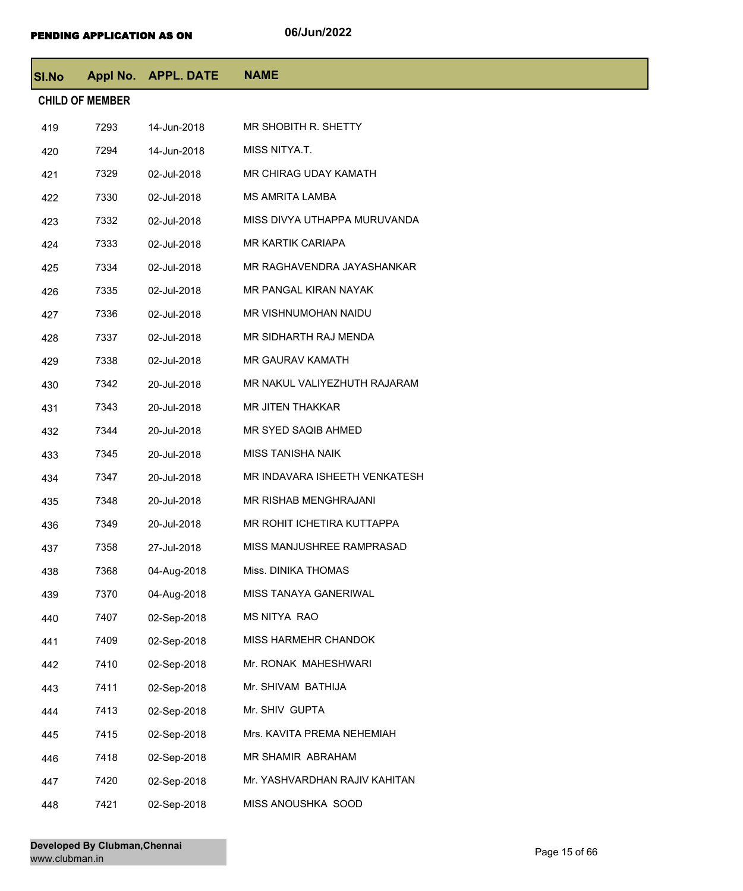| <b>SI.No</b> |                        | Appl No. APPL. DATE | <b>NAME</b>                   |
|--------------|------------------------|---------------------|-------------------------------|
|              | <b>CHILD OF MEMBER</b> |                     |                               |
| 419          | 7293                   | 14-Jun-2018         | MR SHOBITH R. SHETTY          |
| 420          | 7294                   | 14-Jun-2018         | MISS NITYA.T.                 |
| 421          | 7329                   | 02-Jul-2018         | MR CHIRAG UDAY KAMATH         |
| 422          | 7330                   | 02-Jul-2018         | <b>MS AMRITA LAMBA</b>        |
| 423          | 7332                   | 02-Jul-2018         | MISS DIVYA UTHAPPA MURUVANDA  |
| 424          | 7333                   | 02-Jul-2018         | <b>MR KARTIK CARIAPA</b>      |
| 425          | 7334                   | 02-Jul-2018         | MR RAGHAVENDRA JAYASHANKAR    |
| 426          | 7335                   | 02-Jul-2018         | MR PANGAL KIRAN NAYAK         |
| 427          | 7336                   | 02-Jul-2018         | MR VISHNUMOHAN NAIDU          |
| 428          | 7337                   | 02-Jul-2018         | MR SIDHARTH RAJ MENDA         |
| 429          | 7338                   | 02-Jul-2018         | MR GAURAV KAMATH              |
| 430          | 7342                   | 20-Jul-2018         | MR NAKUL VALIYEZHUTH RAJARAM  |
| 431          | 7343                   | 20-Jul-2018         | <b>MR JITEN THAKKAR</b>       |
| 432          | 7344                   | 20-Jul-2018         | MR SYED SAQIB AHMED           |
| 433          | 7345                   | 20-Jul-2018         | <b>MISS TANISHA NAIK</b>      |
| 434          | 7347                   | 20-Jul-2018         | MR INDAVARA ISHEETH VENKATESH |
| 435          | 7348                   | 20-Jul-2018         | MR RISHAB MENGHRAJANI         |
| 436          | 7349                   | 20-Jul-2018         | MR ROHIT ICHETIRA KUTTAPPA    |
| 437          | 7358                   | 27-Jul-2018         | MISS MANJUSHREE RAMPRASAD     |
| 438          | 7368                   | 04-Aug-2018         | Miss. DINIKA THOMAS           |
| 439          | 7370                   | 04-Aug-2018         | MISS TANAYA GANERIWAL         |
| 440          | 7407                   | 02-Sep-2018         | MS NITYA RAO                  |
| 441          | 7409                   | 02-Sep-2018         | MISS HARMEHR CHANDOK          |
| 442          | 7410                   | 02-Sep-2018         | Mr. RONAK MAHESHWARI          |
| 443          | 7411                   | 02-Sep-2018         | Mr. SHIVAM BATHIJA            |
| 444          | 7413                   | 02-Sep-2018         | Mr. SHIV GUPTA                |
| 445          | 7415                   | 02-Sep-2018         | Mrs. KAVITA PREMA NEHEMIAH    |
| 446          | 7418                   | 02-Sep-2018         | MR SHAMIR ABRAHAM             |
| 447          | 7420                   | 02-Sep-2018         | Mr. YASHVARDHAN RAJIV KAHITAN |
| 448          | 7421                   | 02-Sep-2018         | MISS ANOUSHKA SOOD            |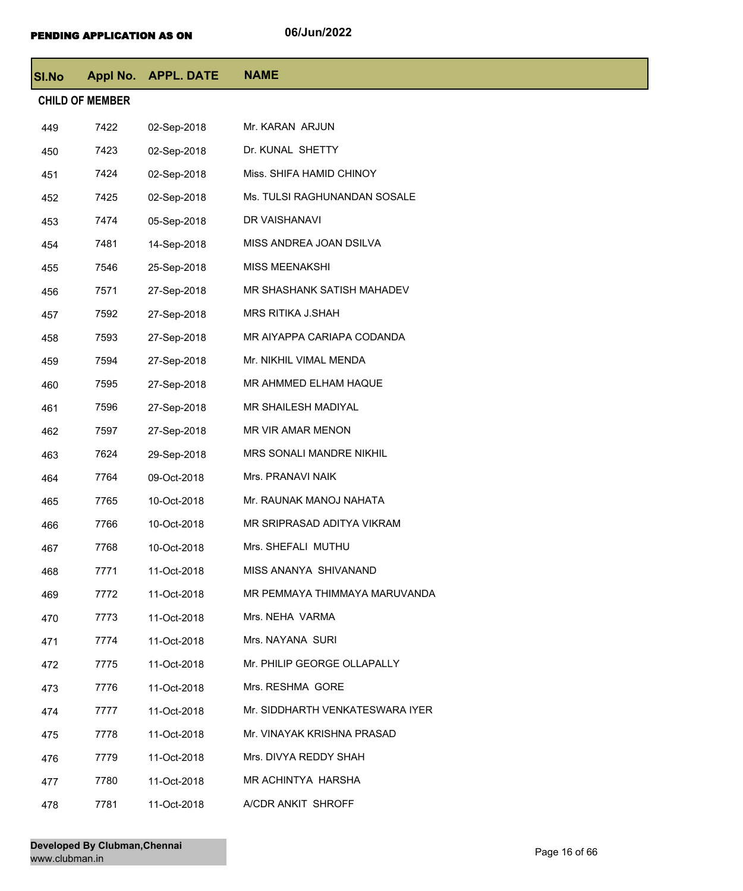| <b>SI.No</b> |                        | Appl No. APPL. DATE | <b>NAME</b>                     |
|--------------|------------------------|---------------------|---------------------------------|
|              | <b>CHILD OF MEMBER</b> |                     |                                 |
| 449          | 7422                   | 02-Sep-2018         | Mr. KARAN ARJUN                 |
| 450          | 7423                   | 02-Sep-2018         | Dr. KUNAL SHETTY                |
| 451          | 7424                   | 02-Sep-2018         | Miss. SHIFA HAMID CHINOY        |
| 452          | 7425                   | 02-Sep-2018         | Ms. TULSI RAGHUNANDAN SOSALE    |
| 453          | 7474                   | 05-Sep-2018         | DR VAISHANAVI                   |
| 454          | 7481                   | 14-Sep-2018         | MISS ANDREA JOAN DSILVA         |
| 455          | 7546                   | 25-Sep-2018         | MISS MEENAKSHI                  |
| 456          | 7571                   | 27-Sep-2018         | MR SHASHANK SATISH MAHADEV      |
| 457          | 7592                   | 27-Sep-2018         | MRS RITIKA J.SHAH               |
| 458          | 7593                   | 27-Sep-2018         | MR AIYAPPA CARIAPA CODANDA      |
| 459          | 7594                   | 27-Sep-2018         | Mr. NIKHIL VIMAL MENDA          |
| 460          | 7595                   | 27-Sep-2018         | MR AHMMED ELHAM HAQUE           |
| 461          | 7596                   | 27-Sep-2018         | MR SHAILESH MADIYAL             |
| 462          | 7597                   | 27-Sep-2018         | MR VIR AMAR MENON               |
| 463          | 7624                   | 29-Sep-2018         | MRS SONALI MANDRE NIKHIL        |
| 464          | 7764                   | 09-Oct-2018         | Mrs. PRANAVI NAIK               |
| 465          | 7765                   | 10-Oct-2018         | Mr. RAUNAK MANOJ NAHATA         |
| 466          | 7766                   | 10-Oct-2018         | MR SRIPRASAD ADITYA VIKRAM      |
| 467          | 7768                   | 10-Oct-2018         | Mrs. SHEFALI MUTHU              |
| 468          | 7771                   | 11-Oct-2018         | MISS ANANYA SHIVANAND           |
| 469          | 7772                   | 11-Oct-2018         | MR PEMMAYA THIMMAYA MARUVANDA   |
| 470          | 7773                   | 11-Oct-2018         | Mrs. NEHA VARMA                 |
| 471          | 7774                   | 11-Oct-2018         | Mrs. NAYANA SURI                |
| 472          | 7775                   | 11-Oct-2018         | Mr. PHILIP GEORGE OLLAPALLY     |
| 473          | 7776                   | 11-Oct-2018         | Mrs. RESHMA GORE                |
| 474          | 7777                   | 11-Oct-2018         | Mr. SIDDHARTH VENKATESWARA IYER |
| 475          | 7778                   | 11-Oct-2018         | Mr. VINAYAK KRISHNA PRASAD      |
| 476          | 7779                   | 11-Oct-2018         | Mrs. DIVYA REDDY SHAH           |
| 477          | 7780                   | 11-Oct-2018         | MR ACHINTYA HARSHA              |
| 478          | 7781                   | 11-Oct-2018         | A/CDR ANKIT SHROFF              |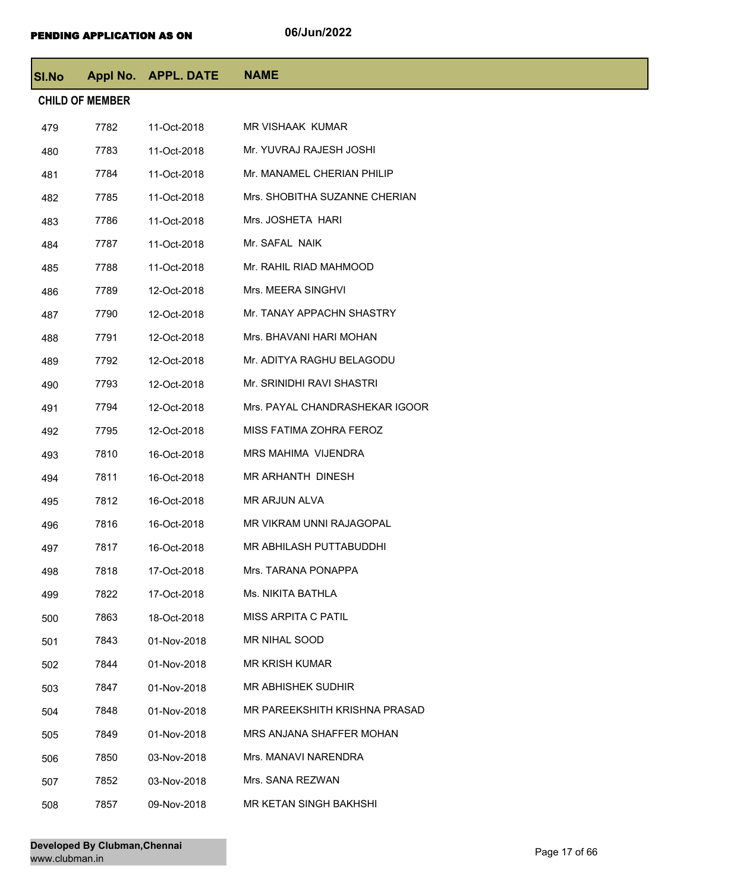| SI.No |                        | Appl No. APPL. DATE | <b>NAME</b>                    |
|-------|------------------------|---------------------|--------------------------------|
|       | <b>CHILD OF MEMBER</b> |                     |                                |
| 479   | 7782                   | 11-Oct-2018         | MR VISHAAK KUMAR               |
| 480   | 7783                   | 11-Oct-2018         | Mr. YUVRAJ RAJESH JOSHI        |
| 481   | 7784                   | 11-Oct-2018         | Mr. MANAMEL CHERIAN PHILIP     |
| 482   | 7785                   | 11-Oct-2018         | Mrs. SHOBITHA SUZANNE CHERIAN  |
| 483   | 7786                   | 11-Oct-2018         | Mrs. JOSHETA HARI              |
| 484   | 7787                   | 11-Oct-2018         | Mr. SAFAL NAIK                 |
| 485   | 7788                   | 11-Oct-2018         | Mr. RAHIL RIAD MAHMOOD         |
| 486   | 7789                   | 12-Oct-2018         | Mrs. MEERA SINGHVI             |
| 487   | 7790                   | 12-Oct-2018         | Mr. TANAY APPACHN SHASTRY      |
| 488   | 7791                   | 12-Oct-2018         | Mrs. BHAVANI HARI MOHAN        |
| 489   | 7792                   | 12-Oct-2018         | Mr. ADITYA RAGHU BELAGODU      |
| 490   | 7793                   | 12-Oct-2018         | Mr. SRINIDHI RAVI SHASTRI      |
| 491   | 7794                   | 12-Oct-2018         | Mrs. PAYAL CHANDRASHEKAR IGOOR |
| 492   | 7795                   | 12-Oct-2018         | MISS FATIMA ZOHRA FEROZ        |
| 493   | 7810                   | 16-Oct-2018         | MRS MAHIMA VIJENDRA            |
| 494   | 7811                   | 16-Oct-2018         | MR ARHANTH DINESH              |
| 495   | 7812                   | 16-Oct-2018         | MR ARJUN ALVA                  |
| 496   | 7816                   | 16-Oct-2018         | MR VIKRAM UNNI RAJAGOPAL       |
| 497   | 7817                   | 16-Oct-2018         | MR ABHILASH PUTTABUDDHI        |
| 498   | 7818                   | 17-Oct-2018         | Mrs. TARANA PONAPPA            |
| 499   | 7822                   | 17-Oct-2018         | Ms. NIKITA BATHLA              |
| 500   | 7863                   | 18-Oct-2018         | MISS ARPITA C PATIL            |
| 501   | 7843                   | 01-Nov-2018         | MR NIHAL SOOD                  |
| 502   | 7844                   | 01-Nov-2018         | <b>MR KRISH KUMAR</b>          |
| 503   | 7847                   | 01-Nov-2018         | MR ABHISHEK SUDHIR             |
| 504   | 7848                   | 01-Nov-2018         | MR PAREEKSHITH KRISHNA PRASAD  |
| 505   | 7849                   | 01-Nov-2018         | MRS ANJANA SHAFFER MOHAN       |
| 506   | 7850                   | 03-Nov-2018         | Mrs. MANAVI NARENDRA           |
| 507   | 7852                   | 03-Nov-2018         | Mrs. SANA REZWAN               |
| 508   | 7857                   | 09-Nov-2018         | MR KETAN SINGH BAKHSHI         |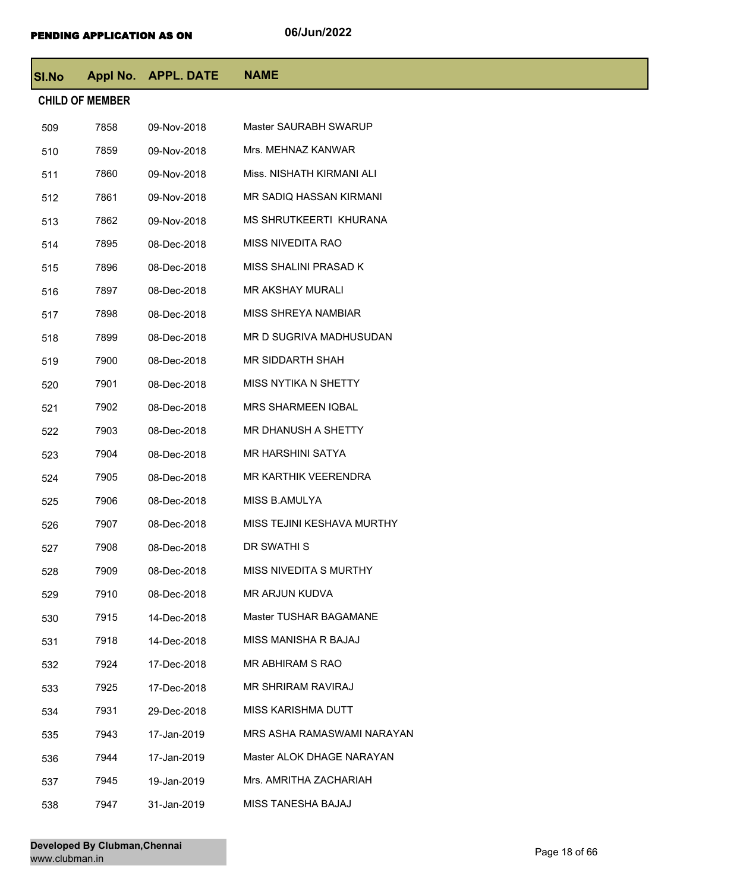| <b>SI.No</b> |                        | Appl No. APPL. DATE | <b>NAME</b>                    |
|--------------|------------------------|---------------------|--------------------------------|
|              | <b>CHILD OF MEMBER</b> |                     |                                |
| 509          | 7858                   | 09-Nov-2018         | Master SAURABH SWARUP          |
| 510          | 7859                   | 09-Nov-2018         | Mrs. MEHNAZ KANWAR             |
| 511          | 7860                   | 09-Nov-2018         | Miss. NISHATH KIRMANI ALI      |
| 512          | 7861                   | 09-Nov-2018         | <b>MR SADIQ HASSAN KIRMANI</b> |
| 513          | 7862                   | 09-Nov-2018         | MS SHRUTKEERTI KHURANA         |
| 514          | 7895                   | 08-Dec-2018         | <b>MISS NIVEDITA RAO</b>       |
| 515          | 7896                   | 08-Dec-2018         | MISS SHALINI PRASAD K          |
| 516          | 7897                   | 08-Dec-2018         | MR AKSHAY MURALI               |
| 517          | 7898                   | 08-Dec-2018         | MISS SHREYA NAMBIAR            |
| 518          | 7899                   | 08-Dec-2018         | MR D SUGRIVA MADHUSUDAN        |
| 519          | 7900                   | 08-Dec-2018         | <b>MR SIDDARTH SHAH</b>        |
| 520          | 7901                   | 08-Dec-2018         | MISS NYTIKA N SHETTY           |
| 521          | 7902                   | 08-Dec-2018         | <b>MRS SHARMEEN IQBAL</b>      |
| 522          | 7903                   | 08-Dec-2018         | MR DHANUSH A SHETTY            |
| 523          | 7904                   | 08-Dec-2018         | <b>MR HARSHINI SATYA</b>       |
| 524          | 7905                   | 08-Dec-2018         | <b>MR KARTHIK VEERENDRA</b>    |
| 525          | 7906                   | 08-Dec-2018         | MISS B.AMULYA                  |
| 526          | 7907                   | 08-Dec-2018         | MISS TEJINI KESHAVA MURTHY     |
| 527          | 7908                   | 08-Dec-2018         | DR SWATHI S                    |
| 528          | 7909                   | 08-Dec-2018         | MISS NIVEDITA S MURTHY         |
| 529          | 7910                   | 08-Dec-2018         | MR ARJUN KUDVA                 |
| 530          | 7915                   | 14-Dec-2018         | Master TUSHAR BAGAMANE         |
| 531          | 7918                   | 14-Dec-2018         | MISS MANISHA R BAJAJ           |
| 532          | 7924                   | 17-Dec-2018         | MR ABHIRAM S RAO               |
| 533          | 7925                   | 17-Dec-2018         | MR SHRIRAM RAVIRAJ             |
| 534          | 7931                   | 29-Dec-2018         | MISS KARISHMA DUTT             |
| 535          | 7943                   | 17-Jan-2019         | MRS ASHA RAMASWAMI NARAYAN     |
| 536          | 7944                   | 17-Jan-2019         | Master ALOK DHAGE NARAYAN      |
| 537          | 7945                   | 19-Jan-2019         | Mrs. AMRITHA ZACHARIAH         |
| 538          | 7947                   | 31-Jan-2019         | MISS TANESHA BAJAJ             |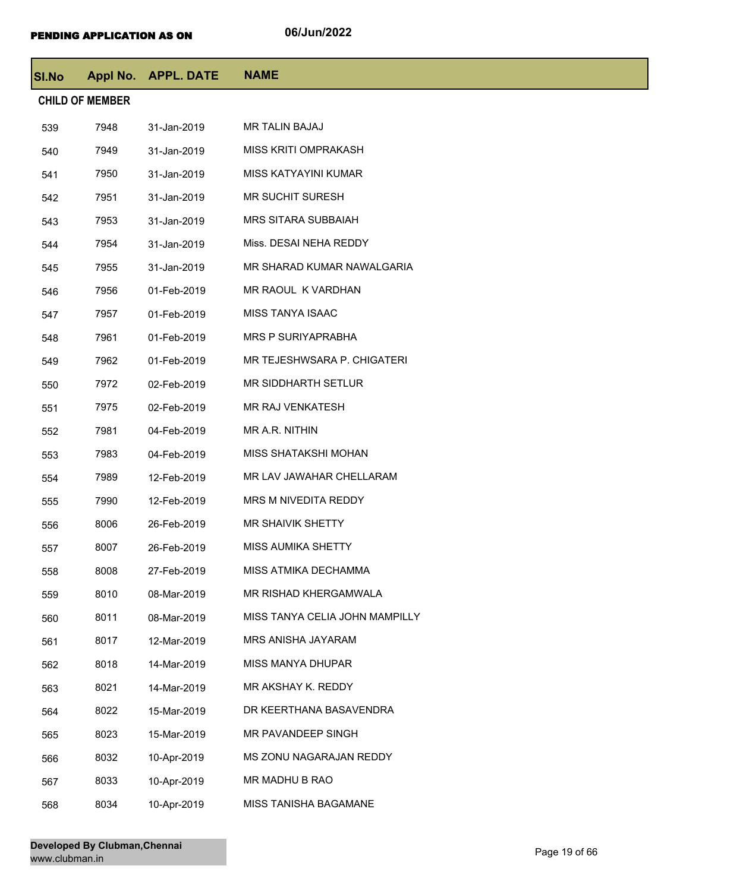| <b>SI.No</b> |                        | Appl No. APPL. DATE | <b>NAME</b>                    |
|--------------|------------------------|---------------------|--------------------------------|
|              | <b>CHILD OF MEMBER</b> |                     |                                |
| 539          | 7948                   | 31-Jan-2019         | <b>MR TALIN BAJAJ</b>          |
| 540          | 7949                   | 31-Jan-2019         | <b>MISS KRITI OMPRAKASH</b>    |
| 541          | 7950                   | 31-Jan-2019         | MISS KATYAYINI KUMAR           |
| 542          | 7951                   | 31-Jan-2019         | <b>MR SUCHIT SURESH</b>        |
| 543          | 7953                   | 31-Jan-2019         | <b>MRS SITARA SUBBAIAH</b>     |
| 544          | 7954                   | 31-Jan-2019         | Miss. DESAI NEHA REDDY         |
| 545          | 7955                   | 31-Jan-2019         | MR SHARAD KUMAR NAWALGARIA     |
| 546          | 7956                   | 01-Feb-2019         | MR RAOUL K VARDHAN             |
| 547          | 7957                   | 01-Feb-2019         | <b>MISS TANYA ISAAC</b>        |
| 548          | 7961                   | 01-Feb-2019         | <b>MRS P SURIYAPRABHA</b>      |
| 549          | 7962                   | 01-Feb-2019         | MR TEJESHWSARA P. CHIGATERI    |
| 550          | 7972                   | 02-Feb-2019         | MR SIDDHARTH SETLUR            |
| 551          | 7975                   | 02-Feb-2019         | <b>MR RAJ VENKATESH</b>        |
| 552          | 7981                   | 04-Feb-2019         | MR A.R. NITHIN                 |
| 553          | 7983                   | 04-Feb-2019         | MISS SHATAKSHI MOHAN           |
| 554          | 7989                   | 12-Feb-2019         | MR LAV JAWAHAR CHELLARAM       |
| 555          | 7990                   | 12-Feb-2019         | MRS M NIVEDITA REDDY           |
| 556          | 8006                   | 26-Feb-2019         | <b>MR SHAIVIK SHETTY</b>       |
| 557          | 8007                   | 26-Feb-2019         | MISS AUMIKA SHETTY             |
| 558          | 8008                   | 27-Feb-2019         | MISS ATMIKA DECHAMMA           |
| 559          | 8010                   | 08-Mar-2019         | MR RISHAD KHERGAMWALA          |
| 560          | 8011                   | 08-Mar-2019         | MISS TANYA CELIA JOHN MAMPILLY |
| 561          | 8017                   | 12-Mar-2019         | MRS ANISHA JAYARAM             |
| 562          | 8018                   | 14-Mar-2019         | MISS MANYA DHUPAR              |
| 563          | 8021                   | 14-Mar-2019         | MR AKSHAY K. REDDY             |
| 564          | 8022                   | 15-Mar-2019         | DR KEERTHANA BASAVENDRA        |
| 565          | 8023                   | 15-Mar-2019         | MR PAVANDEEP SINGH             |
| 566          | 8032                   | 10-Apr-2019         | MS ZONU NAGARAJAN REDDY        |
| 567          | 8033                   | 10-Apr-2019         | MR MADHU B RAO                 |
| 568          | 8034                   | 10-Apr-2019         | MISS TANISHA BAGAMANE          |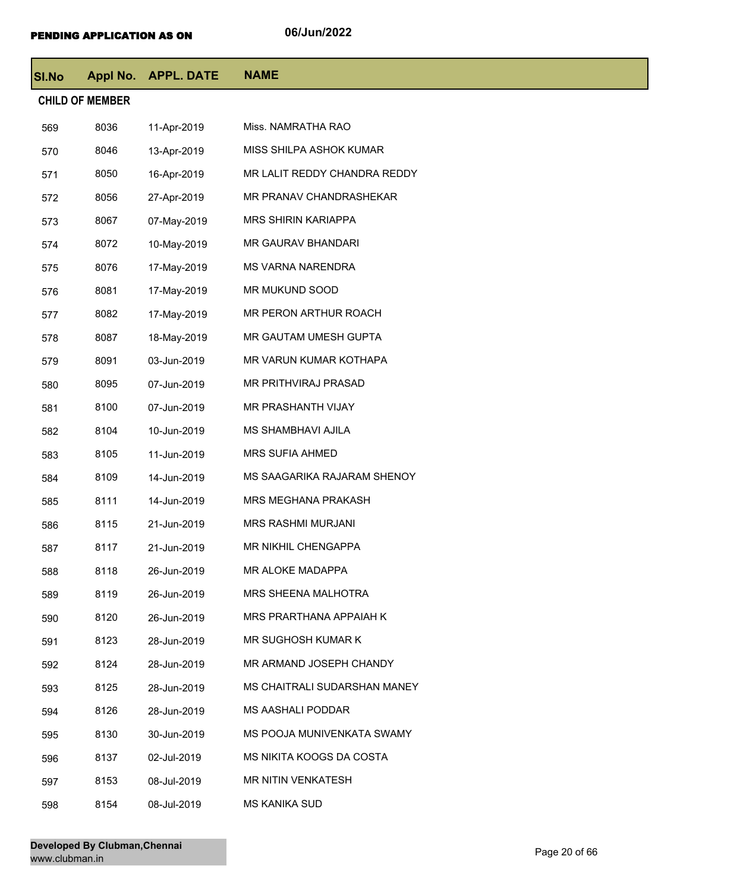| <b>SI.No</b> |                        | Appl No. APPL. DATE | <b>NAME</b>                  |
|--------------|------------------------|---------------------|------------------------------|
|              | <b>CHILD OF MEMBER</b> |                     |                              |
| 569          | 8036                   | 11-Apr-2019         | Miss. NAMRATHA RAO           |
| 570          | 8046                   | 13-Apr-2019         | MISS SHILPA ASHOK KUMAR      |
| 571          | 8050                   | 16-Apr-2019         | MR LALIT REDDY CHANDRA REDDY |
| 572          | 8056                   | 27-Apr-2019         | MR PRANAV CHANDRASHEKAR      |
| 573          | 8067                   | 07-May-2019         | <b>MRS SHIRIN KARIAPPA</b>   |
| 574          | 8072                   | 10-May-2019         | MR GAURAV BHANDARI           |
| 575          | 8076                   | 17-May-2019         | MS VARNA NARENDRA            |
| 576          | 8081                   | 17-May-2019         | MR MUKUND SOOD               |
| 577          | 8082                   | 17-May-2019         | MR PERON ARTHUR ROACH        |
| 578          | 8087                   | 18-May-2019         | MR GAUTAM UMESH GUPTA        |
| 579          | 8091                   | 03-Jun-2019         | MR VARUN KUMAR KOTHAPA       |
| 580          | 8095                   | 07-Jun-2019         | MR PRITHVIRAJ PRASAD         |
| 581          | 8100                   | 07-Jun-2019         | MR PRASHANTH VIJAY           |
| 582          | 8104                   | 10-Jun-2019         | MS SHAMBHAVI AJILA           |
| 583          | 8105                   | 11-Jun-2019         | <b>MRS SUFIA AHMED</b>       |
| 584          | 8109                   | 14-Jun-2019         | MS SAAGARIKA RAJARAM SHENOY  |
| 585          | 8111                   | 14-Jun-2019         | <b>MRS MEGHANA PRAKASH</b>   |
| 586          | 8115                   | 21-Jun-2019         | MRS RASHMI MURJANI           |
| 587          | 8117                   | 21-Jun-2019         | MR NIKHIL CHENGAPPA          |
| 588          | 8118                   | 26-Jun-2019         | MR ALOKE MADAPPA             |
| 589          | 8119                   | 26-Jun-2019         | MRS SHEENA MALHOTRA          |
| 590          | 8120                   | 26-Jun-2019         | MRS PRARTHANA APPAIAH K      |
| 591          | 8123                   | 28-Jun-2019         | MR SUGHOSH KUMAR K           |
| 592          | 8124                   | 28-Jun-2019         | MR ARMAND JOSEPH CHANDY      |
| 593          | 8125                   | 28-Jun-2019         | MS CHAITRALI SUDARSHAN MANEY |
| 594          | 8126                   | 28-Jun-2019         | <b>MS AASHALI PODDAR</b>     |
| 595          | 8130                   | 30-Jun-2019         | MS POOJA MUNIVENKATA SWAMY   |
| 596          | 8137                   | 02-Jul-2019         | MS NIKITA KOOGS DA COSTA     |
| 597          | 8153                   | 08-Jul-2019         | <b>MR NITIN VENKATESH</b>    |
| 598          | 8154                   | 08-Jul-2019         | MS KANIKA SUD                |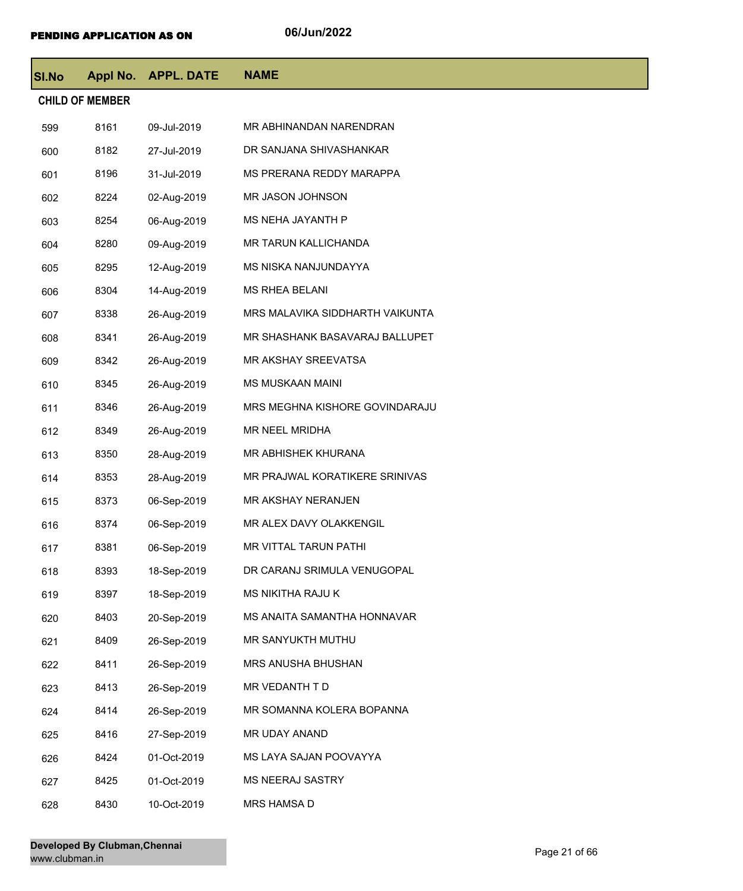| <b>SI.No</b> |                        | Appl No. APPL. DATE | <b>NAME</b>                     |
|--------------|------------------------|---------------------|---------------------------------|
|              | <b>CHILD OF MEMBER</b> |                     |                                 |
| 599          | 8161                   | 09-Jul-2019         | MR ABHINANDAN NARENDRAN         |
| 600          | 8182                   | 27-Jul-2019         | DR SANJANA SHIVASHANKAR         |
| 601          | 8196                   | 31-Jul-2019         | MS PRERANA REDDY MARAPPA        |
| 602          | 8224                   | 02-Aug-2019         | MR JASON JOHNSON                |
| 603          | 8254                   | 06-Aug-2019         | MS NEHA JAYANTH P               |
| 604          | 8280                   | 09-Aug-2019         | MR TARUN KALLICHANDA            |
| 605          | 8295                   | 12-Aug-2019         | MS NISKA NANJUNDAYYA            |
| 606          | 8304                   | 14-Aug-2019         | <b>MS RHEA BELANI</b>           |
| 607          | 8338                   | 26-Aug-2019         | MRS MALAVIKA SIDDHARTH VAIKUNTA |
| 608          | 8341                   | 26-Aug-2019         | MR SHASHANK BASAVARAJ BALLUPET  |
| 609          | 8342                   | 26-Aug-2019         | MR AKSHAY SREEVATSA             |
| 610          | 8345                   | 26-Aug-2019         | <b>MS MUSKAAN MAINI</b>         |
| 611          | 8346                   | 26-Aug-2019         | MRS MEGHNA KISHORE GOVINDARAJU  |
| 612          | 8349                   | 26-Aug-2019         | MR NEEL MRIDHA                  |
| 613          | 8350                   | 28-Aug-2019         | MR ABHISHEK KHURANA             |
| 614          | 8353                   | 28-Aug-2019         | MR PRAJWAL KORATIKERE SRINIVAS  |
| 615          | 8373                   | 06-Sep-2019         | MR AKSHAY NERANJEN              |
| 616          | 8374                   | 06-Sep-2019         | MR ALEX DAVY OLAKKENGIL         |
| 617          | 8381                   | 06-Sep-2019         | MR VITTAL TARUN PATHI           |
| 618          | 8393                   | 18-Sep-2019         | DR CARANJ SRIMULA VENUGOPAL     |
| 619          | 8397                   | 18-Sep-2019         | MS NIKITHA RAJU K               |
| 620          | 8403                   | 20-Sep-2019         | MS ANAITA SAMANTHA HONNAVAR     |
| 621          | 8409                   | 26-Sep-2019         | MR SANYUKTH MUTHU               |
| 622          | 8411                   | 26-Sep-2019         | MRS ANUSHA BHUSHAN              |
| 623          | 8413                   | 26-Sep-2019         | MR VEDANTH T D                  |
| 624          | 8414                   | 26-Sep-2019         | MR SOMANNA KOLERA BOPANNA       |
| 625          | 8416                   | 27-Sep-2019         | MR UDAY ANAND                   |
| 626          | 8424                   | 01-Oct-2019         | MS LAYA SAJAN POOVAYYA          |
| 627          | 8425                   | 01-Oct-2019         | <b>MS NEERAJ SASTRY</b>         |
| 628          | 8430                   | 10-Oct-2019         | MRS HAMSA D                     |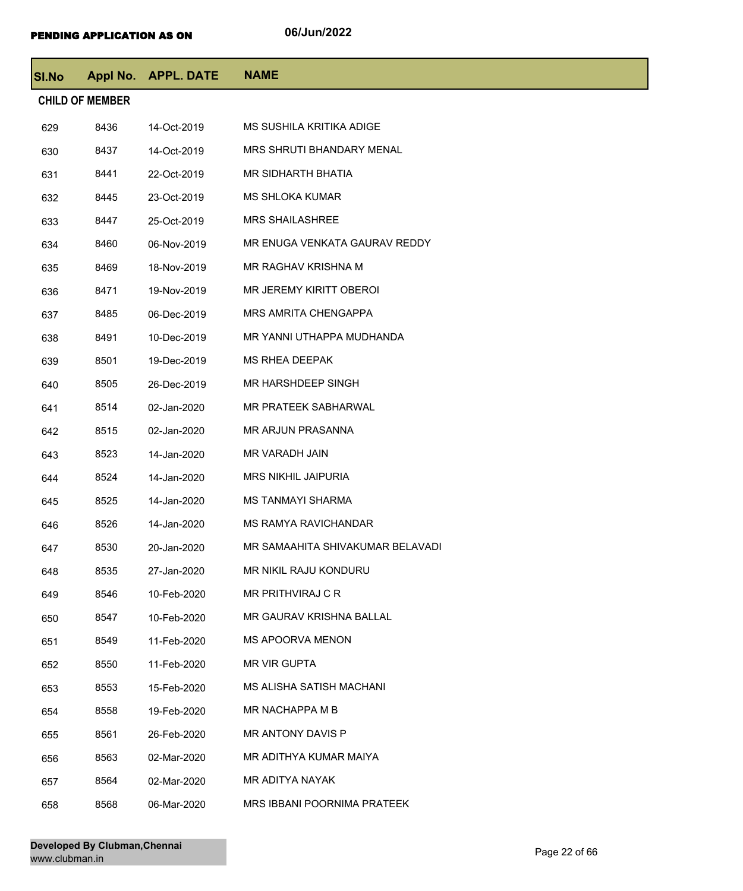| SI.No |                        | Appl No. APPL. DATE | <b>NAME</b>                      |
|-------|------------------------|---------------------|----------------------------------|
|       | <b>CHILD OF MEMBER</b> |                     |                                  |
| 629   | 8436                   | 14-Oct-2019         | MS SUSHILA KRITIKA ADIGE         |
| 630   | 8437                   | 14-Oct-2019         | <b>MRS SHRUTI BHANDARY MENAL</b> |
| 631   | 8441                   | 22-Oct-2019         | MR SIDHARTH BHATIA               |
| 632   | 8445                   | 23-Oct-2019         | <b>MS SHLOKA KUMAR</b>           |
| 633   | 8447                   | 25-Oct-2019         | <b>MRS SHAILASHREE</b>           |
| 634   | 8460                   | 06-Nov-2019         | MR ENUGA VENKATA GAURAV REDDY    |
| 635   | 8469                   | 18-Nov-2019         | MR RAGHAV KRISHNA M              |
| 636   | 8471                   | 19-Nov-2019         | MR JEREMY KIRITT OBEROI          |
| 637   | 8485                   | 06-Dec-2019         | <b>MRS AMRITA CHENGAPPA</b>      |
| 638   | 8491                   | 10-Dec-2019         | MR YANNI UTHAPPA MUDHANDA        |
| 639   | 8501                   | 19-Dec-2019         | <b>MS RHEA DEEPAK</b>            |
| 640   | 8505                   | 26-Dec-2019         | <b>MR HARSHDEEP SINGH</b>        |
| 641   | 8514                   | 02-Jan-2020         | MR PRATEEK SABHARWAL             |
| 642   | 8515                   | 02-Jan-2020         | MR ARJUN PRASANNA                |
| 643   | 8523                   | 14-Jan-2020         | MR VARADH JAIN                   |
| 644   | 8524                   | 14-Jan-2020         | <b>MRS NIKHIL JAIPURIA</b>       |
| 645   | 8525                   | 14-Jan-2020         | <b>MS TANMAYI SHARMA</b>         |
| 646   | 8526                   | 14-Jan-2020         | MS RAMYA RAVICHANDAR             |
| 647   | 8530                   | 20-Jan-2020         | MR SAMAAHITA SHIVAKUMAR BELAVADI |
| 648   | 8535                   | 27-Jan-2020         | MR NIKIL RAJU KONDURU            |
| 649   | 8546                   | 10-Feb-2020         | MR PRITHVIRAJ C R                |
| 650   | 8547                   | 10-Feb-2020         | MR GAURAV KRISHNA BALLAL         |
| 651   | 8549                   | 11-Feb-2020         | <b>MS APOORVA MENON</b>          |
| 652   | 8550                   | 11-Feb-2020         | <b>MR VIR GUPTA</b>              |
| 653   | 8553                   | 15-Feb-2020         | <b>MS ALISHA SATISH MACHANI</b>  |
| 654   | 8558                   | 19-Feb-2020         | MR NACHAPPA M B                  |
| 655   | 8561                   | 26-Feb-2020         | MR ANTONY DAVIS P                |
| 656   | 8563                   | 02-Mar-2020         | MR ADITHYA KUMAR MAIYA           |
| 657   | 8564                   | 02-Mar-2020         | MR ADITYA NAYAK                  |
| 658   | 8568                   | 06-Mar-2020         | MRS IBBANI POORNIMA PRATEEK      |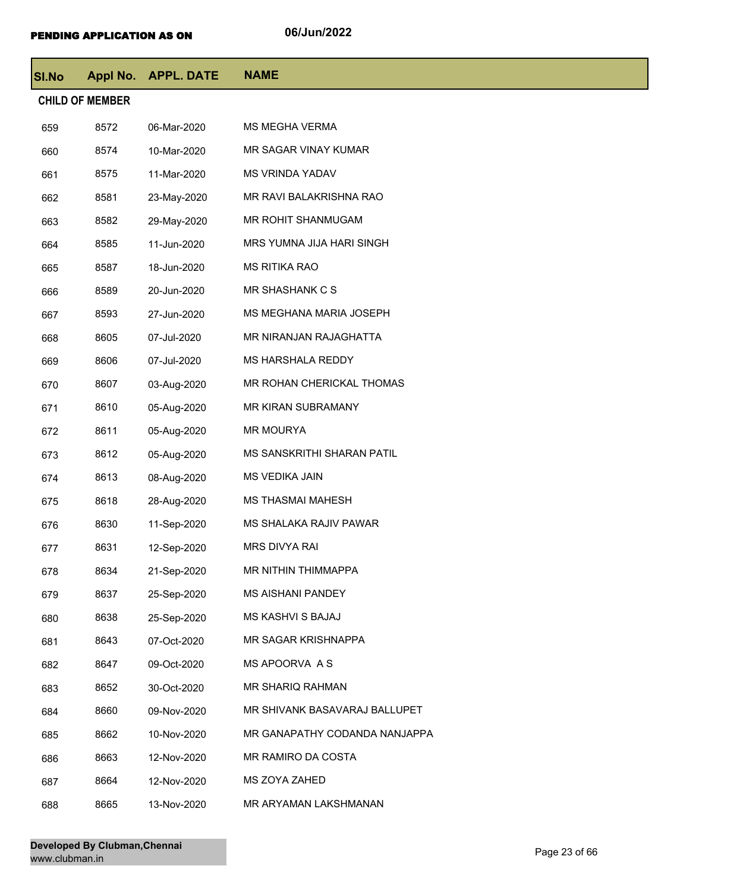| <b>SI.No</b> |                        | Appl No. APPL. DATE | <b>NAME</b>                   |
|--------------|------------------------|---------------------|-------------------------------|
|              | <b>CHILD OF MEMBER</b> |                     |                               |
| 659          | 8572                   | 06-Mar-2020         | <b>MS MEGHA VERMA</b>         |
| 660          | 8574                   | 10-Mar-2020         | MR SAGAR VINAY KUMAR          |
| 661          | 8575                   | 11-Mar-2020         | <b>MS VRINDA YADAV</b>        |
| 662          | 8581                   | 23-May-2020         | MR RAVI BALAKRISHNA RAO       |
| 663          | 8582                   | 29-May-2020         | MR ROHIT SHANMUGAM            |
| 664          | 8585                   | 11-Jun-2020         | MRS YUMNA JIJA HARI SINGH     |
| 665          | 8587                   | 18-Jun-2020         | <b>MS RITIKA RAO</b>          |
| 666          | 8589                   | 20-Jun-2020         | <b>MR SHASHANK C S</b>        |
| 667          | 8593                   | 27-Jun-2020         | MS MEGHANA MARIA JOSEPH       |
| 668          | 8605                   | 07-Jul-2020         | MR NIRANJAN RAJAGHATTA        |
| 669          | 8606                   | 07-Jul-2020         | MS HARSHALA REDDY             |
| 670          | 8607                   | 03-Aug-2020         | MR ROHAN CHERICKAL THOMAS     |
| 671          | 8610                   | 05-Aug-2020         | MR KIRAN SUBRAMANY            |
| 672          | 8611                   | 05-Aug-2020         | <b>MR MOURYA</b>              |
| 673          | 8612                   | 05-Aug-2020         | MS SANSKRITHI SHARAN PATIL    |
| 674          | 8613                   | 08-Aug-2020         | MS VEDIKA JAIN                |
| 675          | 8618                   | 28-Aug-2020         | <b>MS THASMAI MAHESH</b>      |
| 676          | 8630                   | 11-Sep-2020         | MS SHALAKA RAJIV PAWAR        |
| 677          | 8631                   | 12-Sep-2020         | MRS DIVYA RAI                 |
| 678          | 8634                   | 21-Sep-2020         | <b>MR NITHIN THIMMAPPA</b>    |
| 679          | 8637                   | 25-Sep-2020         | <b>MS AISHANI PANDEY</b>      |
| 680          | 8638                   | 25-Sep-2020         | <b>MS KASHVI S BAJAJ</b>      |
| 681          | 8643                   | 07-Oct-2020         | MR SAGAR KRISHNAPPA           |
| 682          | 8647                   | 09-Oct-2020         | MS APOORVA A S                |
| 683          | 8652                   | 30-Oct-2020         | MR SHARIQ RAHMAN              |
| 684          | 8660                   | 09-Nov-2020         | MR SHIVANK BASAVARAJ BALLUPET |
| 685          | 8662                   | 10-Nov-2020         | MR GANAPATHY CODANDA NANJAPPA |
| 686          | 8663                   | 12-Nov-2020         | MR RAMIRO DA COSTA            |
| 687          | 8664                   | 12-Nov-2020         | MS ZOYA ZAHED                 |
| 688          | 8665                   | 13-Nov-2020         | MR ARYAMAN LAKSHMANAN         |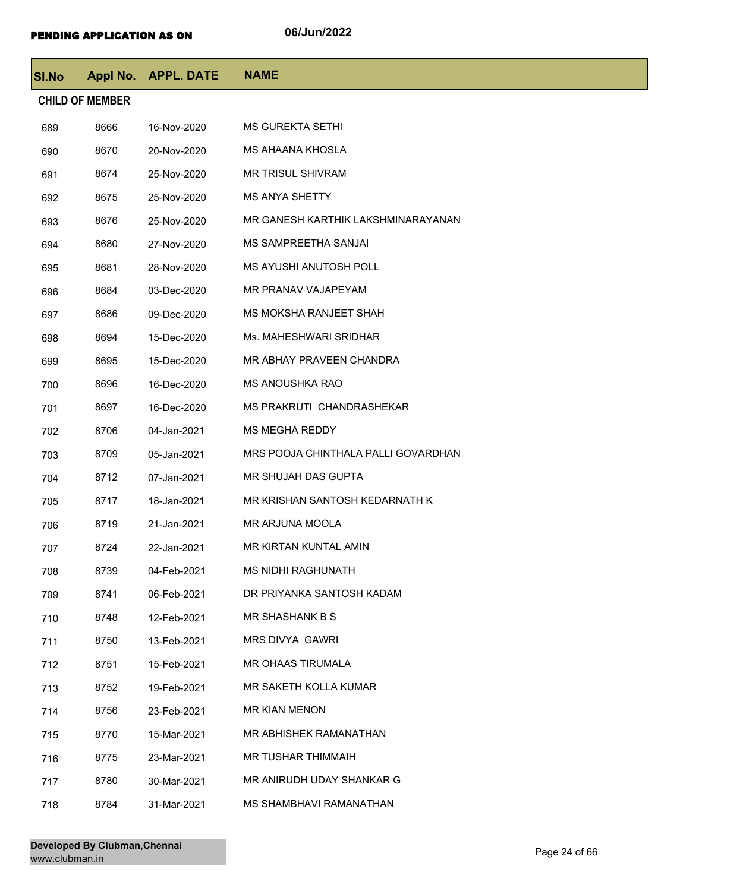| <b>SI.No</b> |                        | Appl No. APPL. DATE | <b>NAME</b>                         |
|--------------|------------------------|---------------------|-------------------------------------|
|              | <b>CHILD OF MEMBER</b> |                     |                                     |
| 689          | 8666                   | 16-Nov-2020         | <b>MS GUREKTA SETHI</b>             |
| 690          | 8670                   | 20-Nov-2020         | MS AHAANA KHOSLA                    |
| 691          | 8674                   | 25-Nov-2020         | MR TRISUL SHIVRAM                   |
| 692          | 8675                   | 25-Nov-2020         | <b>MS ANYA SHETTY</b>               |
| 693          | 8676                   | 25-Nov-2020         | MR GANESH KARTHIK LAKSHMINARAYANAN  |
| 694          | 8680                   | 27-Nov-2020         | MS SAMPREETHA SANJAI                |
| 695          | 8681                   | 28-Nov-2020         | <b>MS AYUSHI ANUTOSH POLL</b>       |
| 696          | 8684                   | 03-Dec-2020         | MR PRANAV VAJAPEYAM                 |
| 697          | 8686                   | 09-Dec-2020         | MS MOKSHA RANJEET SHAH              |
| 698          | 8694                   | 15-Dec-2020         | Ms. MAHESHWARI SRIDHAR              |
| 699          | 8695                   | 15-Dec-2020         | MR ABHAY PRAVEEN CHANDRA            |
| 700          | 8696                   | 16-Dec-2020         | <b>MS ANOUSHKA RAO</b>              |
| 701          | 8697                   | 16-Dec-2020         | MS PRAKRUTI CHANDRASHEKAR           |
| 702          | 8706                   | 04-Jan-2021         | <b>MS MEGHA REDDY</b>               |
| 703          | 8709                   | 05-Jan-2021         | MRS POOJA CHINTHALA PALLI GOVARDHAN |
| 704          | 8712                   | 07-Jan-2021         | MR SHUJAH DAS GUPTA                 |
| 705          | 8717                   | 18-Jan-2021         | MR KRISHAN SANTOSH KEDARNATH K      |
| 706          | 8719                   | 21-Jan-2021         | MR ARJUNA MOOLA                     |
| 707          | 8724                   | 22-Jan-2021         | MR KIRTAN KUNTAL AMIN               |
| 708          | 8739                   | 04-Feb-2021         | MS NIDHI RAGHUNATH                  |
| 709          | 8741                   | 06-Feb-2021         | DR PRIYANKA SANTOSH KADAM           |
| 710          | 8748                   | 12-Feb-2021         | MR SHASHANK B S                     |
| 711          | 8750                   | 13-Feb-2021         | MRS DIVYA GAWRI                     |
| 712          | 8751                   | 15-Feb-2021         | MR OHAAS TIRUMALA                   |
| 713          | 8752                   | 19-Feb-2021         | MR SAKETH KOLLA KUMAR               |
| 714          | 8756                   | 23-Feb-2021         | MR KIAN MENON                       |
| 715          | 8770                   | 15-Mar-2021         | MR ABHISHEK RAMANATHAN              |
| 716          | 8775                   | 23-Mar-2021         | MR TUSHAR THIMMAIH                  |
| 717          | 8780                   | 30-Mar-2021         | MR ANIRUDH UDAY SHANKAR G           |
| 718          | 8784                   | 31-Mar-2021         | MS SHAMBHAVI RAMANATHAN             |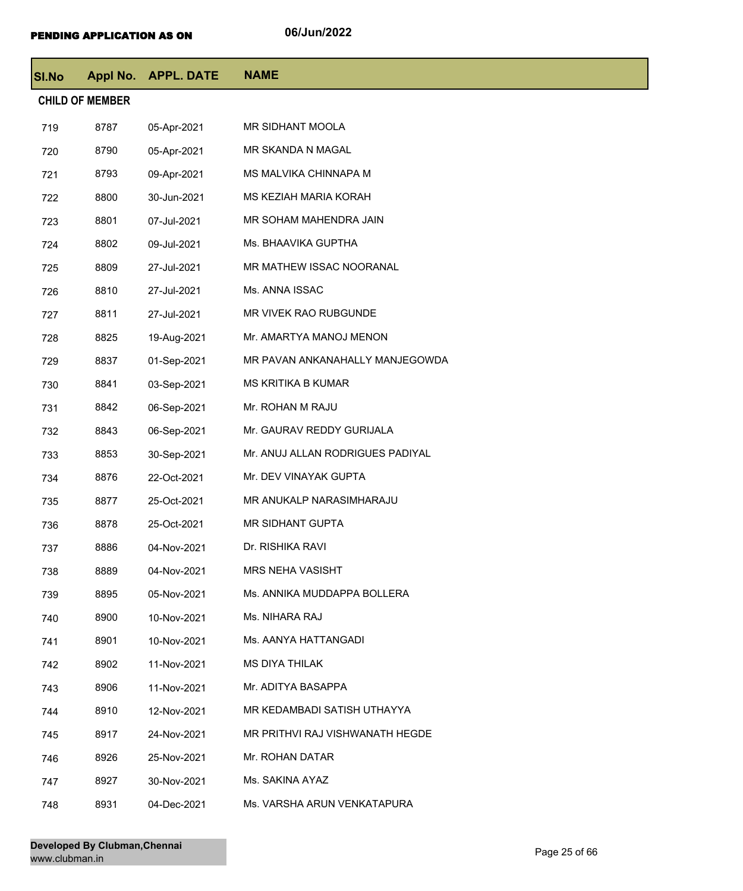| <b>SI.No</b> |                        | Appl No. APPL. DATE | <b>NAME</b>                      |
|--------------|------------------------|---------------------|----------------------------------|
|              | <b>CHILD OF MEMBER</b> |                     |                                  |
| 719          | 8787                   | 05-Apr-2021         | MR SIDHANT MOOLA                 |
| 720          | 8790                   | 05-Apr-2021         | MR SKANDA N MAGAL                |
| 721          | 8793                   | 09-Apr-2021         | MS MALVIKA CHINNAPA M            |
| 722          | 8800                   | 30-Jun-2021         | MS KEZIAH MARIA KORAH            |
| 723          | 8801                   | 07-Jul-2021         | MR SOHAM MAHENDRA JAIN           |
| 724          | 8802                   | 09-Jul-2021         | Ms. BHAAVIKA GUPTHA              |
| 725          | 8809                   | 27-Jul-2021         | MR MATHEW ISSAC NOORANAL         |
| 726          | 8810                   | 27-Jul-2021         | Ms. ANNA ISSAC                   |
| 727          | 8811                   | 27-Jul-2021         | MR VIVEK RAO RUBGUNDE            |
| 728          | 8825                   | 19-Aug-2021         | Mr. AMARTYA MANOJ MENON          |
| 729          | 8837                   | 01-Sep-2021         | MR PAVAN ANKANAHALLY MANJEGOWDA  |
| 730          | 8841                   | 03-Sep-2021         | MS KRITIKA B KUMAR               |
| 731          | 8842                   | 06-Sep-2021         | Mr. ROHAN M RAJU                 |
| 732          | 8843                   | 06-Sep-2021         | Mr. GAURAV REDDY GURIJALA        |
| 733          | 8853                   | 30-Sep-2021         | Mr. ANUJ ALLAN RODRIGUES PADIYAL |
| 734          | 8876                   | 22-Oct-2021         | Mr. DEV VINAYAK GUPTA            |
| 735          | 8877                   | 25-Oct-2021         | MR ANUKALP NARASIMHARAJU         |
| 736          | 8878                   | 25-Oct-2021         | MR SIDHANT GUPTA                 |
| 737          | 8886                   | 04-Nov-2021         | Dr. RISHIKA RAVI                 |
| 738          | 8889                   | 04-Nov-2021         | <b>MRS NEHA VASISHT</b>          |
| 739          | 8895                   | 05-Nov-2021         | Ms. ANNIKA MUDDAPPA BOLLERA      |
| 740          | 8900                   | 10-Nov-2021         | Ms. NIHARA RAJ                   |
| 741          | 8901                   | 10-Nov-2021         | Ms. AANYA HATTANGADI             |
| 742          | 8902                   | 11-Nov-2021         | <b>MS DIYA THILAK</b>            |
| 743          | 8906                   | 11-Nov-2021         | Mr. ADITYA BASAPPA               |
| 744          | 8910                   | 12-Nov-2021         | MR KEDAMBADI SATISH UTHAYYA      |
| 745          | 8917                   | 24-Nov-2021         | MR PRITHVI RAJ VISHWANATH HEGDE  |
| 746          | 8926                   | 25-Nov-2021         | Mr. ROHAN DATAR                  |
| 747          | 8927                   | 30-Nov-2021         | Ms. SAKINA AYAZ                  |
| 748          | 8931                   | 04-Dec-2021         | Ms. VARSHA ARUN VENKATAPURA      |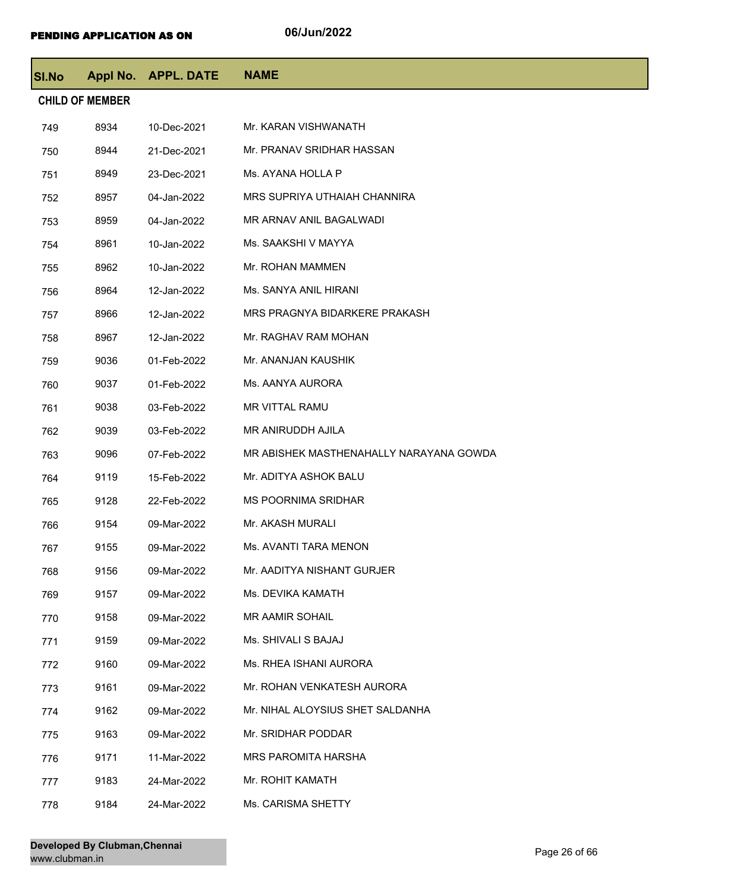| <b>SI.No</b> | Appl No.               | <b>APPL. DATE</b> | <b>NAME</b>                             |
|--------------|------------------------|-------------------|-----------------------------------------|
|              | <b>CHILD OF MEMBER</b> |                   |                                         |
| 749          | 8934                   | 10-Dec-2021       | Mr. KARAN VISHWANATH                    |
| 750          | 8944                   | 21-Dec-2021       | Mr. PRANAV SRIDHAR HASSAN               |
| 751          | 8949                   | 23-Dec-2021       | Ms. AYANA HOLLA P                       |
| 752          | 8957                   | 04-Jan-2022       | MRS SUPRIYA UTHAIAH CHANNIRA            |
| 753          | 8959                   | 04-Jan-2022       | MR ARNAV ANIL BAGALWADI                 |
| 754          | 8961                   | 10-Jan-2022       | Ms. SAAKSHI V MAYYA                     |
| 755          | 8962                   | 10-Jan-2022       | Mr. ROHAN MAMMEN                        |
| 756          | 8964                   | 12-Jan-2022       | Ms. SANYA ANIL HIRANI                   |
| 757          | 8966                   | 12-Jan-2022       | MRS PRAGNYA BIDARKERE PRAKASH           |
| 758          | 8967                   | 12-Jan-2022       | Mr. RAGHAV RAM MOHAN                    |
| 759          | 9036                   | 01-Feb-2022       | Mr. ANANJAN KAUSHIK                     |
| 760          | 9037                   | 01-Feb-2022       | Ms. AANYA AURORA                        |
| 761          | 9038                   | 03-Feb-2022       | <b>MR VITTAL RAMU</b>                   |
| 762          | 9039                   | 03-Feb-2022       | MR ANIRUDDH AJILA                       |
| 763          | 9096                   | 07-Feb-2022       | MR ABISHEK MASTHENAHALLY NARAYANA GOWDA |
| 764          | 9119                   | 15-Feb-2022       | Mr. ADITYA ASHOK BALU                   |
| 765          | 9128                   | 22-Feb-2022       | <b>MS POORNIMA SRIDHAR</b>              |
| 766          | 9154                   | 09-Mar-2022       | Mr. AKASH MURALI                        |
| 767          | 9155                   | 09-Mar-2022       | Ms. AVANTI TARA MENON                   |
| 768          | 9156                   | 09-Mar-2022       | Mr. AADITYA NISHANT GURJER              |
| 769          | 9157                   | 09-Mar-2022       | Ms. DEVIKA KAMATH                       |
| 770          | 9158                   | 09-Mar-2022       | MR AAMIR SOHAIL                         |
| 771          | 9159                   | 09-Mar-2022       | Ms. SHIVALI S BAJAJ                     |
| 772          | 9160                   | 09-Mar-2022       | Ms. RHEA ISHANI AURORA                  |
| 773          | 9161                   | 09-Mar-2022       | Mr. ROHAN VENKATESH AURORA              |
| 774          | 9162                   | 09-Mar-2022       | Mr. NIHAL ALOYSIUS SHET SALDANHA        |
| 775          | 9163                   | 09-Mar-2022       | Mr. SRIDHAR PODDAR                      |
| 776          | 9171                   | 11-Mar-2022       | MRS PAROMITA HARSHA                     |
| 777          | 9183                   | 24-Mar-2022       | Mr. ROHIT KAMATH                        |
| 778          | 9184                   | 24-Mar-2022       | Ms. CARISMA SHETTY                      |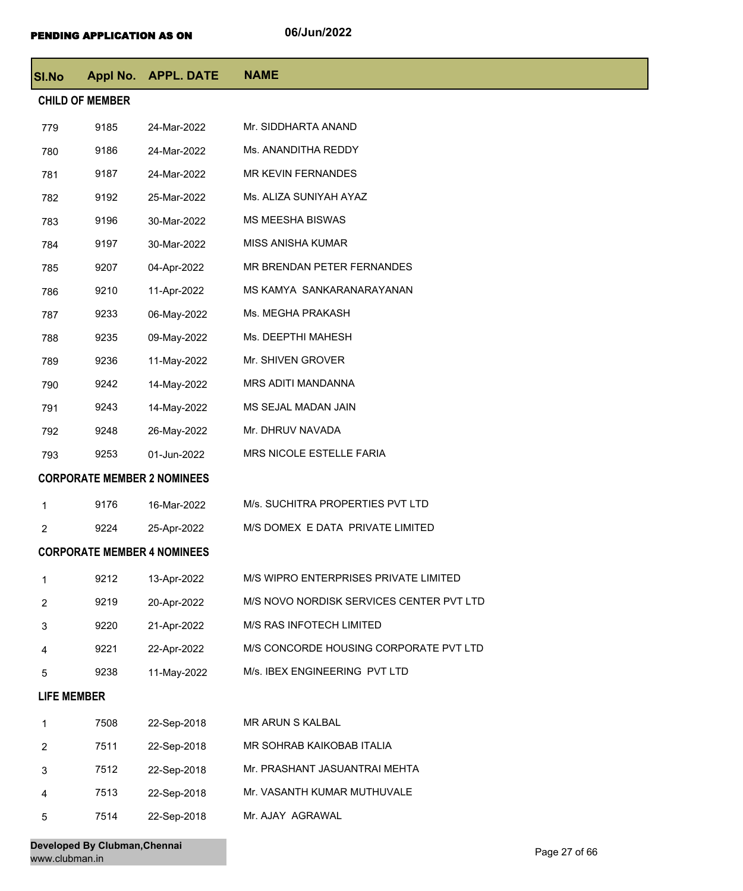| SI.No              |                        | Appl No. APPL. DATE                | <b>NAME</b>                              |
|--------------------|------------------------|------------------------------------|------------------------------------------|
|                    | <b>CHILD OF MEMBER</b> |                                    |                                          |
| 779                | 9185                   | 24-Mar-2022                        | Mr. SIDDHARTA ANAND                      |
| 780                | 9186                   | 24-Mar-2022                        | Ms. ANANDITHA REDDY                      |
| 781                | 9187                   | 24-Mar-2022                        | MR KEVIN FERNANDES                       |
| 782                | 9192                   | 25-Mar-2022                        | Ms. ALIZA SUNIYAH AYAZ                   |
| 783                | 9196                   | 30-Mar-2022                        | <b>MS MEESHA BISWAS</b>                  |
| 784                | 9197                   | 30-Mar-2022                        | MISS ANISHA KUMAR                        |
| 785                | 9207                   | 04-Apr-2022                        | MR BRENDAN PETER FERNANDES               |
| 786                | 9210                   | 11-Apr-2022                        | MS KAMYA SANKARANARAYANAN                |
| 787                | 9233                   | 06-May-2022                        | Ms. MEGHA PRAKASH                        |
| 788                | 9235                   | 09-May-2022                        | Ms. DEEPTHI MAHESH                       |
| 789                | 9236                   | 11-May-2022                        | Mr. SHIVEN GROVER                        |
| 790                | 9242                   | 14-May-2022                        | MRS ADITI MANDANNA                       |
| 791                | 9243                   | 14-May-2022                        | MS SEJAL MADAN JAIN                      |
| 792                | 9248                   | 26-May-2022                        | Mr. DHRUV NAVADA                         |
| 793                | 9253                   | 01-Jun-2022                        | MRS NICOLE ESTELLE FARIA                 |
|                    |                        | <b>CORPORATE MEMBER 2 NOMINEES</b> |                                          |
| 1                  | 9176                   | 16-Mar-2022                        | M/s. SUCHITRA PROPERTIES PVT LTD         |
| 2                  | 9224                   | 25-Apr-2022                        | M/S DOMEX E DATA PRIVATE LIMITED         |
|                    |                        | <b>CORPORATE MEMBER 4 NOMINEES</b> |                                          |
| 1                  | 9212                   | 13-Apr-2022                        | M/S WIPRO ENTERPRISES PRIVATE LIMITED    |
| 2                  | 9219                   | 20-Apr-2022                        | M/S NOVO NORDISK SERVICES CENTER PVT LTD |
| 3                  | 9220                   | 21-Apr-2022                        | M/S RAS INFOTECH LIMITED                 |
| 4                  | 9221                   | 22-Apr-2022                        | M/S CONCORDE HOUSING CORPORATE PVT LTD   |
| 5                  | 9238                   | 11-May-2022                        | M/s. IBEX ENGINEERING PVT LTD            |
| <b>LIFE MEMBER</b> |                        |                                    |                                          |
| $\mathbf{1}$       | 7508                   | 22-Sep-2018                        | MR ARUN S KALBAL                         |
| $\overline{2}$     | 7511                   | 22-Sep-2018                        | MR SOHRAB KAIKOBAB ITALIA                |
| 3                  | 7512                   | 22-Sep-2018                        | Mr. PRASHANT JASUANTRAI MEHTA            |
| 4                  | 7513                   | 22-Sep-2018                        | Mr. VASANTH KUMAR MUTHUVALE              |
| 5                  | 7514                   | 22-Sep-2018                        | Mr. AJAY AGRAWAL                         |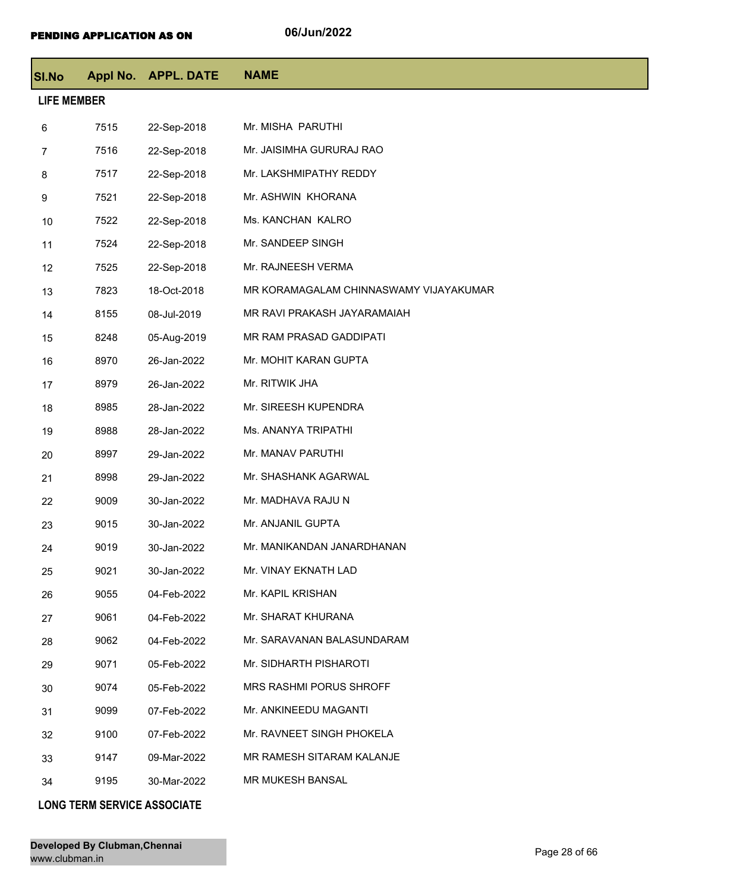| <b>SI.No</b> |                    | Appl No. APPL. DATE | <b>NAME</b>                            |  |  |  |
|--------------|--------------------|---------------------|----------------------------------------|--|--|--|
|              | <b>LIFE MEMBER</b> |                     |                                        |  |  |  |
| 6            | 7515               | 22-Sep-2018         | Mr. MISHA PARUTHI                      |  |  |  |
| 7            | 7516               | 22-Sep-2018         | Mr. JAISIMHA GURURAJ RAO               |  |  |  |
| 8            | 7517               | 22-Sep-2018         | Mr. LAKSHMIPATHY REDDY                 |  |  |  |
| 9            | 7521               | 22-Sep-2018         | Mr. ASHWIN KHORANA                     |  |  |  |
| 10           | 7522               | 22-Sep-2018         | Ms. KANCHAN KALRO                      |  |  |  |
| 11           | 7524               | 22-Sep-2018         | Mr. SANDEEP SINGH                      |  |  |  |
| 12           | 7525               | 22-Sep-2018         | Mr. RAJNEESH VERMA                     |  |  |  |
| 13           | 7823               | 18-Oct-2018         | MR KORAMAGALAM CHINNASWAMY VIJAYAKUMAR |  |  |  |
| 14           | 8155               | 08-Jul-2019         | MR RAVI PRAKASH JAYARAMAIAH            |  |  |  |
| 15           | 8248               | 05-Aug-2019         | MR RAM PRASAD GADDIPATI                |  |  |  |
| 16           | 8970               | 26-Jan-2022         | Mr. MOHIT KARAN GUPTA                  |  |  |  |
| 17           | 8979               | 26-Jan-2022         | Mr. RITWIK JHA                         |  |  |  |
| 18           | 8985               | 28-Jan-2022         | Mr. SIREESH KUPENDRA                   |  |  |  |
| 19           | 8988               | 28-Jan-2022         | Ms. ANANYA TRIPATHI                    |  |  |  |
| 20           | 8997               | 29-Jan-2022         | Mr. MANAV PARUTHI                      |  |  |  |
| 21           | 8998               | 29-Jan-2022         | Mr. SHASHANK AGARWAL                   |  |  |  |
| 22           | 9009               | 30-Jan-2022         | Mr. MADHAVA RAJU N                     |  |  |  |
| 23           | 9015               | 30-Jan-2022         | Mr. ANJANIL GUPTA                      |  |  |  |
| 24           | 9019               | 30-Jan-2022         | Mr. MANIKANDAN JANARDHANAN             |  |  |  |
| 25           | 9021               | 30-Jan-2022         | Mr. VINAY EKNATH LAD                   |  |  |  |
| 26           | 9055               | 04-Feb-2022         | Mr. KAPIL KRISHAN                      |  |  |  |
| 27           | 9061               | 04-Feb-2022         | Mr. SHARAT KHURANA                     |  |  |  |
| 28           | 9062               | 04-Feb-2022         | Mr. SARAVANAN BALASUNDARAM             |  |  |  |
| 29           | 9071               | 05-Feb-2022         | Mr. SIDHARTH PISHAROTI                 |  |  |  |
| 30           | 9074               | 05-Feb-2022         | <b>MRS RASHMI PORUS SHROFF</b>         |  |  |  |
| 31           | 9099               | 07-Feb-2022         | Mr. ANKINEEDU MAGANTI                  |  |  |  |
| 32           | 9100               | 07-Feb-2022         | Mr. RAVNEET SINGH PHOKELA              |  |  |  |
| 33           | 9147               | 09-Mar-2022         | MR RAMESH SITARAM KALANJE              |  |  |  |
| 34           | 9195               | 30-Mar-2022         | <b>MR MUKESH BANSAL</b>                |  |  |  |
|              |                    |                     |                                        |  |  |  |

## **LONG TERM SERVICE ASSOCIATE**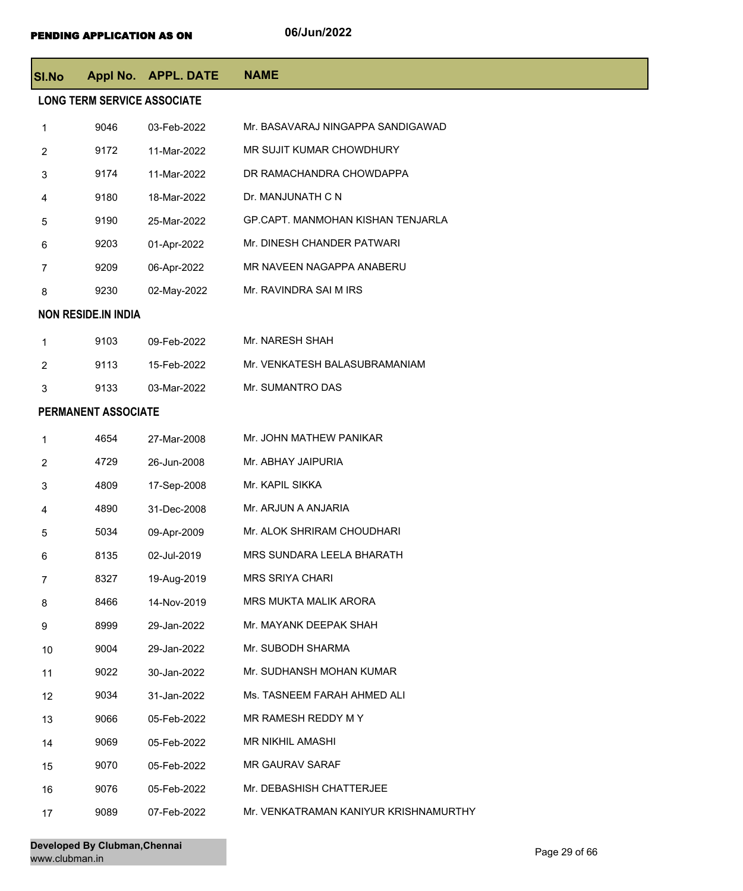| <b>SI.No</b>   |                                    | Appl No. APPL. DATE | <b>NAME</b>                           |  |  |
|----------------|------------------------------------|---------------------|---------------------------------------|--|--|
|                | <b>LONG TERM SERVICE ASSOCIATE</b> |                     |                                       |  |  |
| 1              | 9046                               | 03-Feb-2022         | Mr. BASAVARAJ NINGAPPA SANDIGAWAD     |  |  |
| $\overline{2}$ | 9172                               | 11-Mar-2022         | MR SUJIT KUMAR CHOWDHURY              |  |  |
| 3              | 9174                               | 11-Mar-2022         | DR RAMACHANDRA CHOWDAPPA              |  |  |
| 4              | 9180                               | 18-Mar-2022         | Dr. MANJUNATH C N                     |  |  |
| 5              | 9190                               | 25-Mar-2022         | GP.CAPT. MANMOHAN KISHAN TENJARLA     |  |  |
| 6              | 9203                               | 01-Apr-2022         | Mr. DINESH CHANDER PATWARI            |  |  |
| $\overline{7}$ | 9209                               | 06-Apr-2022         | MR NAVEEN NAGAPPA ANABERU             |  |  |
| 8              | 9230                               | 02-May-2022         | Mr. RAVINDRA SAI M IRS                |  |  |
|                | <b>NON RESIDE.IN INDIA</b>         |                     |                                       |  |  |
| 1              | 9103                               | 09-Feb-2022         | Mr. NARESH SHAH                       |  |  |
| $\overline{2}$ | 9113                               | 15-Feb-2022         | Mr. VENKATESH BALASUBRAMANIAM         |  |  |
| 3              | 9133                               | 03-Mar-2022         | Mr. SUMANTRO DAS                      |  |  |
|                | PERMANENT ASSOCIATE                |                     |                                       |  |  |
| 1              | 4654                               | 27-Mar-2008         | Mr. JOHN MATHEW PANIKAR               |  |  |
| $\overline{c}$ | 4729                               | 26-Jun-2008         | Mr. ABHAY JAIPURIA                    |  |  |
| 3              | 4809                               | 17-Sep-2008         | Mr. KAPIL SIKKA                       |  |  |
| 4              | 4890                               | 31-Dec-2008         | Mr. ARJUN A ANJARIA                   |  |  |
| 5              | 5034                               | 09-Apr-2009         | Mr. ALOK SHRIRAM CHOUDHARI            |  |  |
| 6              | 8135                               | 02-Jul-2019         | MRS SUNDARA LEELA BHARATH             |  |  |
| 7              | 8327                               | 19-Aug-2019         | <b>MRS SRIYA CHARI</b>                |  |  |
| 8              | 8466                               | 14-Nov-2019         | MRS MUKTA MALIK ARORA                 |  |  |
| 9              | 8999                               | 29-Jan-2022         | Mr. MAYANK DEEPAK SHAH                |  |  |
| 10             | 9004                               | 29-Jan-2022         | Mr. SUBODH SHARMA                     |  |  |
| 11             | 9022                               | 30-Jan-2022         | Mr. SUDHANSH MOHAN KUMAR              |  |  |
| 12             | 9034                               | 31-Jan-2022         | Ms. TASNEEM FARAH AHMED ALI           |  |  |
| 13             | 9066                               | 05-Feb-2022         | MR RAMESH REDDY M Y                   |  |  |
| 14             | 9069                               | 05-Feb-2022         | MR NIKHIL AMASHI                      |  |  |
| 15             | 9070                               | 05-Feb-2022         | <b>MR GAURAV SARAF</b>                |  |  |
| 16             | 9076                               | 05-Feb-2022         | Mr. DEBASHISH CHATTERJEE              |  |  |
| 17             | 9089                               | 07-Feb-2022         | Mr. VENKATRAMAN KANIYUR KRISHNAMURTHY |  |  |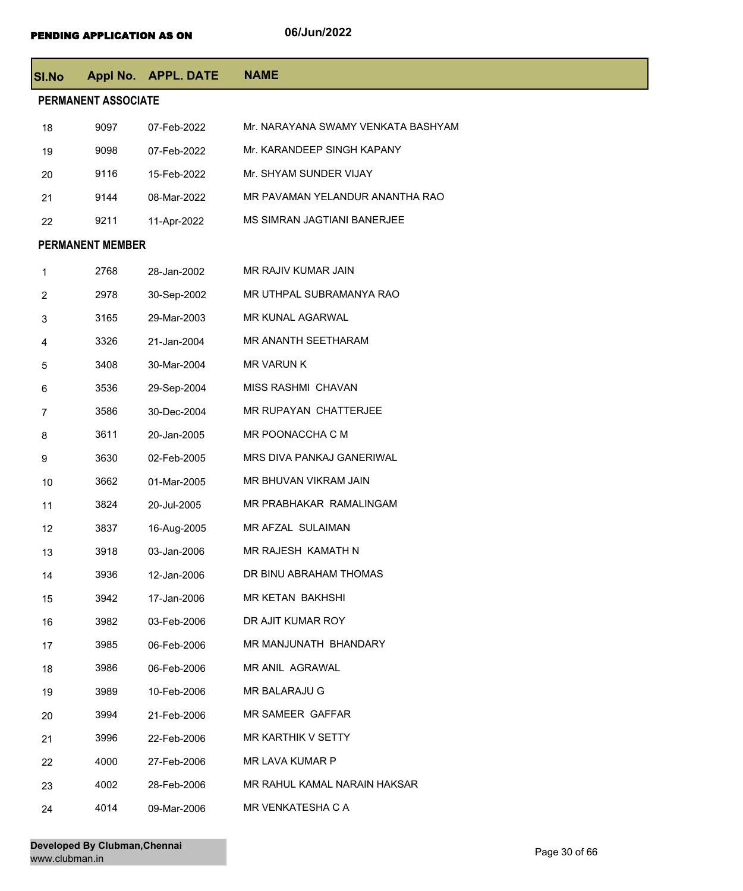| <b>SI.No</b>   |                         | Appl No. APPL. DATE | <b>NAME</b>                        |
|----------------|-------------------------|---------------------|------------------------------------|
|                | PERMANENT ASSOCIATE     |                     |                                    |
| 18             | 9097                    | 07-Feb-2022         | Mr. NARAYANA SWAMY VENKATA BASHYAM |
| 19             | 9098                    | 07-Feb-2022         | Mr. KARANDEEP SINGH KAPANY         |
| 20             | 9116                    | 15-Feb-2022         | Mr. SHYAM SUNDER VIJAY             |
| 21             | 9144                    | 08-Mar-2022         | MR PAVAMAN YELANDUR ANANTHA RAO    |
| 22             | 9211                    | 11-Apr-2022         | MS SIMRAN JAGTIANI BANERJEE        |
|                | <b>PERMANENT MEMBER</b> |                     |                                    |
| 1              | 2768                    | 28-Jan-2002         | MR RAJIV KUMAR JAIN                |
| $\overline{2}$ | 2978                    | 30-Sep-2002         | MR UTHPAL SUBRAMANYA RAO           |
| 3              | 3165                    | 29-Mar-2003         | MR KUNAL AGARWAL                   |
| 4              | 3326                    | 21-Jan-2004         | MR ANANTH SEETHARAM                |
| 5              | 3408                    | 30-Mar-2004         | <b>MR VARUN K</b>                  |
| 6              | 3536                    | 29-Sep-2004         | MISS RASHMI CHAVAN                 |
| 7              | 3586                    | 30-Dec-2004         | MR RUPAYAN CHATTERJEE              |
| 8              | 3611                    | 20-Jan-2005         | MR POONACCHA C M                   |
| 9              | 3630                    | 02-Feb-2005         | MRS DIVA PANKAJ GANERIWAL          |
| 10             | 3662                    | 01-Mar-2005         | MR BHUVAN VIKRAM JAIN              |
| 11             | 3824                    | 20-Jul-2005         | MR PRABHAKAR RAMALINGAM            |
| 12             | 3837                    | 16-Aug-2005         | MR AFZAL SULAIMAN                  |
| 13             | 3918                    | 03-Jan-2006         | MR RAJESH KAMATH N                 |
| 14             | 3936                    | 12-Jan-2006         | DR BINU ABRAHAM THOMAS             |
| 15             | 3942                    | 17-Jan-2006         | MR KETAN BAKHSHI                   |
| 16             | 3982                    | 03-Feb-2006         | DR AJIT KUMAR ROY                  |
| 17             | 3985                    | 06-Feb-2006         | MR MANJUNATH BHANDARY              |
| 18             | 3986                    | 06-Feb-2006         | MR ANIL AGRAWAL                    |
| 19             | 3989                    | 10-Feb-2006         | MR BALARAJU G                      |
| 20             | 3994                    | 21-Feb-2006         | MR SAMEER GAFFAR                   |
| 21             | 3996                    | 22-Feb-2006         | MR KARTHIK V SETTY                 |
| 22             | 4000                    | 27-Feb-2006         | MR LAVA KUMAR P                    |
| 23             | 4002                    | 28-Feb-2006         | MR RAHUL KAMAL NARAIN HAKSAR       |
| 24             | 4014                    | 09-Mar-2006         | MR VENKATESHA C A                  |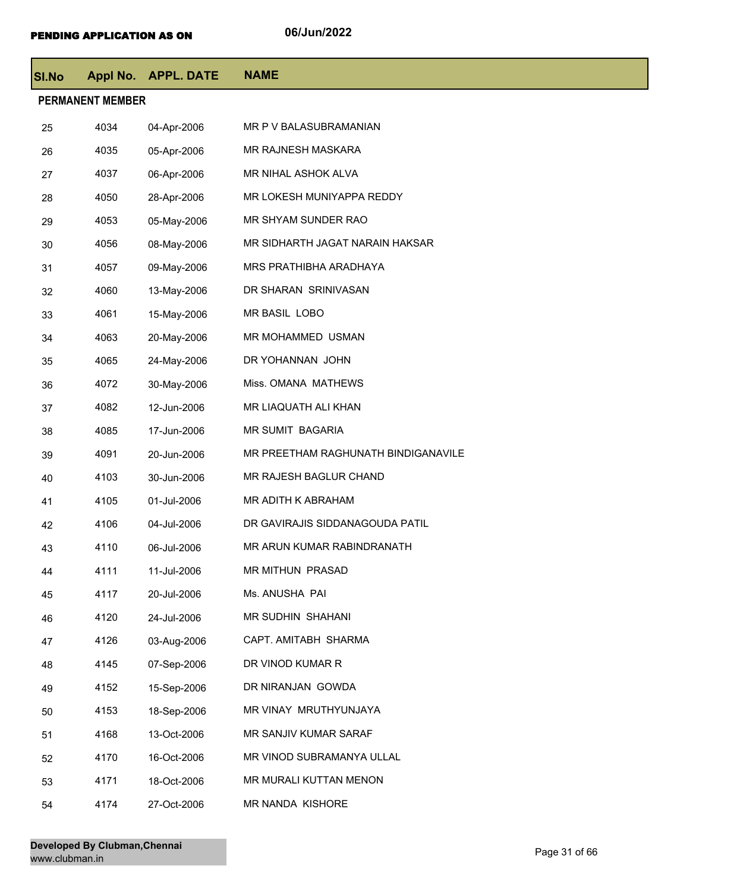| <b>SI.No</b> |                         | Appl No. APPL. DATE | <b>NAME</b>                         |  |  |  |
|--------------|-------------------------|---------------------|-------------------------------------|--|--|--|
|              | <b>PERMANENT MEMBER</b> |                     |                                     |  |  |  |
| 25           | 4034                    | 04-Apr-2006         | MR P V BALASUBRAMANIAN              |  |  |  |
| 26           | 4035                    | 05-Apr-2006         | MR RAJNESH MASKARA                  |  |  |  |
| 27           | 4037                    | 06-Apr-2006         | MR NIHAL ASHOK ALVA                 |  |  |  |
| 28           | 4050                    | 28-Apr-2006         | MR LOKESH MUNIYAPPA REDDY           |  |  |  |
| 29           | 4053                    | 05-May-2006         | MR SHYAM SUNDER RAO                 |  |  |  |
| 30           | 4056                    | 08-May-2006         | MR SIDHARTH JAGAT NARAIN HAKSAR     |  |  |  |
| 31           | 4057                    | 09-May-2006         | MRS PRATHIBHA ARADHAYA              |  |  |  |
| 32           | 4060                    | 13-May-2006         | DR SHARAN SRINIVASAN                |  |  |  |
| 33           | 4061                    | 15-May-2006         | MR BASIL LOBO                       |  |  |  |
| 34           | 4063                    | 20-May-2006         | MR MOHAMMED USMAN                   |  |  |  |
| 35           | 4065                    | 24-May-2006         | DR YOHANNAN JOHN                    |  |  |  |
| 36           | 4072                    | 30-May-2006         | Miss. OMANA MATHEWS                 |  |  |  |
| 37           | 4082                    | 12-Jun-2006         | MR LIAQUATH ALI KHAN                |  |  |  |
| 38           | 4085                    | 17-Jun-2006         | MR SUMIT BAGARIA                    |  |  |  |
| 39           | 4091                    | 20-Jun-2006         | MR PREETHAM RAGHUNATH BINDIGANAVILE |  |  |  |
| 40           | 4103                    | 30-Jun-2006         | MR RAJESH BAGLUR CHAND              |  |  |  |
| 41           | 4105                    | 01-Jul-2006         | MR ADITH K ABRAHAM                  |  |  |  |
| 42           | 4106                    | 04-Jul-2006         | DR GAVIRAJIS SIDDANAGOUDA PATIL     |  |  |  |
| 43           | 4110                    | 06-Jul-2006         | MR ARUN KUMAR RABINDRANATH          |  |  |  |
| 44           | 4111                    | 11-Jul-2006         | MR MITHUN PRASAD                    |  |  |  |
| 45           | 4117                    | 20-Jul-2006         | Ms. ANUSHA PAI                      |  |  |  |
| 46           | 4120                    | 24-Jul-2006         | MR SUDHIN SHAHANI                   |  |  |  |
| 47           | 4126                    | 03-Aug-2006         | CAPT. AMITABH SHARMA                |  |  |  |
| 48           | 4145                    | 07-Sep-2006         | DR VINOD KUMAR R                    |  |  |  |
| 49           | 4152                    | 15-Sep-2006         | DR NIRANJAN GOWDA                   |  |  |  |
| 50           | 4153                    | 18-Sep-2006         | MR VINAY MRUTHYUNJAYA               |  |  |  |
| 51           | 4168                    | 13-Oct-2006         | MR SANJIV KUMAR SARAF               |  |  |  |
| 52           | 4170                    | 16-Oct-2006         | MR VINOD SUBRAMANYA ULLAL           |  |  |  |
| 53           | 4171                    | 18-Oct-2006         | MR MURALI KUTTAN MENON              |  |  |  |
| 54           | 4174                    | 27-Oct-2006         | MR NANDA KISHORE                    |  |  |  |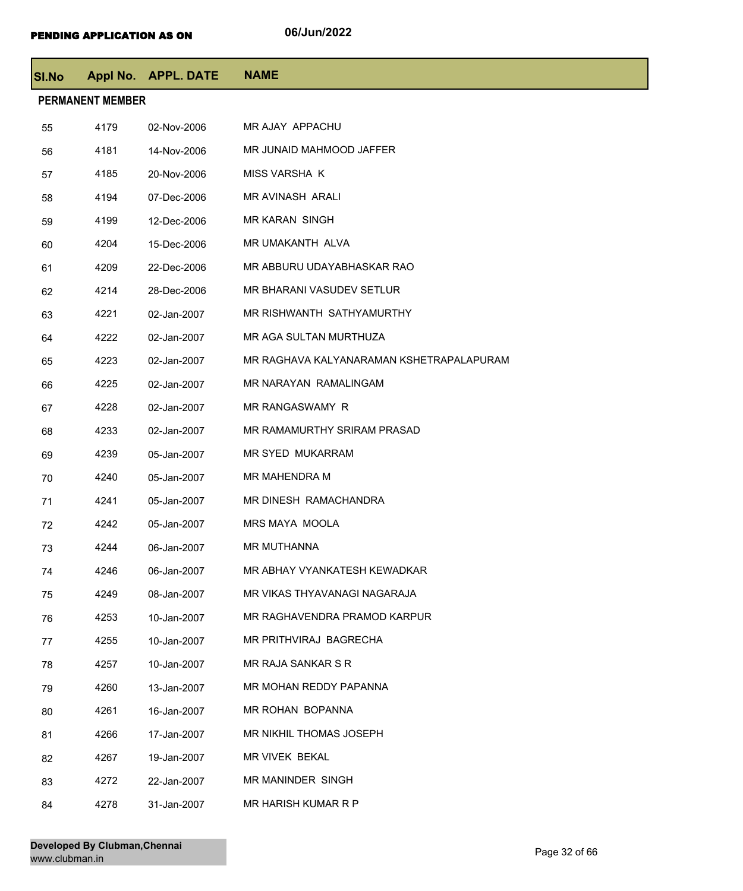| SI.No |                         | Appl No. APPL. DATE | <b>NAME</b>                              |
|-------|-------------------------|---------------------|------------------------------------------|
|       | <b>PERMANENT MEMBER</b> |                     |                                          |
| 55    | 4179                    | 02-Nov-2006         | MR AJAY APPACHU                          |
| 56    | 4181                    | 14-Nov-2006         | MR JUNAID MAHMOOD JAFFER                 |
| 57    | 4185                    | 20-Nov-2006         | <b>MISS VARSHA K</b>                     |
| 58    | 4194                    | 07-Dec-2006         | MR AVINASH ARALI                         |
| 59    | 4199                    | 12-Dec-2006         | <b>MR KARAN SINGH</b>                    |
| 60    | 4204                    | 15-Dec-2006         | MR UMAKANTH ALVA                         |
| 61    | 4209                    | 22-Dec-2006         | MR ABBURU UDAYABHASKAR RAO               |
| 62    | 4214                    | 28-Dec-2006         | MR BHARANI VASUDEV SETLUR                |
| 63    | 4221                    | 02-Jan-2007         | MR RISHWANTH SATHYAMURTHY                |
| 64    | 4222                    | 02-Jan-2007         | MR AGA SULTAN MURTHUZA                   |
| 65    | 4223                    | 02-Jan-2007         | MR RAGHAVA KALYANARAMAN KSHETRAPALAPURAM |
| 66    | 4225                    | 02-Jan-2007         | MR NARAYAN RAMALINGAM                    |
| 67    | 4228                    | 02-Jan-2007         | MR RANGASWAMY R                          |
| 68    | 4233                    | 02-Jan-2007         | MR RAMAMURTHY SRIRAM PRASAD              |
| 69    | 4239                    | 05-Jan-2007         | MR SYED MUKARRAM                         |
| 70    | 4240                    | 05-Jan-2007         | <b>MR MAHENDRA M</b>                     |
| 71    | 4241                    | 05-Jan-2007         | MR DINESH RAMACHANDRA                    |
| 72    | 4242                    | 05-Jan-2007         | <b>MRS MAYA MOOLA</b>                    |
| 73    | 4244                    | 06-Jan-2007         | MR MUTHANNA                              |
| 74    | 4246                    | 06-Jan-2007         | MR ABHAY VYANKATESH KEWADKAR             |
| 75    | 4249                    | 08-Jan-2007         | MR VIKAS THYAVANAGI NAGARAJA             |
| 76    | 4253                    | 10-Jan-2007         | MR RAGHAVENDRA PRAMOD KARPUR             |
| 77    | 4255                    | 10-Jan-2007         | MR PRITHVIRAJ BAGRECHA                   |
| 78    | 4257                    | 10-Jan-2007         | MR RAJA SANKAR S R                       |
| 79    | 4260                    | 13-Jan-2007         | MR MOHAN REDDY PAPANNA                   |
| 80    | 4261                    | 16-Jan-2007         | MR ROHAN BOPANNA                         |
| 81    | 4266                    | 17-Jan-2007         | MR NIKHIL THOMAS JOSEPH                  |
| 82    | 4267                    | 19-Jan-2007         | <b>MR VIVEK BEKAL</b>                    |
| 83    | 4272                    | 22-Jan-2007         | MR MANINDER SINGH                        |
| 84    | 4278                    | 31-Jan-2007         | MR HARISH KUMAR R P                      |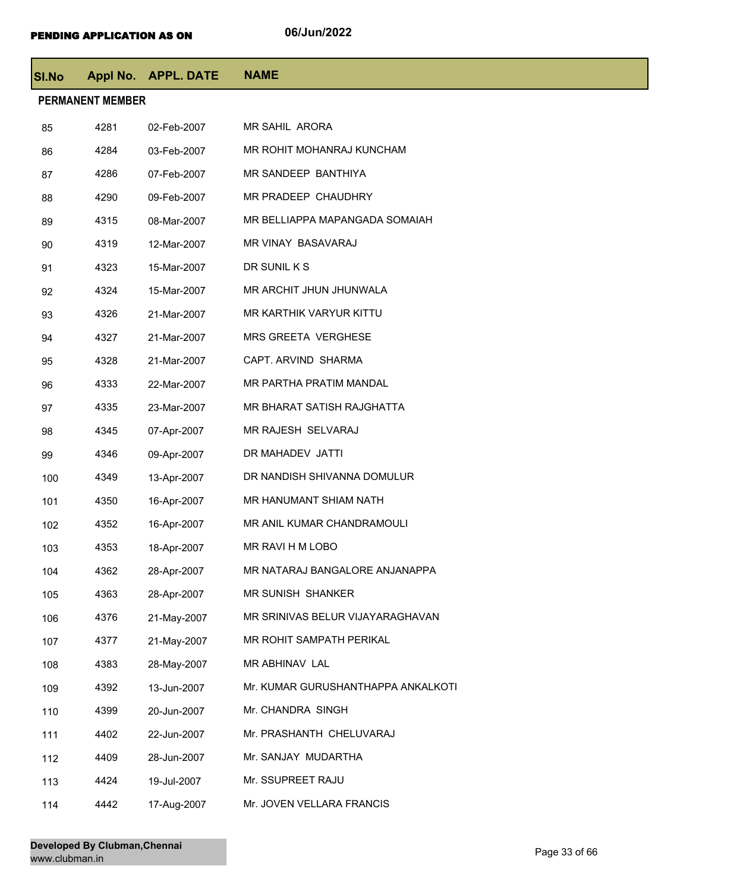| <b>SI.No</b> |                         | Appl No. APPL. DATE | <b>NAME</b>                        |
|--------------|-------------------------|---------------------|------------------------------------|
|              | <b>PERMANENT MEMBER</b> |                     |                                    |
| 85           | 4281                    | 02-Feb-2007         | <b>MR SAHIL ARORA</b>              |
| 86           | 4284                    | 03-Feb-2007         | MR ROHIT MOHANRAJ KUNCHAM          |
| 87           | 4286                    | 07-Feb-2007         | MR SANDEEP BANTHIYA                |
| 88           | 4290                    | 09-Feb-2007         | MR PRADEEP CHAUDHRY                |
| 89           | 4315                    | 08-Mar-2007         | MR BELLIAPPA MAPANGADA SOMAIAH     |
| 90           | 4319                    | 12-Mar-2007         | MR VINAY BASAVARAJ                 |
| 91           | 4323                    | 15-Mar-2007         | DR SUNIL K S                       |
| 92           | 4324                    | 15-Mar-2007         | MR ARCHIT JHUN JHUNWALA            |
| 93           | 4326                    | 21-Mar-2007         | MR KARTHIK VARYUR KITTU            |
| 94           | 4327                    | 21-Mar-2007         | MRS GREETA VERGHESE                |
| 95           | 4328                    | 21-Mar-2007         | CAPT. ARVIND SHARMA                |
| 96           | 4333                    | 22-Mar-2007         | MR PARTHA PRATIM MANDAL            |
| 97           | 4335                    | 23-Mar-2007         | MR BHARAT SATISH RAJGHATTA         |
| 98           | 4345                    | 07-Apr-2007         | MR RAJESH SELVARAJ                 |
| 99           | 4346                    | 09-Apr-2007         | DR MAHADEV JATTI                   |
| 100          | 4349                    | 13-Apr-2007         | DR NANDISH SHIVANNA DOMULUR        |
| 101          | 4350                    | 16-Apr-2007         | MR HANUMANT SHIAM NATH             |
| 102          | 4352                    | 16-Apr-2007         | MR ANIL KUMAR CHANDRAMOULI         |
| 103          | 4353                    | 18-Apr-2007         | MR RAVI H M LOBO                   |
| 104          | 4362                    | 28-Apr-2007         | MR NATARAJ BANGALORE ANJANAPPA     |
| 105          | 4363                    | 28-Apr-2007         | MR SUNISH SHANKER                  |
| 106          | 4376                    | 21-May-2007         | MR SRINIVAS BELUR VIJAYARAGHAVAN   |
| 107          | 4377                    | 21-May-2007         | MR ROHIT SAMPATH PERIKAL           |
| 108          | 4383                    | 28-May-2007         | MR ABHINAV LAL                     |
| 109          | 4392                    | 13-Jun-2007         | Mr. KUMAR GURUSHANTHAPPA ANKALKOTI |
| 110          | 4399                    | 20-Jun-2007         | Mr. CHANDRA SINGH                  |
| 111          | 4402                    | 22-Jun-2007         | Mr. PRASHANTH CHELUVARAJ           |
| 112          | 4409                    | 28-Jun-2007         | Mr. SANJAY MUDARTHA                |
| 113          | 4424                    | 19-Jul-2007         | Mr. SSUPREET RAJU                  |
| 114          | 4442                    | 17-Aug-2007         | Mr. JOVEN VELLARA FRANCIS          |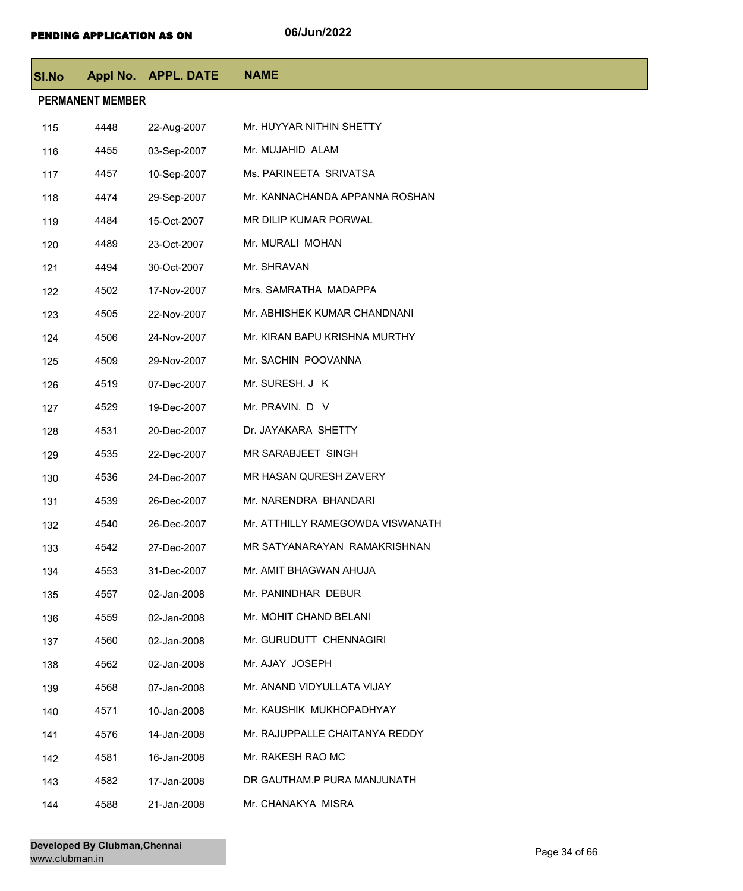| SI.No |                         | Appl No. APPL. DATE | <b>NAME</b>                      |
|-------|-------------------------|---------------------|----------------------------------|
|       | <b>PERMANENT MEMBER</b> |                     |                                  |
| 115   | 4448                    | 22-Aug-2007         | Mr. HUYYAR NITHIN SHETTY         |
| 116   | 4455                    | 03-Sep-2007         | Mr. MUJAHID ALAM                 |
| 117   | 4457                    | 10-Sep-2007         | Ms. PARINEETA SRIVATSA           |
| 118   | 4474                    | 29-Sep-2007         | Mr. KANNACHANDA APPANNA ROSHAN   |
| 119   | 4484                    | 15-Oct-2007         | MR DILIP KUMAR PORWAL            |
| 120   | 4489                    | 23-Oct-2007         | Mr. MURALI MOHAN                 |
| 121   | 4494                    | 30-Oct-2007         | Mr. SHRAVAN                      |
| 122   | 4502                    | 17-Nov-2007         | Mrs. SAMRATHA MADAPPA            |
| 123   | 4505                    | 22-Nov-2007         | Mr. ABHISHEK KUMAR CHANDNANI     |
| 124   | 4506                    | 24-Nov-2007         | Mr. KIRAN BAPU KRISHNA MURTHY    |
| 125   | 4509                    | 29-Nov-2007         | Mr. SACHIN POOVANNA              |
| 126   | 4519                    | 07-Dec-2007         | Mr. SURESH. J K                  |
| 127   | 4529                    | 19-Dec-2007         | Mr. PRAVIN. D V                  |
| 128   | 4531                    | 20-Dec-2007         | Dr. JAYAKARA SHETTY              |
| 129   | 4535                    | 22-Dec-2007         | MR SARABJEET SINGH               |
| 130   | 4536                    | 24-Dec-2007         | MR HASAN QURESH ZAVERY           |
| 131   | 4539                    | 26-Dec-2007         | Mr. NARENDRA BHANDARI            |
| 132   | 4540                    | 26-Dec-2007         | Mr. ATTHILLY RAMEGOWDA VISWANATH |
| 133   | 4542                    | 27-Dec-2007         | MR SATYANARAYAN RAMAKRISHNAN     |
| 134   | 4553                    | 31-Dec-2007         | Mr. AMIT BHAGWAN AHUJA           |
| 135   | 4557                    | 02-Jan-2008         | Mr. PANINDHAR DEBUR              |
| 136   | 4559                    | 02-Jan-2008         | Mr. MOHIT CHAND BELANI           |
| 137   | 4560                    | 02-Jan-2008         | Mr. GURUDUTT CHENNAGIRI          |
| 138   | 4562                    | 02-Jan-2008         | Mr. AJAY JOSEPH                  |
| 139   | 4568                    | 07-Jan-2008         | Mr. ANAND VIDYULLATA VIJAY       |
| 140   | 4571                    | 10-Jan-2008         | Mr. KAUSHIK MUKHOPADHYAY         |
| 141   | 4576                    | 14-Jan-2008         | Mr. RAJUPPALLE CHAITANYA REDDY   |
| 142   | 4581                    | 16-Jan-2008         | Mr. RAKESH RAO MC                |
| 143   | 4582                    | 17-Jan-2008         | DR GAUTHAM.P PURA MANJUNATH      |
| 144   | 4588                    | 21-Jan-2008         | Mr. CHANAKYA MISRA               |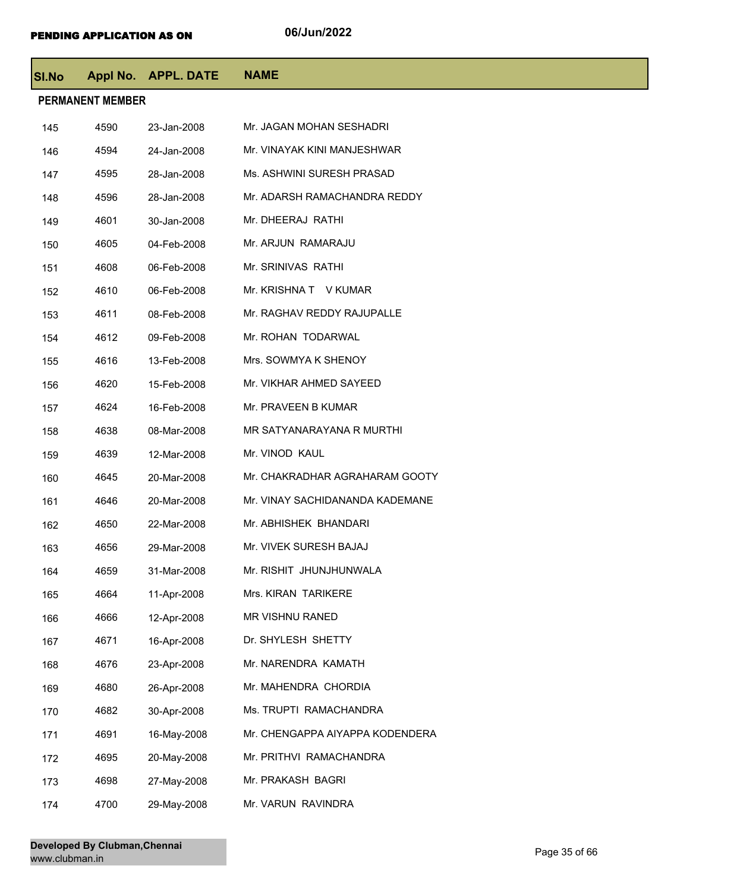| <b>SI.No</b> |                         | Appl No. APPL. DATE | <b>NAME</b>                     |
|--------------|-------------------------|---------------------|---------------------------------|
|              | <b>PERMANENT MEMBER</b> |                     |                                 |
| 145          | 4590                    | 23-Jan-2008         | Mr. JAGAN MOHAN SESHADRI        |
| 146          | 4594                    | 24-Jan-2008         | Mr. VINAYAK KINI MANJESHWAR     |
| 147          | 4595                    | 28-Jan-2008         | Ms. ASHWINI SURESH PRASAD       |
| 148          | 4596                    | 28-Jan-2008         | Mr. ADARSH RAMACHANDRA REDDY    |
| 149          | 4601                    | 30-Jan-2008         | Mr. DHEERAJ RATHI               |
| 150          | 4605                    | 04-Feb-2008         | Mr. ARJUN RAMARAJU              |
| 151          | 4608                    | 06-Feb-2008         | Mr. SRINIVAS RATHI              |
| 152          | 4610                    | 06-Feb-2008         | Mr. KRISHNA T V KUMAR           |
| 153          | 4611                    | 08-Feb-2008         | Mr. RAGHAV REDDY RAJUPALLE      |
| 154          | 4612                    | 09-Feb-2008         | Mr. ROHAN TODARWAL              |
| 155          | 4616                    | 13-Feb-2008         | Mrs. SOWMYA K SHENOY            |
| 156          | 4620                    | 15-Feb-2008         | Mr. VIKHAR AHMED SAYEED         |
| 157          | 4624                    | 16-Feb-2008         | Mr. PRAVEEN B KUMAR             |
| 158          | 4638                    | 08-Mar-2008         | MR SATYANARAYANA R MURTHI       |
| 159          | 4639                    | 12-Mar-2008         | Mr. VINOD KAUL                  |
| 160          | 4645                    | 20-Mar-2008         | Mr. CHAKRADHAR AGRAHARAM GOOTY  |
| 161          | 4646                    | 20-Mar-2008         | Mr. VINAY SACHIDANANDA KADEMANE |
| 162          | 4650                    | 22-Mar-2008         | Mr. ABHISHEK BHANDARI           |
| 163          | 4656                    | 29-Mar-2008         | Mr. VIVEK SURESH BAJAJ          |
| 164          | 4659                    | 31-Mar-2008         | Mr. RISHIT JHUNJHUNWALA         |
| 165          | 4664                    | 11-Apr-2008         | Mrs. KIRAN TARIKERE             |
| 166          | 4666                    | 12-Apr-2008         | MR VISHNU RANED                 |
| 167          | 4671                    | 16-Apr-2008         | Dr. SHYLESH SHETTY              |
| 168          | 4676                    | 23-Apr-2008         | Mr. NARENDRA KAMATH             |
| 169          | 4680                    | 26-Apr-2008         | Mr. MAHENDRA CHORDIA            |
| 170          | 4682                    | 30-Apr-2008         | Ms. TRUPTI RAMACHANDRA          |
| 171          | 4691                    | 16-May-2008         | Mr. CHENGAPPA AIYAPPA KODENDERA |
| 172          | 4695                    | 20-May-2008         | Mr. PRITHVI RAMACHANDRA         |
| 173          | 4698                    | 27-May-2008         | Mr. PRAKASH BAGRI               |
| 174          | 4700                    | 29-May-2008         | Mr. VARUN RAVINDRA              |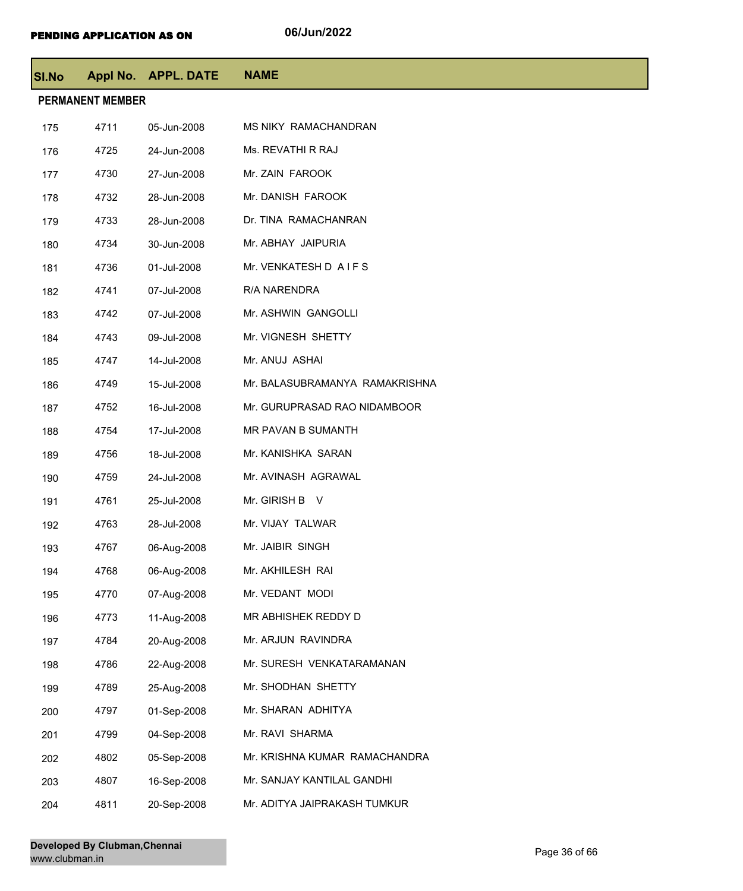| SI.No |                         | Appl No. APPL. DATE | <b>NAME</b>                    |
|-------|-------------------------|---------------------|--------------------------------|
|       | <b>PERMANENT MEMBER</b> |                     |                                |
| 175   | 4711                    | 05-Jun-2008         | MS NIKY RAMACHANDRAN           |
| 176   | 4725                    | 24-Jun-2008         | Ms. REVATHI R RAJ              |
| 177   | 4730                    | 27-Jun-2008         | Mr. ZAIN FAROOK                |
| 178   | 4732                    | 28-Jun-2008         | Mr. DANISH FAROOK              |
| 179   | 4733                    | 28-Jun-2008         | Dr. TINA RAMACHANRAN           |
| 180   | 4734                    | 30-Jun-2008         | Mr. ABHAY JAIPURIA             |
| 181   | 4736                    | 01-Jul-2008         | Mr. VENKATESH D AIFS           |
| 182   | 4741                    | 07-Jul-2008         | R/A NARENDRA                   |
| 183   | 4742                    | 07-Jul-2008         | Mr. ASHWIN GANGOLLI            |
| 184   | 4743                    | 09-Jul-2008         | Mr. VIGNESH SHETTY             |
| 185   | 4747                    | 14-Jul-2008         | Mr. ANUJ ASHAI                 |
| 186   | 4749                    | 15-Jul-2008         | Mr. BALASUBRAMANYA RAMAKRISHNA |
| 187   | 4752                    | 16-Jul-2008         | Mr. GURUPRASAD RAO NIDAMBOOR   |
| 188   | 4754                    | 17-Jul-2008         | MR PAVAN B SUMANTH             |
| 189   | 4756                    | 18-Jul-2008         | Mr. KANISHKA SARAN             |
| 190   | 4759                    | 24-Jul-2008         | Mr. AVINASH AGRAWAL            |
| 191   | 4761                    | 25-Jul-2008         | Mr. GIRISH B V                 |
| 192   | 4763                    | 28-Jul-2008         | Mr. VIJAY TALWAR               |
| 193   | 4767                    | 06-Aug-2008         | Mr. JAIBIR SINGH               |
| 194   | 4768                    | 06-Aug-2008         | Mr. AKHILESH RAI               |
| 195   | 4770                    | 07-Aug-2008         | Mr. VEDANT MODI                |
| 196   | 4773                    | 11-Aug-2008         | MR ABHISHEK REDDY D            |
| 197   | 4784                    | 20-Aug-2008         | Mr. ARJUN RAVINDRA             |
| 198   | 4786                    | 22-Aug-2008         | Mr. SURESH VENKATARAMANAN      |
| 199   | 4789                    | 25-Aug-2008         | Mr. SHODHAN SHETTY             |
| 200   | 4797                    | 01-Sep-2008         | Mr. SHARAN ADHITYA             |
| 201   | 4799                    | 04-Sep-2008         | Mr. RAVI SHARMA                |
| 202   | 4802                    | 05-Sep-2008         | Mr. KRISHNA KUMAR RAMACHANDRA  |
| 203   | 4807                    | 16-Sep-2008         | Mr. SANJAY KANTILAL GANDHI     |
| 204   | 4811                    | 20-Sep-2008         | Mr. ADITYA JAIPRAKASH TUMKUR   |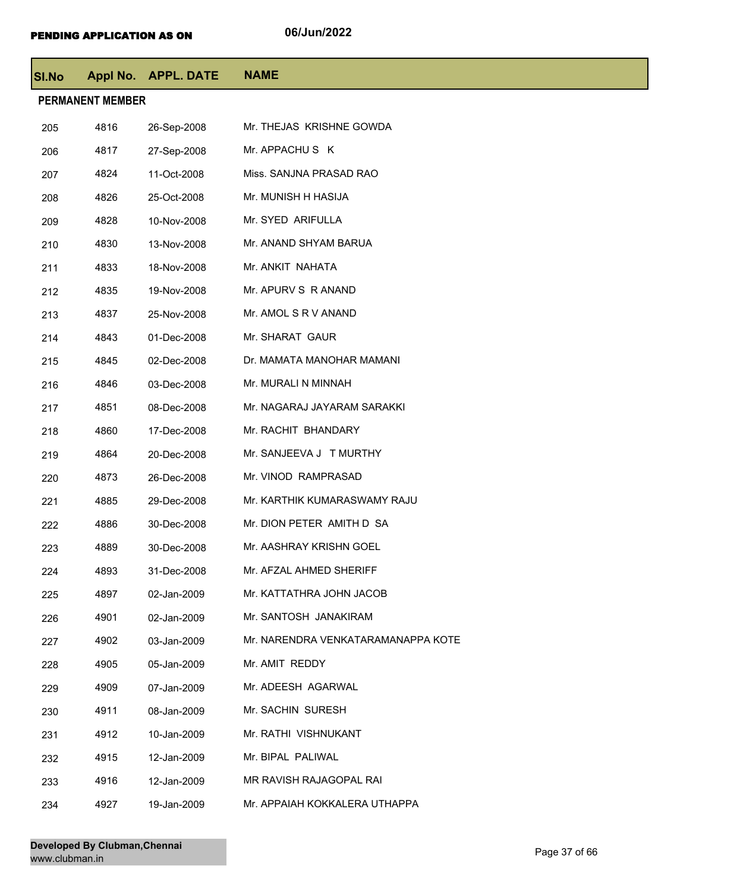| SI.No |                         | Appl No. APPL. DATE | <b>NAME</b>                        |  |  |  |
|-------|-------------------------|---------------------|------------------------------------|--|--|--|
|       | <b>PERMANENT MEMBER</b> |                     |                                    |  |  |  |
| 205   | 4816                    | 26-Sep-2008         | Mr. THEJAS KRISHNE GOWDA           |  |  |  |
| 206   | 4817                    | 27-Sep-2008         | Mr. APPACHUS K                     |  |  |  |
| 207   | 4824                    | 11-Oct-2008         | Miss. SANJNA PRASAD RAO            |  |  |  |
| 208   | 4826                    | 25-Oct-2008         | Mr. MUNISH H HASIJA                |  |  |  |
| 209   | 4828                    | 10-Nov-2008         | Mr. SYED ARIFULLA                  |  |  |  |
| 210   | 4830                    | 13-Nov-2008         | Mr. ANAND SHYAM BARUA              |  |  |  |
| 211   | 4833                    | 18-Nov-2008         | Mr. ANKIT NAHATA                   |  |  |  |
| 212   | 4835                    | 19-Nov-2008         | Mr. APURV S R ANAND                |  |  |  |
| 213   | 4837                    | 25-Nov-2008         | Mr. AMOL S R V ANAND               |  |  |  |
| 214   | 4843                    | 01-Dec-2008         | Mr. SHARAT GAUR                    |  |  |  |
| 215   | 4845                    | 02-Dec-2008         | Dr. MAMATA MANOHAR MAMANI          |  |  |  |
| 216   | 4846                    | 03-Dec-2008         | Mr. MURALI N MINNAH                |  |  |  |
| 217   | 4851                    | 08-Dec-2008         | Mr. NAGARAJ JAYARAM SARAKKI        |  |  |  |
| 218   | 4860                    | 17-Dec-2008         | Mr. RACHIT BHANDARY                |  |  |  |
| 219   | 4864                    | 20-Dec-2008         | Mr. SANJEEVA J T MURTHY            |  |  |  |
| 220   | 4873                    | 26-Dec-2008         | Mr. VINOD RAMPRASAD                |  |  |  |
| 221   | 4885                    | 29-Dec-2008         | Mr. KARTHIK KUMARASWAMY RAJU       |  |  |  |
| 222   | 4886                    | 30-Dec-2008         | Mr. DION PETER AMITH D SA          |  |  |  |
| 223   | 4889                    | 30-Dec-2008         | Mr. AASHRAY KRISHN GOEL            |  |  |  |
| 224   | 4893                    | 31-Dec-2008         | Mr. AFZAL AHMED SHERIFF            |  |  |  |
| 225   | 4897                    | 02-Jan-2009         | Mr. KATTATHRA JOHN JACOB           |  |  |  |
| 226   | 4901                    | 02-Jan-2009         | Mr. SANTOSH JANAKIRAM              |  |  |  |
| 227   | 4902                    | 03-Jan-2009         | Mr. NARENDRA VENKATARAMANAPPA KOTE |  |  |  |
| 228   | 4905                    | 05-Jan-2009         | Mr. AMIT REDDY                     |  |  |  |
| 229   | 4909                    | 07-Jan-2009         | Mr. ADEESH AGARWAL                 |  |  |  |
| 230   | 4911                    | 08-Jan-2009         | Mr. SACHIN SURESH                  |  |  |  |
| 231   | 4912                    | 10-Jan-2009         | Mr. RATHI VISHNUKANT               |  |  |  |
| 232   | 4915                    | 12-Jan-2009         | Mr. BIPAL PALIWAL                  |  |  |  |
| 233   | 4916                    | 12-Jan-2009         | MR RAVISH RAJAGOPAL RAI            |  |  |  |
| 234   | 4927                    | 19-Jan-2009         | Mr. APPAIAH KOKKALERA UTHAPPA      |  |  |  |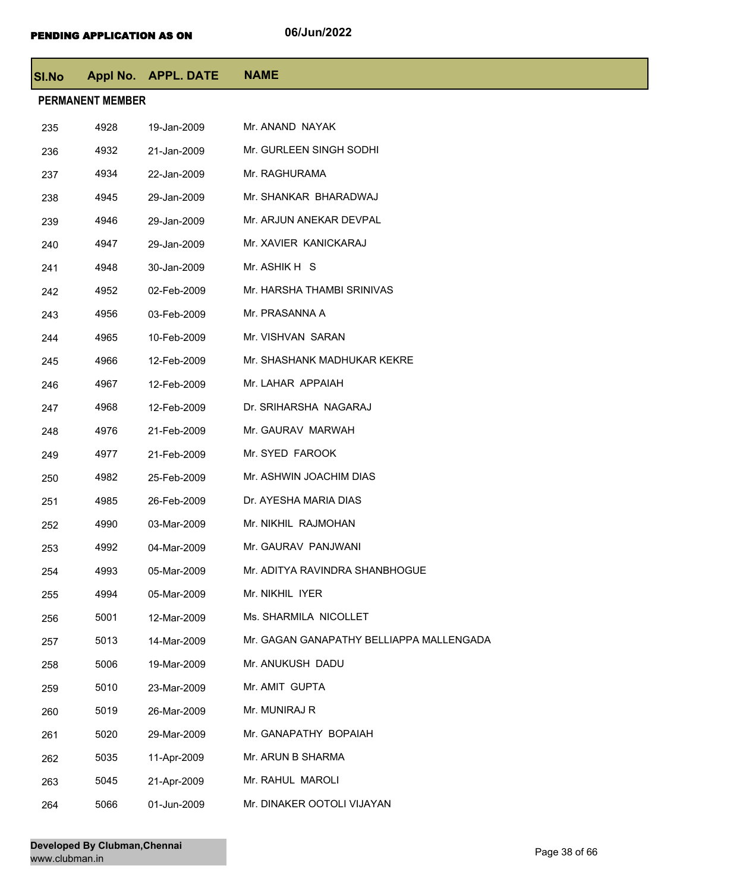| <b>SI.No</b> |                         | Appl No. APPL. DATE | <b>NAME</b>                              |  |  |  |
|--------------|-------------------------|---------------------|------------------------------------------|--|--|--|
|              | <b>PERMANENT MEMBER</b> |                     |                                          |  |  |  |
| 235          | 4928                    | 19-Jan-2009         | Mr. ANAND NAYAK                          |  |  |  |
| 236          | 4932                    | 21-Jan-2009         | Mr. GURLEEN SINGH SODHI                  |  |  |  |
| 237          | 4934                    | 22-Jan-2009         | Mr. RAGHURAMA                            |  |  |  |
| 238          | 4945                    | 29-Jan-2009         | Mr. SHANKAR BHARADWAJ                    |  |  |  |
| 239          | 4946                    | 29-Jan-2009         | Mr. ARJUN ANEKAR DEVPAL                  |  |  |  |
| 240          | 4947                    | 29-Jan-2009         | Mr. XAVIER KANICKARAJ                    |  |  |  |
| 241          | 4948                    | 30-Jan-2009         | Mr. ASHIK H S                            |  |  |  |
| 242          | 4952                    | 02-Feb-2009         | Mr. HARSHA THAMBI SRINIVAS               |  |  |  |
| 243          | 4956                    | 03-Feb-2009         | Mr. PRASANNA A                           |  |  |  |
| 244          | 4965                    | 10-Feb-2009         | Mr. VISHVAN SARAN                        |  |  |  |
| 245          | 4966                    | 12-Feb-2009         | Mr. SHASHANK MADHUKAR KEKRE              |  |  |  |
| 246          | 4967                    | 12-Feb-2009         | Mr. LAHAR APPAIAH                        |  |  |  |
| 247          | 4968                    | 12-Feb-2009         | Dr. SRIHARSHA NAGARAJ                    |  |  |  |
| 248          | 4976                    | 21-Feb-2009         | Mr. GAURAV MARWAH                        |  |  |  |
| 249          | 4977                    | 21-Feb-2009         | Mr. SYED FAROOK                          |  |  |  |
| 250          | 4982                    | 25-Feb-2009         | Mr. ASHWIN JOACHIM DIAS                  |  |  |  |
| 251          | 4985                    | 26-Feb-2009         | Dr. AYESHA MARIA DIAS                    |  |  |  |
| 252          | 4990                    | 03-Mar-2009         | Mr. NIKHIL RAJMOHAN                      |  |  |  |
| 253          | 4992                    | 04-Mar-2009         | Mr. GAURAV PANJWANI                      |  |  |  |
| 254          | 4993                    | 05-Mar-2009         | Mr. ADITYA RAVINDRA SHANBHOGUE           |  |  |  |
| 255          | 4994                    | 05-Mar-2009         | Mr. NIKHIL IYER                          |  |  |  |
| 256          | 5001                    | 12-Mar-2009         | Ms. SHARMILA NICOLLET                    |  |  |  |
| 257          | 5013                    | 14-Mar-2009         | Mr. GAGAN GANAPATHY BELLIAPPA MALLENGADA |  |  |  |
| 258          | 5006                    | 19-Mar-2009         | Mr. ANUKUSH DADU                         |  |  |  |
| 259          | 5010                    | 23-Mar-2009         | Mr. AMIT GUPTA                           |  |  |  |
| 260          | 5019                    | 26-Mar-2009         | Mr. MUNIRAJ R                            |  |  |  |
| 261          | 5020                    | 29-Mar-2009         | Mr. GANAPATHY BOPAIAH                    |  |  |  |
| 262          | 5035                    | 11-Apr-2009         | Mr. ARUN B SHARMA                        |  |  |  |
| 263          | 5045                    | 21-Apr-2009         | Mr. RAHUL MAROLI                         |  |  |  |
| 264          | 5066                    | 01-Jun-2009         | Mr. DINAKER OOTOLI VIJAYAN               |  |  |  |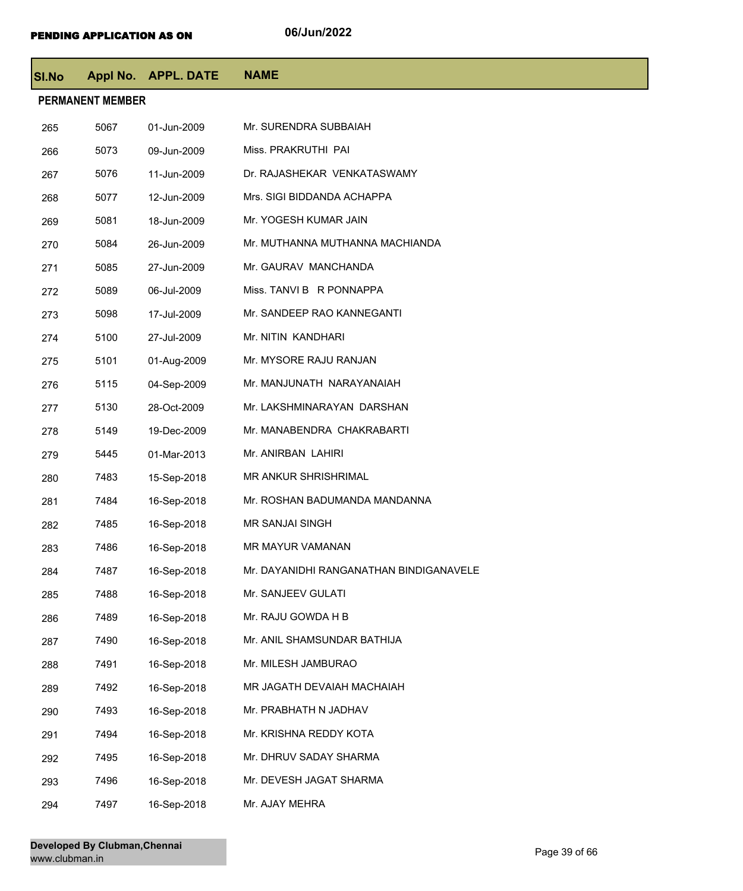| <b>SI.No</b> |                         | Appl No. APPL. DATE | <b>NAME</b>                             |  |  |
|--------------|-------------------------|---------------------|-----------------------------------------|--|--|
|              | <b>PERMANENT MEMBER</b> |                     |                                         |  |  |
| 265          | 5067                    | 01-Jun-2009         | Mr. SURENDRA SUBBAIAH                   |  |  |
| 266          | 5073                    | 09-Jun-2009         | Miss. PRAKRUTHI PAI                     |  |  |
| 267          | 5076                    | 11-Jun-2009         | Dr. RAJASHEKAR VENKATASWAMY             |  |  |
| 268          | 5077                    | 12-Jun-2009         | Mrs. SIGI BIDDANDA ACHAPPA              |  |  |
| 269          | 5081                    | 18-Jun-2009         | Mr. YOGESH KUMAR JAIN                   |  |  |
| 270          | 5084                    | 26-Jun-2009         | Mr. MUTHANNA MUTHANNA MACHIANDA         |  |  |
| 271          | 5085                    | 27-Jun-2009         | Mr. GAURAV MANCHANDA                    |  |  |
| 272          | 5089                    | 06-Jul-2009         | Miss. TANVI B R PONNAPPA                |  |  |
| 273          | 5098                    | 17-Jul-2009         | Mr. SANDEEP RAO KANNEGANTI              |  |  |
| 274          | 5100                    | 27-Jul-2009         | Mr. NITIN KANDHARI                      |  |  |
| 275          | 5101                    | 01-Aug-2009         | Mr. MYSORE RAJU RANJAN                  |  |  |
| 276          | 5115                    | 04-Sep-2009         | Mr. MANJUNATH NARAYANAIAH               |  |  |
| 277          | 5130                    | 28-Oct-2009         | Mr. LAKSHMINARAYAN DARSHAN              |  |  |
| 278          | 5149                    | 19-Dec-2009         | Mr. MANABENDRA CHAKRABARTI              |  |  |
| 279          | 5445                    | 01-Mar-2013         | Mr. ANIRBAN LAHIRI                      |  |  |
| 280          | 7483                    | 15-Sep-2018         | MR ANKUR SHRISHRIMAL                    |  |  |
| 281          | 7484                    | 16-Sep-2018         | Mr. ROSHAN BADUMANDA MANDANNA           |  |  |
| 282          | 7485                    | 16-Sep-2018         | <b>MR SANJAI SINGH</b>                  |  |  |
| 283          | 7486                    | 16-Sep-2018         | <b>MR MAYUR VAMANAN</b>                 |  |  |
| 284          | 7487                    | 16-Sep-2018         | Mr. DAYANIDHI RANGANATHAN BINDIGANAVELE |  |  |
| 285          | 7488                    | 16-Sep-2018         | Mr. SANJEEV GULATI                      |  |  |
| 286          | 7489                    | 16-Sep-2018         | Mr. RAJU GOWDA H B                      |  |  |
| 287          | 7490                    | 16-Sep-2018         | Mr. ANIL SHAMSUNDAR BATHIJA             |  |  |
| 288          | 7491                    | 16-Sep-2018         | Mr. MILESH JAMBURAO                     |  |  |
| 289          | 7492                    | 16-Sep-2018         | MR JAGATH DEVAIAH MACHAIAH              |  |  |
| 290          | 7493                    | 16-Sep-2018         | Mr. PRABHATH N JADHAV                   |  |  |
| 291          | 7494                    | 16-Sep-2018         | Mr. KRISHNA REDDY KOTA                  |  |  |
| 292          | 7495                    | 16-Sep-2018         | Mr. DHRUV SADAY SHARMA                  |  |  |
| 293          | 7496                    | 16-Sep-2018         | Mr. DEVESH JAGAT SHARMA                 |  |  |
| 294          | 7497                    | 16-Sep-2018         | Mr. AJAY MEHRA                          |  |  |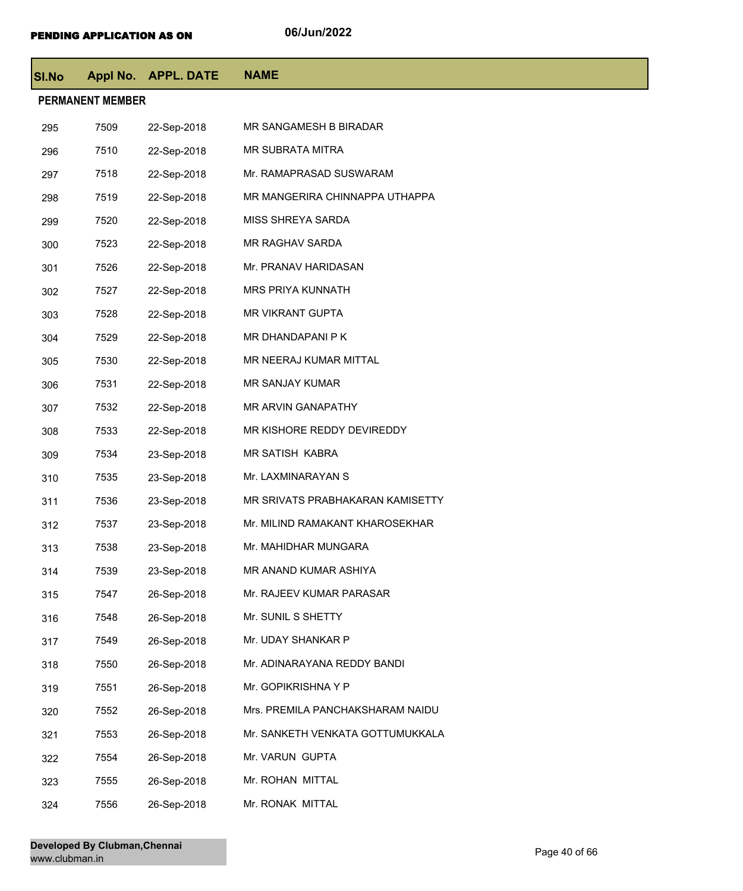| <b>SI.No</b> |                         | Appl No. APPL. DATE | <b>NAME</b>                      |
|--------------|-------------------------|---------------------|----------------------------------|
|              | <b>PERMANENT MEMBER</b> |                     |                                  |
| 295          | 7509                    | 22-Sep-2018         | MR SANGAMESH B BIRADAR           |
| 296          | 7510                    | 22-Sep-2018         | MR SUBRATA MITRA                 |
| 297          | 7518                    | 22-Sep-2018         | Mr. RAMAPRASAD SUSWARAM          |
| 298          | 7519                    | 22-Sep-2018         | MR MANGERIRA CHINNAPPA UTHAPPA   |
| 299          | 7520                    | 22-Sep-2018         | MISS SHREYA SARDA                |
| 300          | 7523                    | 22-Sep-2018         | MR RAGHAV SARDA                  |
| 301          | 7526                    | 22-Sep-2018         | Mr. PRANAV HARIDASAN             |
| 302          | 7527                    | 22-Sep-2018         | MRS PRIYA KUNNATH                |
| 303          | 7528                    | 22-Sep-2018         | MR VIKRANT GUPTA                 |
| 304          | 7529                    | 22-Sep-2018         | MR DHANDAPANI P K                |
| 305          | 7530                    | 22-Sep-2018         | MR NEERAJ KUMAR MITTAL           |
| 306          | 7531                    | 22-Sep-2018         | MR SANJAY KUMAR                  |
| 307          | 7532                    | 22-Sep-2018         | MR ARVIN GANAPATHY               |
| 308          | 7533                    | 22-Sep-2018         | MR KISHORE REDDY DEVIREDDY       |
| 309          | 7534                    | 23-Sep-2018         | MR SATISH KABRA                  |
| 310          | 7535                    | 23-Sep-2018         | Mr. LAXMINARAYAN S               |
| 311          | 7536                    | 23-Sep-2018         | MR SRIVATS PRABHAKARAN KAMISETTY |
| 312          | 7537                    | 23-Sep-2018         | Mr. MILIND RAMAKANT KHAROSEKHAR  |
| 313          | 7538                    | 23-Sep-2018         | Mr. MAHIDHAR MUNGARA             |
| 314          | 7539                    | 23-Sep-2018         | MR ANAND KUMAR ASHIYA            |
| 315          | 7547                    | 26-Sep-2018         | Mr. RAJEEV KUMAR PARASAR         |
| 316          | 7548                    | 26-Sep-2018         | Mr. SUNIL S SHETTY               |
| 317          | 7549                    | 26-Sep-2018         | Mr. UDAY SHANKAR P               |
| 318          | 7550                    | 26-Sep-2018         | Mr. ADINARAYANA REDDY BANDI      |
| 319          | 7551                    | 26-Sep-2018         | Mr. GOPIKRISHNA Y P              |
| 320          | 7552                    | 26-Sep-2018         | Mrs. PREMILA PANCHAKSHARAM NAIDU |
| 321          | 7553                    | 26-Sep-2018         | Mr. SANKETH VENKATA GOTTUMUKKALA |
| 322          | 7554                    | 26-Sep-2018         | Mr. VARUN GUPTA                  |
| 323          | 7555                    | 26-Sep-2018         | Mr. ROHAN MITTAL                 |
| 324          | 7556                    | 26-Sep-2018         | Mr. RONAK MITTAL                 |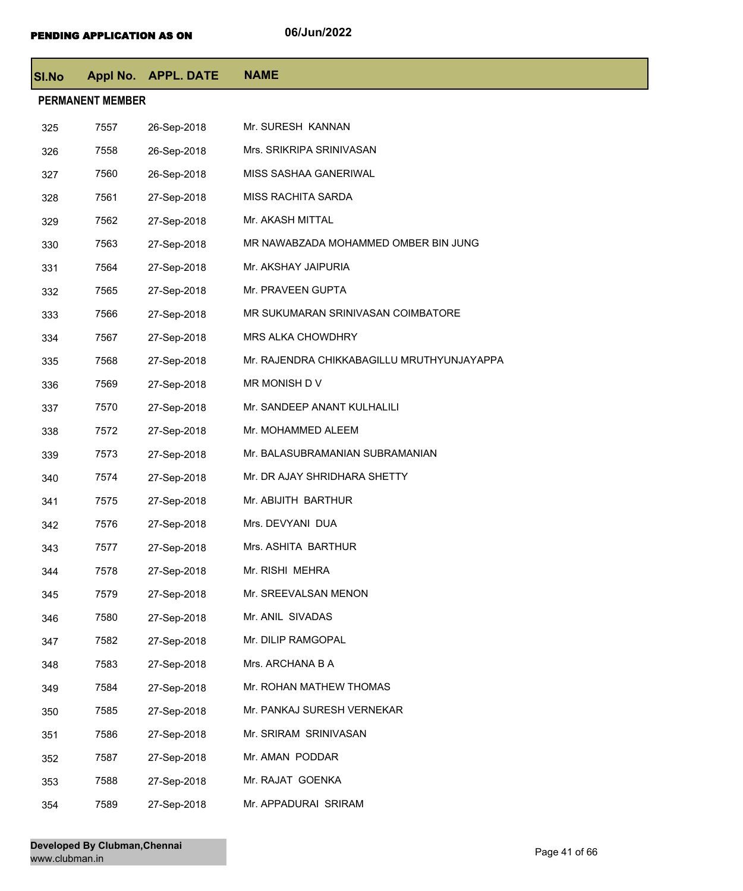| SI.No                   |      | Appl No. APPL. DATE | <b>NAME</b>                                |  |  |
|-------------------------|------|---------------------|--------------------------------------------|--|--|
| <b>PERMANENT MEMBER</b> |      |                     |                                            |  |  |
| 325                     | 7557 | 26-Sep-2018         | Mr. SURESH KANNAN                          |  |  |
| 326                     | 7558 | 26-Sep-2018         | Mrs. SRIKRIPA SRINIVASAN                   |  |  |
| 327                     | 7560 | 26-Sep-2018         | MISS SASHAA GANERIWAL                      |  |  |
| 328                     | 7561 | 27-Sep-2018         | MISS RACHITA SARDA                         |  |  |
| 329                     | 7562 | 27-Sep-2018         | Mr. AKASH MITTAL                           |  |  |
| 330                     | 7563 | 27-Sep-2018         | MR NAWABZADA MOHAMMED OMBER BIN JUNG       |  |  |
| 331                     | 7564 | 27-Sep-2018         | Mr. AKSHAY JAIPURIA                        |  |  |
| 332                     | 7565 | 27-Sep-2018         | Mr. PRAVEEN GUPTA                          |  |  |
| 333                     | 7566 | 27-Sep-2018         | MR SUKUMARAN SRINIVASAN COIMBATORE         |  |  |
| 334                     | 7567 | 27-Sep-2018         | <b>MRS ALKA CHOWDHRY</b>                   |  |  |
| 335                     | 7568 | 27-Sep-2018         | Mr. RAJENDRA CHIKKABAGILLU MRUTHYUNJAYAPPA |  |  |
| 336                     | 7569 | 27-Sep-2018         | MR MONISH D V                              |  |  |
| 337                     | 7570 | 27-Sep-2018         | Mr. SANDEEP ANANT KULHALILI                |  |  |
| 338                     | 7572 | 27-Sep-2018         | Mr. MOHAMMED ALEEM                         |  |  |
| 339                     | 7573 | 27-Sep-2018         | Mr. BALASUBRAMANIAN SUBRAMANIAN            |  |  |
| 340                     | 7574 | 27-Sep-2018         | Mr. DR AJAY SHRIDHARA SHETTY               |  |  |
| 341                     | 7575 | 27-Sep-2018         | Mr. ABIJITH BARTHUR                        |  |  |
| 342                     | 7576 | 27-Sep-2018         | Mrs. DEVYANI DUA                           |  |  |
| 343                     | 7577 | 27-Sep-2018         | Mrs. ASHITA BARTHUR                        |  |  |
| 344                     | 7578 | 27-Sep-2018         | Mr. RISHI MEHRA                            |  |  |
| 345                     | 7579 | 27-Sep-2018         | Mr. SREEVALSAN MENON                       |  |  |
| 346                     | 7580 | 27-Sep-2018         | Mr. ANIL SIVADAS                           |  |  |
| 347                     | 7582 | 27-Sep-2018         | Mr. DILIP RAMGOPAL                         |  |  |
| 348                     | 7583 | 27-Sep-2018         | Mrs. ARCHANA B A                           |  |  |
| 349                     | 7584 | 27-Sep-2018         | Mr. ROHAN MATHEW THOMAS                    |  |  |
| 350                     | 7585 | 27-Sep-2018         | Mr. PANKAJ SURESH VERNEKAR                 |  |  |
| 351                     | 7586 | 27-Sep-2018         | Mr. SRIRAM SRINIVASAN                      |  |  |
| 352                     | 7587 | 27-Sep-2018         | Mr. AMAN PODDAR                            |  |  |
| 353                     | 7588 | 27-Sep-2018         | Mr. RAJAT GOENKA                           |  |  |
| 354                     | 7589 | 27-Sep-2018         | Mr. APPADURAI SRIRAM                       |  |  |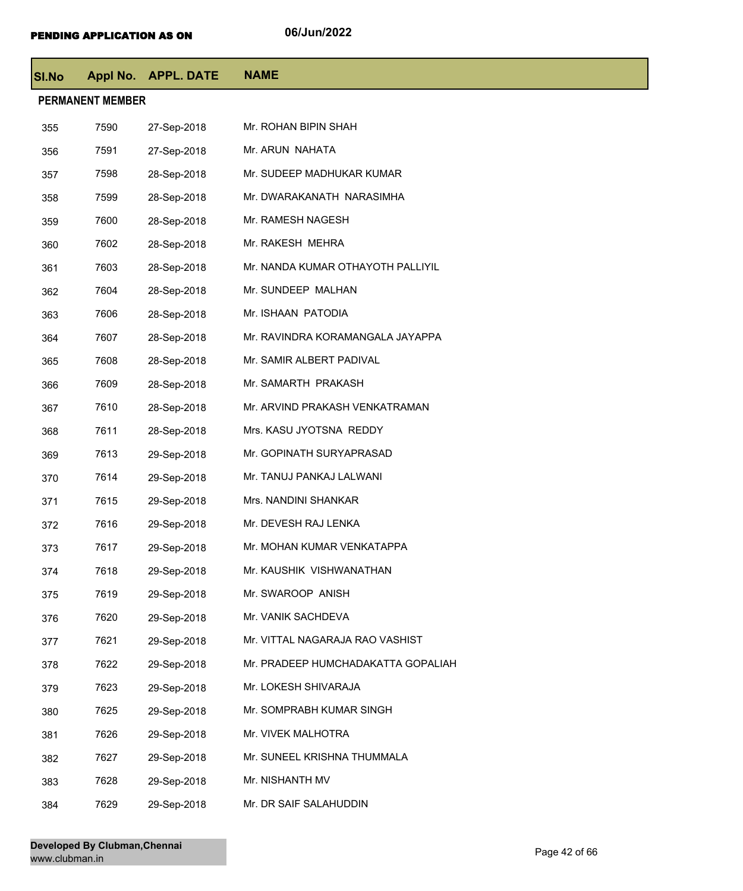| <b>SI.No</b> |                         | Appl No. APPL. DATE | <b>NAME</b>                        |  |  |  |
|--------------|-------------------------|---------------------|------------------------------------|--|--|--|
|              | <b>PERMANENT MEMBER</b> |                     |                                    |  |  |  |
| 355          | 7590                    | 27-Sep-2018         | Mr. ROHAN BIPIN SHAH               |  |  |  |
| 356          | 7591                    | 27-Sep-2018         | Mr. ARUN NAHATA                    |  |  |  |
| 357          | 7598                    | 28-Sep-2018         | Mr. SUDEEP MADHUKAR KUMAR          |  |  |  |
| 358          | 7599                    | 28-Sep-2018         | Mr. DWARAKANATH NARASIMHA          |  |  |  |
| 359          | 7600                    | 28-Sep-2018         | Mr. RAMESH NAGESH                  |  |  |  |
| 360          | 7602                    | 28-Sep-2018         | Mr. RAKESH MEHRA                   |  |  |  |
| 361          | 7603                    | 28-Sep-2018         | Mr. NANDA KUMAR OTHAYOTH PALLIYIL  |  |  |  |
| 362          | 7604                    | 28-Sep-2018         | Mr. SUNDEEP MALHAN                 |  |  |  |
| 363          | 7606                    | 28-Sep-2018         | Mr. ISHAAN PATODIA                 |  |  |  |
| 364          | 7607                    | 28-Sep-2018         | Mr. RAVINDRA KORAMANGALA JAYAPPA   |  |  |  |
| 365          | 7608                    | 28-Sep-2018         | Mr. SAMIR ALBERT PADIVAL           |  |  |  |
| 366          | 7609                    | 28-Sep-2018         | Mr. SAMARTH PRAKASH                |  |  |  |
| 367          | 7610                    | 28-Sep-2018         | Mr. ARVIND PRAKASH VENKATRAMAN     |  |  |  |
| 368          | 7611                    | 28-Sep-2018         | Mrs. KASU JYOTSNA REDDY            |  |  |  |
| 369          | 7613                    | 29-Sep-2018         | Mr. GOPINATH SURYAPRASAD           |  |  |  |
| 370          | 7614                    | 29-Sep-2018         | Mr. TANUJ PANKAJ LALWANI           |  |  |  |
| 371          | 7615                    | 29-Sep-2018         | Mrs. NANDINI SHANKAR               |  |  |  |
| 372          | 7616                    | 29-Sep-2018         | Mr. DEVESH RAJ LENKA               |  |  |  |
| 373          | 7617                    | 29-Sep-2018         | Mr. MOHAN KUMAR VENKATAPPA         |  |  |  |
| 374          | 7618                    | 29-Sep-2018         | Mr. KAUSHIK VISHWANATHAN           |  |  |  |
| 375          | 7619                    | 29-Sep-2018         | Mr. SWAROOP ANISH                  |  |  |  |
| 376          | 7620                    | 29-Sep-2018         | Mr. VANIK SACHDEVA                 |  |  |  |
| 377          | 7621                    | 29-Sep-2018         | Mr. VITTAL NAGARAJA RAO VASHIST    |  |  |  |
| 378          | 7622                    | 29-Sep-2018         | Mr. PRADEEP HUMCHADAKATTA GOPALIAH |  |  |  |
| 379          | 7623                    | 29-Sep-2018         | Mr. LOKESH SHIVARAJA               |  |  |  |
| 380          | 7625                    | 29-Sep-2018         | Mr. SOMPRABH KUMAR SINGH           |  |  |  |
| 381          | 7626                    | 29-Sep-2018         | Mr. VIVEK MALHOTRA                 |  |  |  |
| 382          | 7627                    | 29-Sep-2018         | Mr. SUNEEL KRISHNA THUMMALA        |  |  |  |
| 383          | 7628                    | 29-Sep-2018         | Mr. NISHANTH MV                    |  |  |  |
| 384          | 7629                    | 29-Sep-2018         | Mr. DR SAIF SALAHUDDIN             |  |  |  |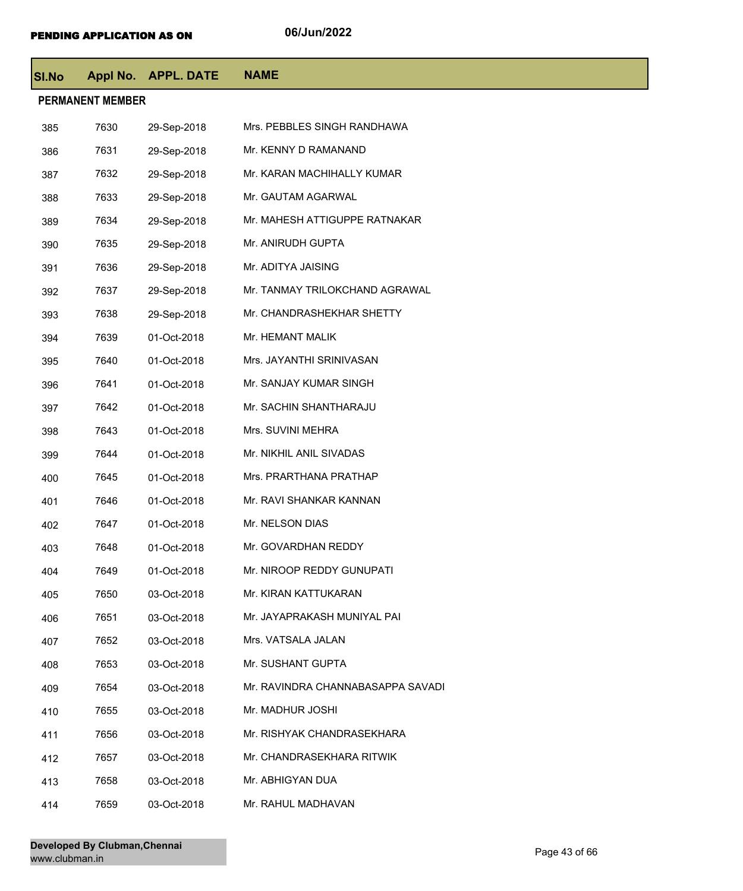| <b>SI.No</b> |                         | Appl No. APPL. DATE | <b>NAME</b>                       |  |  |  |
|--------------|-------------------------|---------------------|-----------------------------------|--|--|--|
|              | <b>PERMANENT MEMBER</b> |                     |                                   |  |  |  |
| 385          | 7630                    | 29-Sep-2018         | Mrs. PEBBLES SINGH RANDHAWA       |  |  |  |
| 386          | 7631                    | 29-Sep-2018         | Mr. KENNY D RAMANAND              |  |  |  |
| 387          | 7632                    | 29-Sep-2018         | Mr. KARAN MACHIHALLY KUMAR        |  |  |  |
| 388          | 7633                    | 29-Sep-2018         | Mr. GAUTAM AGARWAL                |  |  |  |
| 389          | 7634                    | 29-Sep-2018         | Mr. MAHESH ATTIGUPPE RATNAKAR     |  |  |  |
| 390          | 7635                    | 29-Sep-2018         | Mr. ANIRUDH GUPTA                 |  |  |  |
| 391          | 7636                    | 29-Sep-2018         | Mr. ADITYA JAISING                |  |  |  |
| 392          | 7637                    | 29-Sep-2018         | Mr. TANMAY TRILOKCHAND AGRAWAL    |  |  |  |
| 393          | 7638                    | 29-Sep-2018         | Mr. CHANDRASHEKHAR SHETTY         |  |  |  |
| 394          | 7639                    | 01-Oct-2018         | Mr. HEMANT MALIK                  |  |  |  |
| 395          | 7640                    | 01-Oct-2018         | Mrs. JAYANTHI SRINIVASAN          |  |  |  |
| 396          | 7641                    | 01-Oct-2018         | Mr. SANJAY KUMAR SINGH            |  |  |  |
| 397          | 7642                    | 01-Oct-2018         | Mr. SACHIN SHANTHARAJU            |  |  |  |
| 398          | 7643                    | 01-Oct-2018         | Mrs. SUVINI MEHRA                 |  |  |  |
| 399          | 7644                    | 01-Oct-2018         | Mr. NIKHIL ANIL SIVADAS           |  |  |  |
| 400          | 7645                    | 01-Oct-2018         | Mrs. PRARTHANA PRATHAP            |  |  |  |
| 401          | 7646                    | 01-Oct-2018         | Mr. RAVI SHANKAR KANNAN           |  |  |  |
| 402          | 7647                    | 01-Oct-2018         | Mr. NELSON DIAS                   |  |  |  |
| 403          | 7648                    | 01-Oct-2018         | Mr. GOVARDHAN REDDY               |  |  |  |
| 404          | 7649                    | 01-Oct-2018         | Mr. NIROOP REDDY GUNUPATI         |  |  |  |
| 405          | 7650                    | 03-Oct-2018         | Mr. KIRAN KATTUKARAN              |  |  |  |
| 406          | 7651                    | 03-Oct-2018         | Mr. JAYAPRAKASH MUNIYAL PAI       |  |  |  |
| 407          | 7652                    | 03-Oct-2018         | Mrs. VATSALA JALAN                |  |  |  |
| 408          | 7653                    | 03-Oct-2018         | Mr. SUSHANT GUPTA                 |  |  |  |
| 409          | 7654                    | 03-Oct-2018         | Mr. RAVINDRA CHANNABASAPPA SAVADI |  |  |  |
| 410          | 7655                    | 03-Oct-2018         | Mr. MADHUR JOSHI                  |  |  |  |
| 411          | 7656                    | 03-Oct-2018         | Mr. RISHYAK CHANDRASEKHARA        |  |  |  |
| 412          | 7657                    | 03-Oct-2018         | Mr. CHANDRASEKHARA RITWIK         |  |  |  |
| 413          | 7658                    | 03-Oct-2018         | Mr. ABHIGYAN DUA                  |  |  |  |
| 414          | 7659                    | 03-Oct-2018         | Mr. RAHUL MADHAVAN                |  |  |  |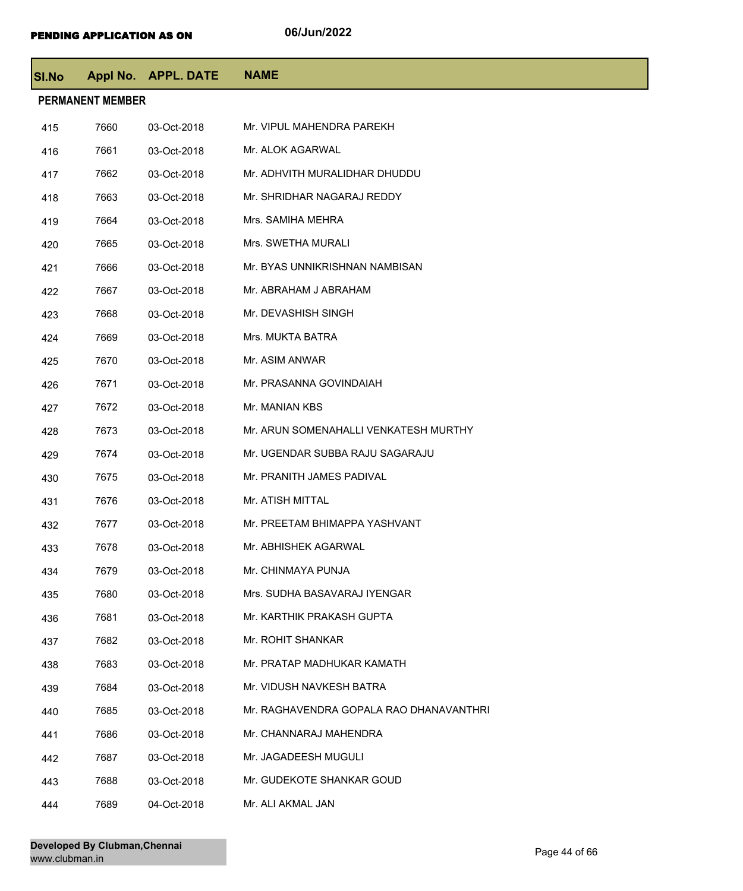| SI.No |                         | <b>Appl No. APPL. DATE</b> | <b>NAME</b>                             |
|-------|-------------------------|----------------------------|-----------------------------------------|
|       | <b>PERMANENT MEMBER</b> |                            |                                         |
| 415   | 7660                    | 03-Oct-2018                | Mr. VIPUL MAHENDRA PAREKH               |
| 416   | 7661                    | 03-Oct-2018                | Mr. ALOK AGARWAL                        |
| 417   | 7662                    | 03-Oct-2018                | Mr. ADHVITH MURALIDHAR DHUDDU           |
| 418   | 7663                    | 03-Oct-2018                | Mr. SHRIDHAR NAGARAJ REDDY              |
| 419   | 7664                    | 03-Oct-2018                | Mrs. SAMIHA MEHRA                       |
| 420   | 7665                    | 03-Oct-2018                | Mrs. SWETHA MURALI                      |
| 421   | 7666                    | 03-Oct-2018                | Mr. BYAS UNNIKRISHNAN NAMBISAN          |
| 422   | 7667                    | 03-Oct-2018                | Mr. ABRAHAM J ABRAHAM                   |
| 423   | 7668                    | 03-Oct-2018                | Mr. DEVASHISH SINGH                     |
| 424   | 7669                    | 03-Oct-2018                | Mrs. MUKTA BATRA                        |
| 425   | 7670                    | 03-Oct-2018                | Mr. ASIM ANWAR                          |
| 426   | 7671                    | 03-Oct-2018                | Mr. PRASANNA GOVINDAIAH                 |
| 427   | 7672                    | 03-Oct-2018                | Mr. MANIAN KBS                          |
| 428   | 7673                    | 03-Oct-2018                | Mr. ARUN SOMENAHALLI VENKATESH MURTHY   |
| 429   | 7674                    | 03-Oct-2018                | Mr. UGENDAR SUBBA RAJU SAGARAJU         |
| 430   | 7675                    | 03-Oct-2018                | Mr. PRANITH JAMES PADIVAL               |
| 431   | 7676                    | 03-Oct-2018                | Mr. ATISH MITTAL                        |
| 432   | 7677                    | 03-Oct-2018                | Mr. PREETAM BHIMAPPA YASHVANT           |
| 433   | 7678                    | 03-Oct-2018                | Mr. ABHISHEK AGARWAL                    |
| 434   | 7679                    | 03-Oct-2018                | Mr. CHINMAYA PUNJA                      |
| 435   | 7680                    | 03-Oct-2018                | Mrs. SUDHA BASAVARAJ IYENGAR            |
| 436   | 7681                    | 03-Oct-2018                | Mr. KARTHIK PRAKASH GUPTA               |
| 437   | 7682                    | 03-Oct-2018                | Mr. ROHIT SHANKAR                       |
| 438   | 7683                    | 03-Oct-2018                | Mr. PRATAP MADHUKAR KAMATH              |
| 439   | 7684                    | 03-Oct-2018                | Mr. VIDUSH NAVKESH BATRA                |
| 440   | 7685                    | 03-Oct-2018                | Mr. RAGHAVENDRA GOPALA RAO DHANAVANTHRI |
| 441   | 7686                    | 03-Oct-2018                | Mr. CHANNARAJ MAHENDRA                  |
| 442   | 7687                    | 03-Oct-2018                | Mr. JAGADEESH MUGULI                    |
| 443   | 7688                    | 03-Oct-2018                | Mr. GUDEKOTE SHANKAR GOUD               |
| 444   | 7689                    | 04-Oct-2018                | Mr. ALI AKMAL JAN                       |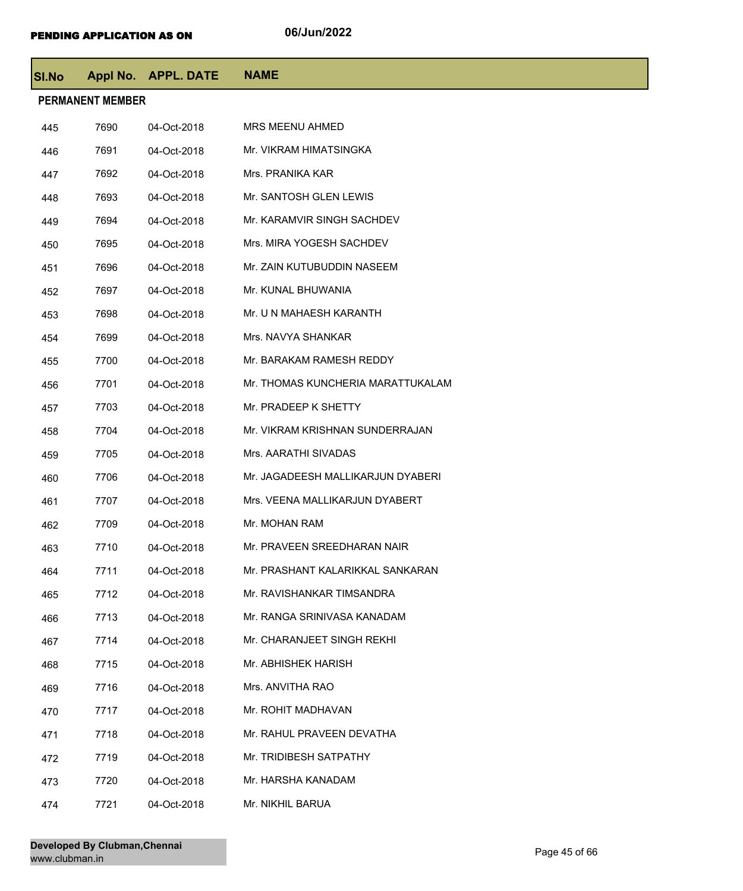| <b>SI.No</b>            |      | Appl No. APPL. DATE | <b>NAME</b>                       |  |  |
|-------------------------|------|---------------------|-----------------------------------|--|--|
| <b>PERMANENT MEMBER</b> |      |                     |                                   |  |  |
| 445                     | 7690 | 04-Oct-2018         | <b>MRS MEENU AHMED</b>            |  |  |
| 446                     | 7691 | 04-Oct-2018         | Mr. VIKRAM HIMATSINGKA            |  |  |
| 447                     | 7692 | 04-Oct-2018         | Mrs. PRANIKA KAR                  |  |  |
| 448                     | 7693 | 04-Oct-2018         | Mr. SANTOSH GLEN LEWIS            |  |  |
| 449                     | 7694 | 04-Oct-2018         | Mr. KARAMVIR SINGH SACHDEV        |  |  |
| 450                     | 7695 | 04-Oct-2018         | Mrs. MIRA YOGESH SACHDEV          |  |  |
| 451                     | 7696 | 04-Oct-2018         | Mr. ZAIN KUTUBUDDIN NASEEM        |  |  |
| 452                     | 7697 | 04-Oct-2018         | Mr. KUNAL BHUWANIA                |  |  |
| 453                     | 7698 | 04-Oct-2018         | Mr. U N MAHAESH KARANTH           |  |  |
| 454                     | 7699 | 04-Oct-2018         | Mrs. NAVYA SHANKAR                |  |  |
| 455                     | 7700 | 04-Oct-2018         | Mr. BARAKAM RAMESH REDDY          |  |  |
| 456                     | 7701 | 04-Oct-2018         | Mr. THOMAS KUNCHERIA MARATTUKALAM |  |  |
| 457                     | 7703 | 04-Oct-2018         | Mr. PRADEEP K SHETTY              |  |  |
| 458                     | 7704 | 04-Oct-2018         | Mr. VIKRAM KRISHNAN SUNDERRAJAN   |  |  |
| 459                     | 7705 | 04-Oct-2018         | Mrs. AARATHI SIVADAS              |  |  |
| 460                     | 7706 | 04-Oct-2018         | Mr. JAGADEESH MALLIKARJUN DYABERI |  |  |
| 461                     | 7707 | 04-Oct-2018         | Mrs. VEENA MALLIKARJUN DYABERT    |  |  |
| 462                     | 7709 | 04-Oct-2018         | Mr. MOHAN RAM                     |  |  |
| 463                     | 7710 | 04-Oct-2018         | Mr. PRAVEEN SREEDHARAN NAIR       |  |  |
| 464                     | 7711 | 04-Oct-2018         | Mr. PRASHANT KALARIKKAL SANKARAN  |  |  |
| 465                     | 7712 | 04-Oct-2018         | Mr. RAVISHANKAR TIMSANDRA         |  |  |
| 466                     | 7713 | 04-Oct-2018         | Mr. RANGA SRINIVASA KANADAM       |  |  |
| 467                     | 7714 | 04-Oct-2018         | Mr. CHARANJEET SINGH REKHI        |  |  |
| 468                     | 7715 | 04-Oct-2018         | Mr. ABHISHEK HARISH               |  |  |
| 469                     | 7716 | 04-Oct-2018         | Mrs. ANVITHA RAO                  |  |  |
| 470                     | 7717 | 04-Oct-2018         | Mr. ROHIT MADHAVAN                |  |  |
| 471                     | 7718 | 04-Oct-2018         | Mr. RAHUL PRAVEEN DEVATHA         |  |  |
| 472                     | 7719 | 04-Oct-2018         | Mr. TRIDIBESH SATPATHY            |  |  |
| 473                     | 7720 | 04-Oct-2018         | Mr. HARSHA KANADAM                |  |  |
| 474                     | 7721 | 04-Oct-2018         | Mr. NIKHIL BARUA                  |  |  |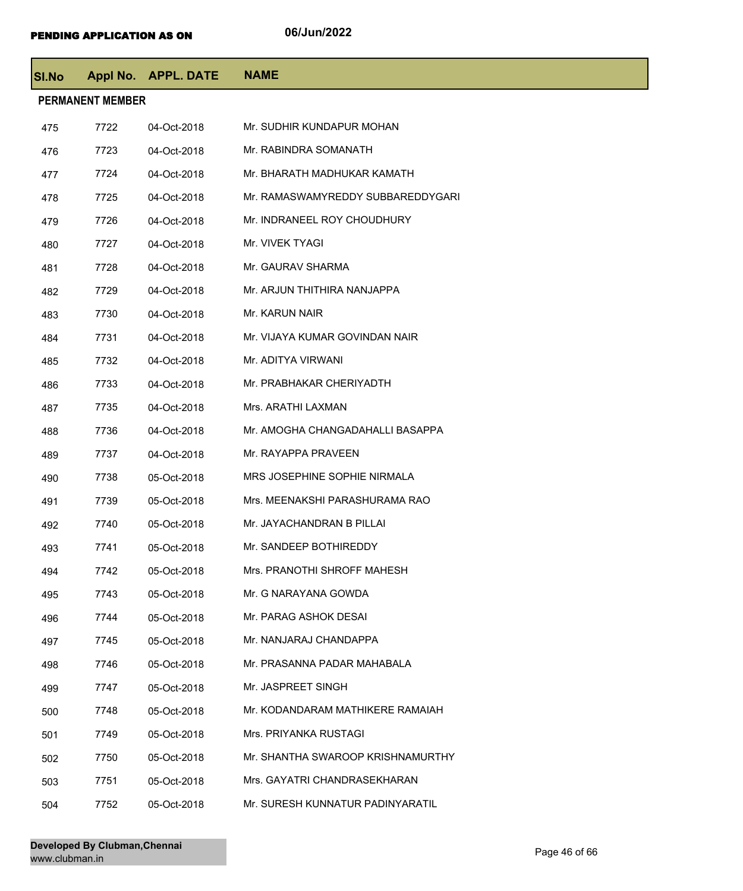| <b>SI.No</b> |                         | Appl No. APPL. DATE | <b>NAME</b>                       |
|--------------|-------------------------|---------------------|-----------------------------------|
|              | <b>PERMANENT MEMBER</b> |                     |                                   |
| 475          | 7722                    | 04-Oct-2018         | Mr. SUDHIR KUNDAPUR MOHAN         |
| 476          | 7723                    | 04-Oct-2018         | Mr. RABINDRA SOMANATH             |
| 477          | 7724                    | 04-Oct-2018         | Mr. BHARATH MADHUKAR KAMATH       |
| 478          | 7725                    | 04-Oct-2018         | Mr. RAMASWAMYREDDY SUBBAREDDYGARI |
| 479          | 7726                    | 04-Oct-2018         | Mr. INDRANEEL ROY CHOUDHURY       |
| 480          | 7727                    | 04-Oct-2018         | Mr. VIVEK TYAGI                   |
| 481          | 7728                    | 04-Oct-2018         | Mr. GAURAV SHARMA                 |
| 482          | 7729                    | 04-Oct-2018         | Mr. ARJUN THITHIRA NANJAPPA       |
| 483          | 7730                    | 04-Oct-2018         | Mr. KARUN NAIR                    |
| 484          | 7731                    | 04-Oct-2018         | Mr. VIJAYA KUMAR GOVINDAN NAIR    |
| 485          | 7732                    | 04-Oct-2018         | Mr. ADITYA VIRWANI                |
| 486          | 7733                    | 04-Oct-2018         | Mr. PRABHAKAR CHERIYADTH          |
| 487          | 7735                    | 04-Oct-2018         | Mrs. ARATHI LAXMAN                |
| 488          | 7736                    | 04-Oct-2018         | Mr. AMOGHA CHANGADAHALLI BASAPPA  |
| 489          | 7737                    | 04-Oct-2018         | Mr. RAYAPPA PRAVEEN               |
| 490          | 7738                    | 05-Oct-2018         | MRS JOSEPHINE SOPHIE NIRMALA      |
| 491          | 7739                    | 05-Oct-2018         | Mrs. MEENAKSHI PARASHURAMA RAO    |
| 492          | 7740                    | 05-Oct-2018         | Mr. JAYACHANDRAN B PILLAI         |
| 493          | 7741                    | 05-Oct-2018         | Mr. SANDEEP BOTHIREDDY            |
| 494          | 7742                    | 05-Oct-2018         | Mrs. PRANOTHI SHROFF MAHESH       |
| 495          | 7743                    | 05-Oct-2018         | Mr. G NARAYANA GOWDA              |
| 496          | 7744                    | 05-Oct-2018         | Mr. PARAG ASHOK DESAI             |
| 497          | 7745                    | 05-Oct-2018         | Mr. NANJARAJ CHANDAPPA            |
| 498          | 7746                    | 05-Oct-2018         | Mr. PRASANNA PADAR MAHABALA       |
| 499          | 7747                    | 05-Oct-2018         | Mr. JASPREET SINGH                |
| 500          | 7748                    | 05-Oct-2018         | Mr. KODANDARAM MATHIKERE RAMAIAH  |
| 501          | 7749                    | 05-Oct-2018         | Mrs. PRIYANKA RUSTAGI             |
| 502          | 7750                    | 05-Oct-2018         | Mr. SHANTHA SWAROOP KRISHNAMURTHY |
| 503          | 7751                    | 05-Oct-2018         | Mrs. GAYATRI CHANDRASEKHARAN      |
| 504          | 7752                    | 05-Oct-2018         | Mr. SURESH KUNNATUR PADINYARATIL  |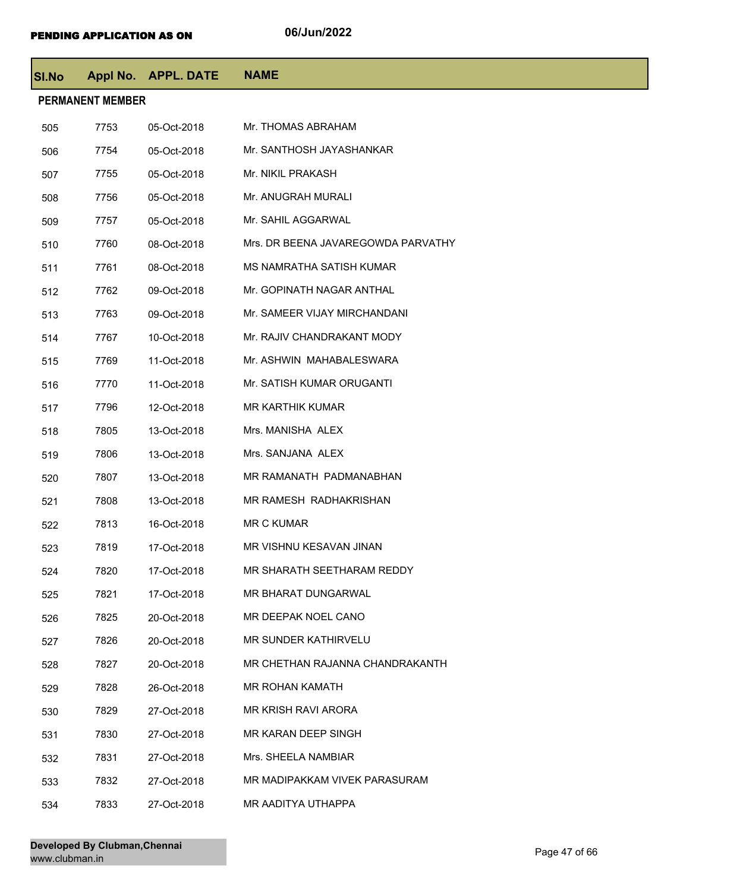| SI.No |                         | Appl No. APPL. DATE | <b>NAME</b>                        |  |  |  |
|-------|-------------------------|---------------------|------------------------------------|--|--|--|
|       | <b>PERMANENT MEMBER</b> |                     |                                    |  |  |  |
| 505   | 7753                    | 05-Oct-2018         | Mr. THOMAS ABRAHAM                 |  |  |  |
| 506   | 7754                    | 05-Oct-2018         | Mr. SANTHOSH JAYASHANKAR           |  |  |  |
| 507   | 7755                    | 05-Oct-2018         | Mr. NIKIL PRAKASH                  |  |  |  |
| 508   | 7756                    | 05-Oct-2018         | Mr. ANUGRAH MURALI                 |  |  |  |
| 509   | 7757                    | 05-Oct-2018         | Mr. SAHIL AGGARWAL                 |  |  |  |
| 510   | 7760                    | 08-Oct-2018         | Mrs. DR BEENA JAVAREGOWDA PARVATHY |  |  |  |
| 511   | 7761                    | 08-Oct-2018         | MS NAMRATHA SATISH KUMAR           |  |  |  |
| 512   | 7762                    | 09-Oct-2018         | Mr. GOPINATH NAGAR ANTHAL          |  |  |  |
| 513   | 7763                    | 09-Oct-2018         | Mr. SAMEER VIJAY MIRCHANDANI       |  |  |  |
| 514   | 7767                    | 10-Oct-2018         | Mr. RAJIV CHANDRAKANT MODY         |  |  |  |
| 515   | 7769                    | 11-Oct-2018         | Mr. ASHWIN MAHABALESWARA           |  |  |  |
| 516   | 7770                    | 11-Oct-2018         | Mr. SATISH KUMAR ORUGANTI          |  |  |  |
| 517   | 7796                    | 12-Oct-2018         | <b>MR KARTHIK KUMAR</b>            |  |  |  |
| 518   | 7805                    | 13-Oct-2018         | Mrs. MANISHA ALEX                  |  |  |  |
| 519   | 7806                    | 13-Oct-2018         | Mrs. SANJANA ALEX                  |  |  |  |
| 520   | 7807                    | 13-Oct-2018         | MR RAMANATH PADMANABHAN            |  |  |  |
| 521   | 7808                    | 13-Oct-2018         | MR RAMESH RADHAKRISHAN             |  |  |  |
| 522   | 7813                    | 16-Oct-2018         | <b>MR C KUMAR</b>                  |  |  |  |
| 523   | 7819                    | 17-Oct-2018         | MR VISHNU KESAVAN JINAN            |  |  |  |
| 524   | 7820                    | 17-Oct-2018         | MR SHARATH SEETHARAM REDDY         |  |  |  |
| 525   | 7821                    | 17-Oct-2018         | MR BHARAT DUNGARWAL                |  |  |  |
| 526   | 7825                    | 20-Oct-2018         | MR DEEPAK NOEL CANO                |  |  |  |
| 527   | 7826                    | 20-Oct-2018         | MR SUNDER KATHIRVELU               |  |  |  |
| 528   | 7827                    | 20-Oct-2018         | MR CHETHAN RAJANNA CHANDRAKANTH    |  |  |  |
| 529   | 7828                    | 26-Oct-2018         | MR ROHAN KAMATH                    |  |  |  |
| 530   | 7829                    | 27-Oct-2018         | MR KRISH RAVI ARORA                |  |  |  |
| 531   | 7830                    | 27-Oct-2018         | MR KARAN DEEP SINGH                |  |  |  |
| 532   | 7831                    | 27-Oct-2018         | Mrs. SHEELA NAMBIAR                |  |  |  |
| 533   | 7832                    | 27-Oct-2018         | MR MADIPAKKAM VIVEK PARASURAM      |  |  |  |
| 534   | 7833                    | 27-Oct-2018         | MR AADITYA UTHAPPA                 |  |  |  |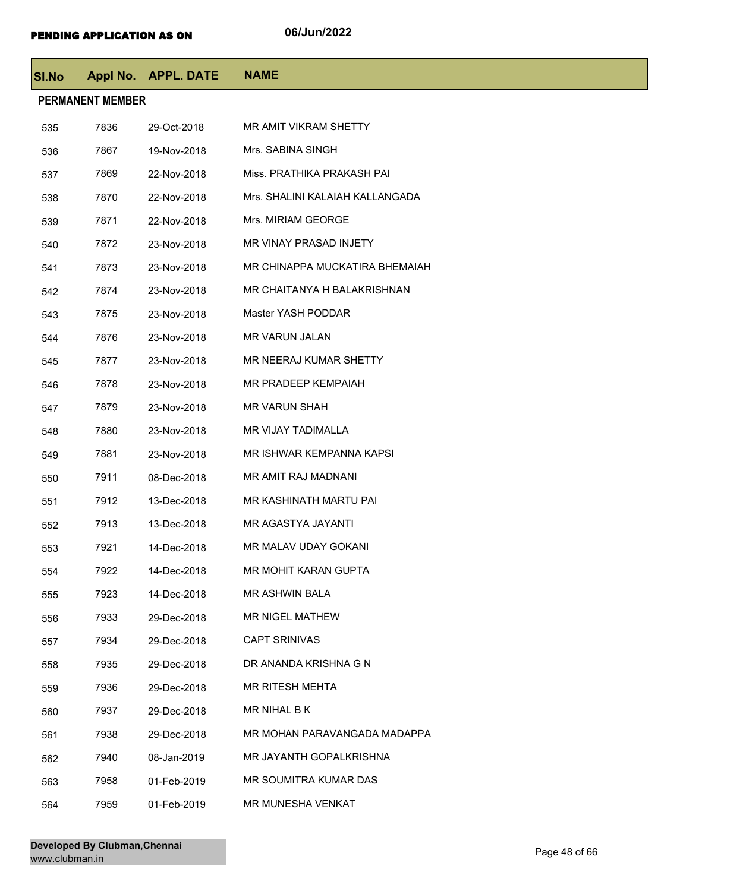| <b>SI.No</b> |                         | Appl No. APPL. DATE | <b>NAME</b>                     |
|--------------|-------------------------|---------------------|---------------------------------|
|              | <b>PERMANENT MEMBER</b> |                     |                                 |
| 535          | 7836                    | 29-Oct-2018         | <b>MR AMIT VIKRAM SHETTY</b>    |
| 536          | 7867                    | 19-Nov-2018         | Mrs. SABINA SINGH               |
| 537          | 7869                    | 22-Nov-2018         | Miss. PRATHIKA PRAKASH PAI      |
| 538          | 7870                    | 22-Nov-2018         | Mrs. SHALINI KALAIAH KALLANGADA |
| 539          | 7871                    | 22-Nov-2018         | Mrs. MIRIAM GEORGE              |
| 540          | 7872                    | 23-Nov-2018         | MR VINAY PRASAD INJETY          |
| 541          | 7873                    | 23-Nov-2018         | MR CHINAPPA MUCKATIRA BHEMAIAH  |
| 542          | 7874                    | 23-Nov-2018         | MR CHAITANYA H BALAKRISHNAN     |
| 543          | 7875                    | 23-Nov-2018         | Master YASH PODDAR              |
| 544          | 7876                    | 23-Nov-2018         | MR VARUN JALAN                  |
| 545          | 7877                    | 23-Nov-2018         | MR NEERAJ KUMAR SHETTY          |
| 546          | 7878                    | 23-Nov-2018         | MR PRADEEP KEMPAIAH             |
| 547          | 7879                    | 23-Nov-2018         | <b>MR VARUN SHAH</b>            |
| 548          | 7880                    | 23-Nov-2018         | MR VIJAY TADIMALLA              |
| 549          | 7881                    | 23-Nov-2018         | MR ISHWAR KEMPANNA KAPSI        |
| 550          | 7911                    | 08-Dec-2018         | MR AMIT RAJ MADNANI             |
| 551          | 7912                    | 13-Dec-2018         | MR KASHINATH MARTU PAI          |
| 552          | 7913                    | 13-Dec-2018         | MR AGASTYA JAYANTI              |
| 553          | 7921                    | 14-Dec-2018         | MR MALAV UDAY GOKANI            |
| 554          | 7922                    | 14-Dec-2018         | MR MOHIT KARAN GUPTA            |
| 555          | 7923                    | 14-Dec-2018         | <b>MR ASHWIN BALA</b>           |
| 556          | 7933                    | 29-Dec-2018         | <b>MR NIGEL MATHEW</b>          |
| 557          | 7934                    | 29-Dec-2018         | <b>CAPT SRINIVAS</b>            |
| 558          | 7935                    | 29-Dec-2018         | DR ANANDA KRISHNA G N           |
| 559          | 7936                    | 29-Dec-2018         | <b>MR RITESH MEHTA</b>          |
| 560          | 7937                    | 29-Dec-2018         | MR NIHAL B K                    |
| 561          | 7938                    | 29-Dec-2018         | MR MOHAN PARAVANGADA MADAPPA    |
| 562          | 7940                    | 08-Jan-2019         | MR JAYANTH GOPALKRISHNA         |
| 563          | 7958                    | 01-Feb-2019         | MR SOUMITRA KUMAR DAS           |
| 564          | 7959                    | 01-Feb-2019         | MR MUNESHA VENKAT               |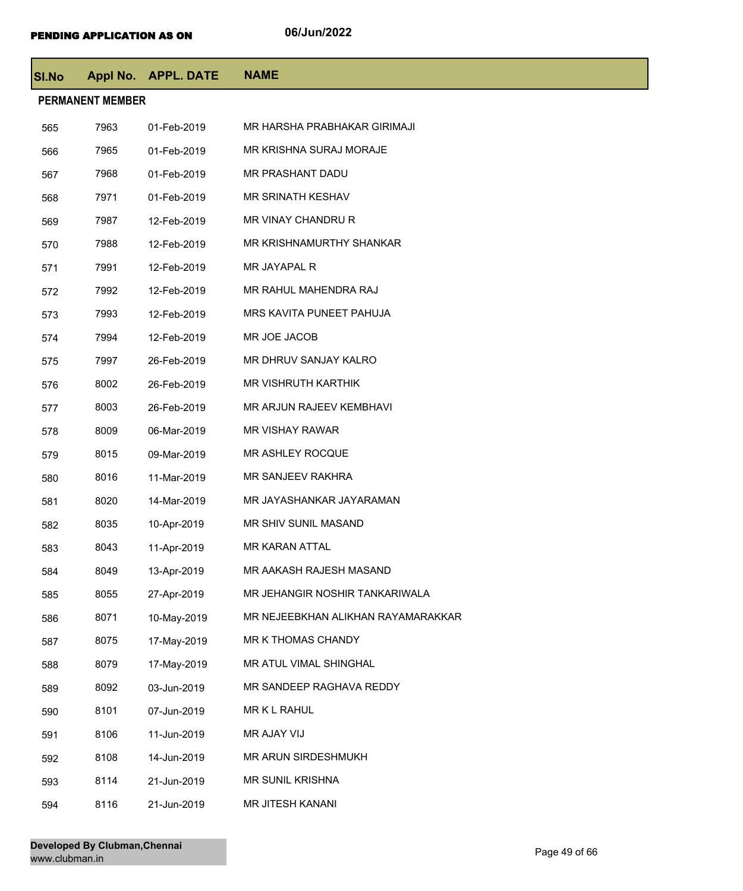| SI.No |                         | Appl No. APPL. DATE | <b>NAME</b>                        |
|-------|-------------------------|---------------------|------------------------------------|
|       | <b>PERMANENT MEMBER</b> |                     |                                    |
| 565   | 7963                    | 01-Feb-2019         | MR HARSHA PRABHAKAR GIRIMAJI       |
| 566   | 7965                    | 01-Feb-2019         | MR KRISHNA SURAJ MORAJE            |
| 567   | 7968                    | 01-Feb-2019         | MR PRASHANT DADU                   |
| 568   | 7971                    | 01-Feb-2019         | <b>MR SRINATH KESHAV</b>           |
| 569   | 7987                    | 12-Feb-2019         | MR VINAY CHANDRU R                 |
| 570   | 7988                    | 12-Feb-2019         | MR KRISHNAMURTHY SHANKAR           |
| 571   | 7991                    | 12-Feb-2019         | MR JAYAPAL R                       |
| 572   | 7992                    | 12-Feb-2019         | MR RAHUL MAHENDRA RAJ              |
| 573   | 7993                    | 12-Feb-2019         | MRS KAVITA PUNEET PAHUJA           |
| 574   | 7994                    | 12-Feb-2019         | MR JOE JACOB                       |
| 575   | 7997                    | 26-Feb-2019         | MR DHRUV SANJAY KALRO              |
| 576   | 8002                    | 26-Feb-2019         | MR VISHRUTH KARTHIK                |
| 577   | 8003                    | 26-Feb-2019         | MR ARJUN RAJEEV KEMBHAVI           |
| 578   | 8009                    | 06-Mar-2019         | <b>MR VISHAY RAWAR</b>             |
| 579   | 8015                    | 09-Mar-2019         | MR ASHLEY ROCQUE                   |
| 580   | 8016                    | 11-Mar-2019         | MR SANJEEV RAKHRA                  |
| 581   | 8020                    | 14-Mar-2019         | MR JAYASHANKAR JAYARAMAN           |
| 582   | 8035                    | 10-Apr-2019         | MR SHIV SUNIL MASAND               |
| 583   | 8043                    | 11-Apr-2019         | MR KARAN ATTAL                     |
| 584   | 8049                    | 13-Apr-2019         | MR AAKASH RAJESH MASAND            |
| 585   | 8055                    | 27-Apr-2019         | MR JEHANGIR NOSHIR TANKARIWALA     |
| 586   | 8071                    | 10-May-2019         | MR NEJEEBKHAN ALIKHAN RAYAMARAKKAR |
| 587   | 8075                    | 17-May-2019         | MR K THOMAS CHANDY                 |
| 588   | 8079                    | 17-May-2019         | MR ATUL VIMAL SHINGHAL             |
| 589   | 8092                    | 03-Jun-2019         | MR SANDEEP RAGHAVA REDDY           |
| 590   | 8101                    | 07-Jun-2019         | MR K L RAHUL                       |
| 591   | 8106                    | 11-Jun-2019         | MR AJAY VIJ                        |
| 592   | 8108                    | 14-Jun-2019         | MR ARUN SIRDESHMUKH                |
| 593   | 8114                    | 21-Jun-2019         | MR SUNIL KRISHNA                   |
| 594   | 8116                    | 21-Jun-2019         | MR JITESH KANANI                   |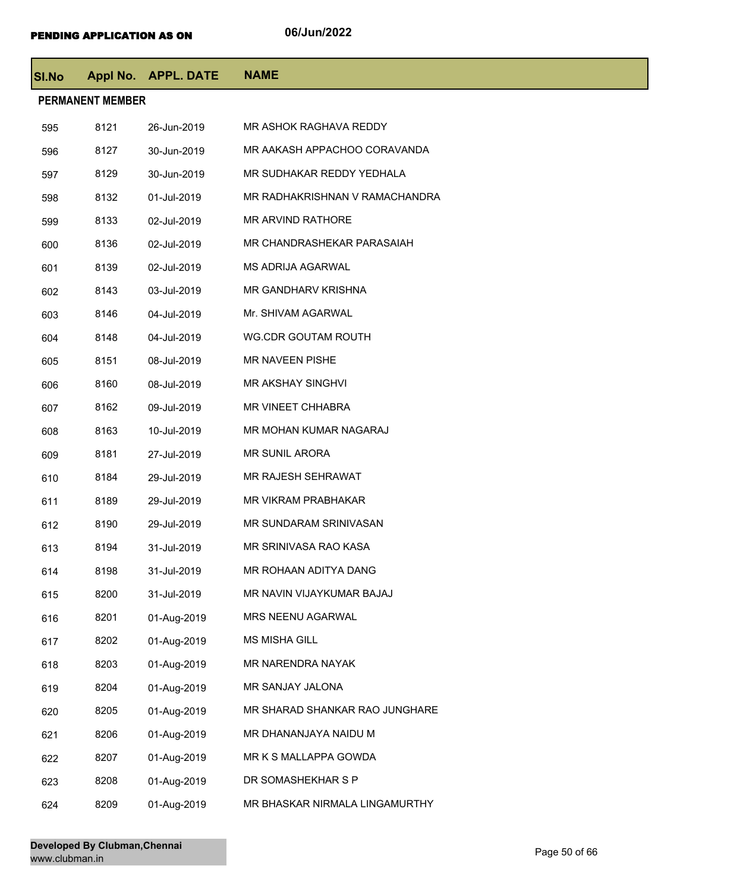| <b>SI.No</b> |                         | Appl No. APPL. DATE | <b>NAME</b>                    |
|--------------|-------------------------|---------------------|--------------------------------|
|              | <b>PERMANENT MEMBER</b> |                     |                                |
| 595          | 8121                    | 26-Jun-2019         | MR ASHOK RAGHAVA REDDY         |
| 596          | 8127                    | 30-Jun-2019         | MR AAKASH APPACHOO CORAVANDA   |
| 597          | 8129                    | 30-Jun-2019         | MR SUDHAKAR REDDY YEDHALA      |
| 598          | 8132                    | 01-Jul-2019         | MR RADHAKRISHNAN V RAMACHANDRA |
| 599          | 8133                    | 02-Jul-2019         | MR ARVIND RATHORE              |
| 600          | 8136                    | 02-Jul-2019         | MR CHANDRASHEKAR PARASAIAH     |
| 601          | 8139                    | 02-Jul-2019         | <b>MS ADRIJA AGARWAL</b>       |
| 602          | 8143                    | 03-Jul-2019         | MR GANDHARV KRISHNA            |
| 603          | 8146                    | 04-Jul-2019         | Mr. SHIVAM AGARWAL             |
| 604          | 8148                    | 04-Jul-2019         | <b>WG.CDR GOUTAM ROUTH</b>     |
| 605          | 8151                    | 08-Jul-2019         | MR NAVEEN PISHE                |
| 606          | 8160                    | 08-Jul-2019         | <b>MR AKSHAY SINGHVI</b>       |
| 607          | 8162                    | 09-Jul-2019         | MR VINEET CHHABRA              |
| 608          | 8163                    | 10-Jul-2019         | MR MOHAN KUMAR NAGARAJ         |
| 609          | 8181                    | 27-Jul-2019         | <b>MR SUNIL ARORA</b>          |
| 610          | 8184                    | 29-Jul-2019         | MR RAJESH SEHRAWAT             |
| 611          | 8189                    | 29-Jul-2019         | MR VIKRAM PRABHAKAR            |
| 612          | 8190                    | 29-Jul-2019         | MR SUNDARAM SRINIVASAN         |
| 613          | 8194                    | 31-Jul-2019         | MR SRINIVASA RAO KASA          |
| 614          | 8198                    | 31-Jul-2019         | MR ROHAAN ADITYA DANG          |
| 615          | 8200                    | 31-Jul-2019         | MR NAVIN VIJAYKUMAR BAJAJ      |
| 616          | 8201                    | 01-Aug-2019         | MRS NEENU AGARWAL              |
| 617          | 8202                    | 01-Aug-2019         | MS MISHA GILL                  |
| 618          | 8203                    | 01-Aug-2019         | MR NARENDRA NAYAK              |
| 619          | 8204                    | 01-Aug-2019         | MR SANJAY JALONA               |
| 620          | 8205                    | 01-Aug-2019         | MR SHARAD SHANKAR RAO JUNGHARE |
| 621          | 8206                    | 01-Aug-2019         | MR DHANANJAYA NAIDU M          |
| 622          | 8207                    | 01-Aug-2019         | MR K S MALLAPPA GOWDA          |
| 623          | 8208                    | 01-Aug-2019         | DR SOMASHEKHAR S P             |
| 624          | 8209                    | 01-Aug-2019         | MR BHASKAR NIRMALA LINGAMURTHY |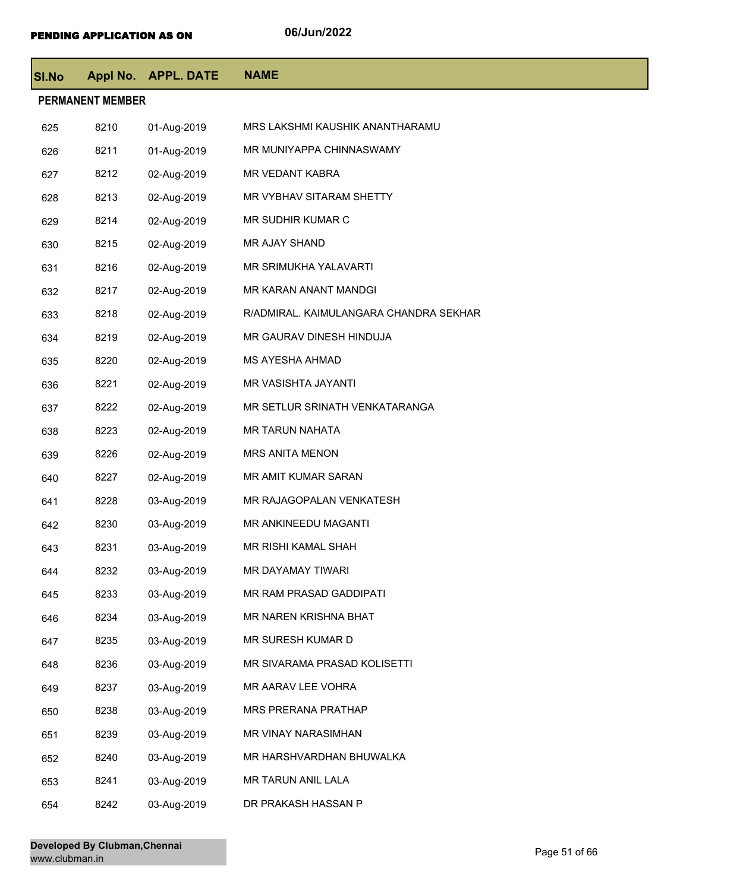| <b>SI.No</b> |                         | Appl No. APPL. DATE | <b>NAME</b>                            |
|--------------|-------------------------|---------------------|----------------------------------------|
|              | <b>PERMANENT MEMBER</b> |                     |                                        |
| 625          | 8210                    | 01-Aug-2019         | MRS LAKSHMI KAUSHIK ANANTHARAMU        |
| 626          | 8211                    | 01-Aug-2019         | MR MUNIYAPPA CHINNASWAMY               |
| 627          | 8212                    | 02-Aug-2019         | MR VEDANT KABRA                        |
| 628          | 8213                    | 02-Aug-2019         | MR VYBHAV SITARAM SHETTY               |
| 629          | 8214                    | 02-Aug-2019         | MR SUDHIR KUMAR C                      |
| 630          | 8215                    | 02-Aug-2019         | MR AJAY SHAND                          |
| 631          | 8216                    | 02-Aug-2019         | MR SRIMUKHA YALAVARTI                  |
| 632          | 8217                    | 02-Aug-2019         | MR KARAN ANANT MANDGI                  |
| 633          | 8218                    | 02-Aug-2019         | R/ADMIRAL. KAIMULANGARA CHANDRA SEKHAR |
| 634          | 8219                    | 02-Aug-2019         | MR GAURAV DINESH HINDUJA               |
| 635          | 8220                    | 02-Aug-2019         | MS AYESHA AHMAD                        |
| 636          | 8221                    | 02-Aug-2019         | MR VASISHTA JAYANTI                    |
| 637          | 8222                    | 02-Aug-2019         | MR SETLUR SRINATH VENKATARANGA         |
| 638          | 8223                    | 02-Aug-2019         | MR TARUN NAHATA                        |
| 639          | 8226                    | 02-Aug-2019         | MRS ANITA MENON                        |
| 640          | 8227                    | 02-Aug-2019         | MR AMIT KUMAR SARAN                    |
| 641          | 8228                    | 03-Aug-2019         | MR RAJAGOPALAN VENKATESH               |
| 642          | 8230                    | 03-Aug-2019         | MR ANKINEEDU MAGANTI                   |
| 643          | 8231                    | 03-Aug-2019         | MR RISHI KAMAL SHAH                    |
| 644          | 8232                    | 03-Aug-2019         | MR DAYAMAY TIWARI                      |
| 645          | 8233                    | 03-Aug-2019         | MR RAM PRASAD GADDIPATI                |
| 646          | 8234                    | 03-Aug-2019         | MR NAREN KRISHNA BHAT                  |
| 647          | 8235                    | 03-Aug-2019         | MR SURESH KUMAR D                      |
| 648          | 8236                    | 03-Aug-2019         | MR SIVARAMA PRASAD KOLISETTI           |
| 649          | 8237                    | 03-Aug-2019         | MR AARAV LEE VOHRA                     |
| 650          | 8238                    | 03-Aug-2019         | MRS PRERANA PRATHAP                    |
| 651          | 8239                    | 03-Aug-2019         | MR VINAY NARASIMHAN                    |
| 652          | 8240                    | 03-Aug-2019         | MR HARSHVARDHAN BHUWALKA               |
| 653          | 8241                    | 03-Aug-2019         | MR TARUN ANIL LALA                     |
| 654          | 8242                    | 03-Aug-2019         | DR PRAKASH HASSAN P                    |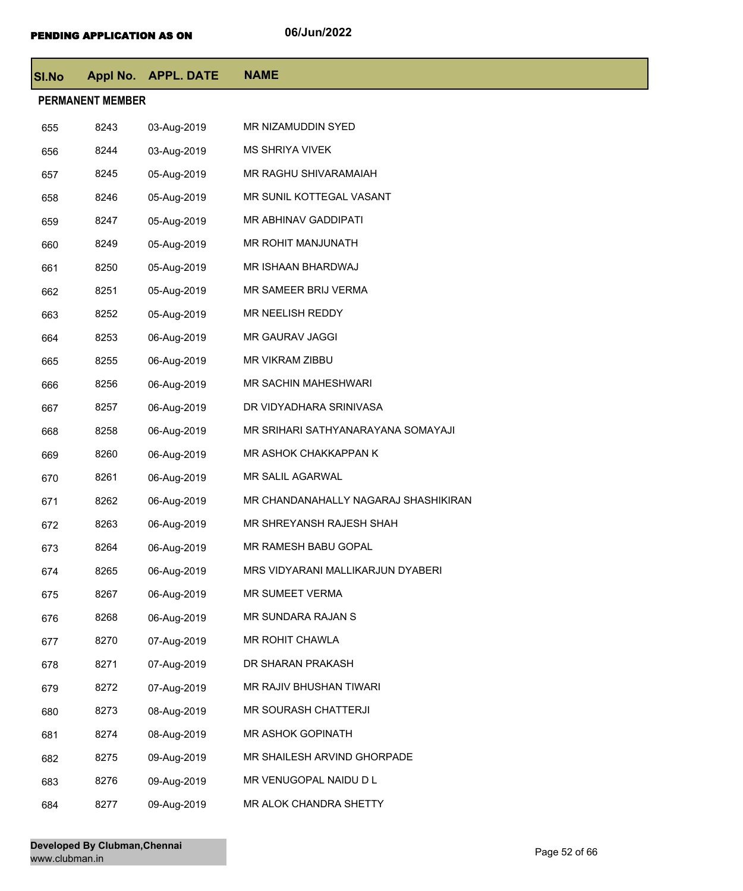| <b>SI.No</b>            |      | Appl No. APPL. DATE | <b>NAME</b>                          |  |  |
|-------------------------|------|---------------------|--------------------------------------|--|--|
| <b>PERMANENT MEMBER</b> |      |                     |                                      |  |  |
| 655                     | 8243 | 03-Aug-2019         | MR NIZAMUDDIN SYED                   |  |  |
| 656                     | 8244 | 03-Aug-2019         | <b>MS SHRIYA VIVEK</b>               |  |  |
| 657                     | 8245 | 05-Aug-2019         | MR RAGHU SHIVARAMAIAH                |  |  |
| 658                     | 8246 | 05-Aug-2019         | MR SUNIL KOTTEGAL VASANT             |  |  |
| 659                     | 8247 | 05-Aug-2019         | MR ABHINAV GADDIPATI                 |  |  |
| 660                     | 8249 | 05-Aug-2019         | MR ROHIT MANJUNATH                   |  |  |
| 661                     | 8250 | 05-Aug-2019         | MR ISHAAN BHARDWAJ                   |  |  |
| 662                     | 8251 | 05-Aug-2019         | MR SAMEER BRIJ VERMA                 |  |  |
| 663                     | 8252 | 05-Aug-2019         | MR NEELISH REDDY                     |  |  |
| 664                     | 8253 | 06-Aug-2019         | <b>MR GAURAV JAGGI</b>               |  |  |
| 665                     | 8255 | 06-Aug-2019         | MR VIKRAM ZIBBU                      |  |  |
| 666                     | 8256 | 06-Aug-2019         | MR SACHIN MAHESHWARI                 |  |  |
| 667                     | 8257 | 06-Aug-2019         | DR VIDYADHARA SRINIVASA              |  |  |
| 668                     | 8258 | 06-Aug-2019         | MR SRIHARI SATHYANARAYANA SOMAYAJI   |  |  |
| 669                     | 8260 | 06-Aug-2019         | MR ASHOK CHAKKAPPAN K                |  |  |
| 670                     | 8261 | 06-Aug-2019         | MR SALIL AGARWAL                     |  |  |
| 671                     | 8262 | 06-Aug-2019         | MR CHANDANAHALLY NAGARAJ SHASHIKIRAN |  |  |
| 672                     | 8263 | 06-Aug-2019         | MR SHREYANSH RAJESH SHAH             |  |  |
| 673                     | 8264 | 06-Aug-2019         | MR RAMESH BABU GOPAL                 |  |  |
| 674                     | 8265 | 06-Aug-2019         | MRS VIDYARANI MALLIKARJUN DYABERI    |  |  |
| 675                     | 8267 | 06-Aug-2019         | MR SUMEET VERMA                      |  |  |
| 676                     | 8268 | 06-Aug-2019         | MR SUNDARA RAJAN S                   |  |  |
| 677                     | 8270 | 07-Aug-2019         | MR ROHIT CHAWLA                      |  |  |
| 678                     | 8271 | 07-Aug-2019         | DR SHARAN PRAKASH                    |  |  |
| 679                     | 8272 | 07-Aug-2019         | MR RAJIV BHUSHAN TIWARI              |  |  |
| 680                     | 8273 | 08-Aug-2019         | MR SOURASH CHATTERJI                 |  |  |
| 681                     | 8274 | 08-Aug-2019         | MR ASHOK GOPINATH                    |  |  |
| 682                     | 8275 | 09-Aug-2019         | MR SHAILESH ARVIND GHORPADE          |  |  |
| 683                     | 8276 | 09-Aug-2019         | MR VENUGOPAL NAIDU D L               |  |  |
| 684                     | 8277 | 09-Aug-2019         | MR ALOK CHANDRA SHETTY               |  |  |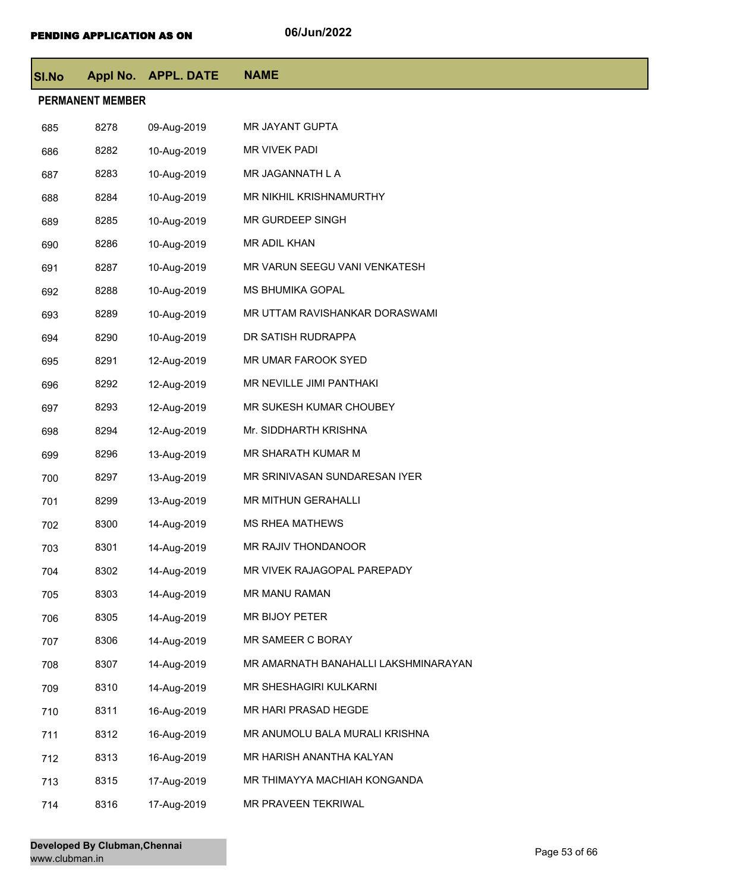| <b>SI.No</b> |                         | Appl No. APPL. DATE | <b>NAME</b>                          |
|--------------|-------------------------|---------------------|--------------------------------------|
|              | <b>PERMANENT MEMBER</b> |                     |                                      |
| 685          | 8278                    | 09-Aug-2019         | MR JAYANT GUPTA                      |
| 686          | 8282                    | 10-Aug-2019         | MR VIVEK PADI                        |
| 687          | 8283                    | 10-Aug-2019         | MR JAGANNATH L A                     |
| 688          | 8284                    | 10-Aug-2019         | MR NIKHIL KRISHNAMURTHY              |
| 689          | 8285                    | 10-Aug-2019         | MR GURDEEP SINGH                     |
| 690          | 8286                    | 10-Aug-2019         | MR ADIL KHAN                         |
| 691          | 8287                    | 10-Aug-2019         | MR VARUN SEEGU VANI VENKATESH        |
| 692          | 8288                    | 10-Aug-2019         | <b>MS BHUMIKA GOPAL</b>              |
| 693          | 8289                    | 10-Aug-2019         | MR UTTAM RAVISHANKAR DORASWAMI       |
| 694          | 8290                    | 10-Aug-2019         | DR SATISH RUDRAPPA                   |
| 695          | 8291                    | 12-Aug-2019         | MR UMAR FAROOK SYED                  |
| 696          | 8292                    | 12-Aug-2019         | MR NEVILLE JIMI PANTHAKI             |
| 697          | 8293                    | 12-Aug-2019         | MR SUKESH KUMAR CHOUBEY              |
| 698          | 8294                    | 12-Aug-2019         | Mr. SIDDHARTH KRISHNA                |
| 699          | 8296                    | 13-Aug-2019         | MR SHARATH KUMAR M                   |
| 700          | 8297                    | 13-Aug-2019         | MR SRINIVASAN SUNDARESAN IYER        |
| 701          | 8299                    | 13-Aug-2019         | MR MITHUN GERAHALLI                  |
| 702          | 8300                    | 14-Aug-2019         | <b>MS RHEA MATHEWS</b>               |
| 703          | 8301                    | 14-Aug-2019         | MR RAJIV THONDANOOR                  |
| 704          | 8302                    | 14-Aug-2019         | MR VIVEK RAJAGOPAL PAREPADY          |
| 705          | 8303                    | 14-Aug-2019         | MR MANU RAMAN                        |
| 706          | 8305                    | 14-Aug-2019         | MR BIJOY PETER                       |
| 707          | 8306                    | 14-Aug-2019         | MR SAMEER C BORAY                    |
| 708          | 8307                    | 14-Aug-2019         | MR AMARNATH BANAHALLI LAKSHMINARAYAN |
| 709          | 8310                    | 14-Aug-2019         | MR SHESHAGIRI KULKARNI               |
| 710          | 8311                    | 16-Aug-2019         | MR HARI PRASAD HEGDE                 |
| 711          | 8312                    | 16-Aug-2019         | MR ANUMOLU BALA MURALI KRISHNA       |
| 712          | 8313                    | 16-Aug-2019         | MR HARISH ANANTHA KALYAN             |
| 713          | 8315                    | 17-Aug-2019         | MR THIMAYYA MACHIAH KONGANDA         |
| 714          | 8316                    | 17-Aug-2019         | MR PRAVEEN TEKRIWAL                  |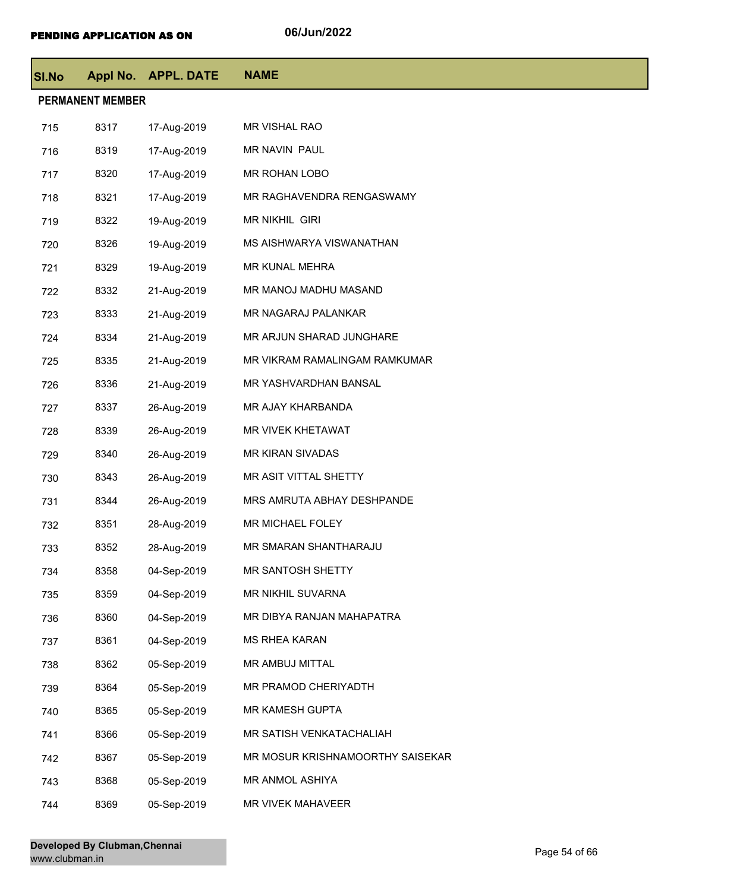| <b>SI.No</b> |                         | Appl No. APPL. DATE | <b>NAME</b>                      |
|--------------|-------------------------|---------------------|----------------------------------|
|              | <b>PERMANENT MEMBER</b> |                     |                                  |
| 715          | 8317                    | 17-Aug-2019         | MR VISHAL RAO                    |
| 716          | 8319                    | 17-Aug-2019         | MR NAVIN PAUL                    |
| 717          | 8320                    | 17-Aug-2019         | MR ROHAN LOBO                    |
| 718          | 8321                    | 17-Aug-2019         | MR RAGHAVENDRA RENGASWAMY        |
| 719          | 8322                    | 19-Aug-2019         | MR NIKHIL GIRI                   |
| 720          | 8326                    | 19-Aug-2019         | MS AISHWARYA VISWANATHAN         |
| 721          | 8329                    | 19-Aug-2019         | MR KUNAL MEHRA                   |
| 722          | 8332                    | 21-Aug-2019         | MR MANOJ MADHU MASAND            |
| 723          | 8333                    | 21-Aug-2019         | MR NAGARAJ PALANKAR              |
| 724          | 8334                    | 21-Aug-2019         | MR ARJUN SHARAD JUNGHARE         |
| 725          | 8335                    | 21-Aug-2019         | MR VIKRAM RAMALINGAM RAMKUMAR    |
| 726          | 8336                    | 21-Aug-2019         | MR YASHVARDHAN BANSAL            |
| 727          | 8337                    | 26-Aug-2019         | MR AJAY KHARBANDA                |
| 728          | 8339                    | 26-Aug-2019         | MR VIVEK KHETAWAT                |
| 729          | 8340                    | 26-Aug-2019         | MR KIRAN SIVADAS                 |
| 730          | 8343                    | 26-Aug-2019         | MR ASIT VITTAL SHETTY            |
| 731          | 8344                    | 26-Aug-2019         | MRS AMRUTA ABHAY DESHPANDE       |
| 732          | 8351                    | 28-Aug-2019         | MR MICHAEL FOLEY                 |
| 733          | 8352                    | 28-Aug-2019         | MR SMARAN SHANTHARAJU            |
| 734          | 8358                    | 04-Sep-2019         | MR SANTOSH SHETTY                |
| 735          | 8359                    | 04-Sep-2019         | MR NIKHIL SUVARNA                |
| 736          | 8360                    | 04-Sep-2019         | MR DIBYA RANJAN MAHAPATRA        |
| 737          | 8361                    | 04-Sep-2019         | <b>MS RHEA KARAN</b>             |
| 738          | 8362                    | 05-Sep-2019         | MR AMBUJ MITTAL                  |
| 739          | 8364                    | 05-Sep-2019         | MR PRAMOD CHERIYADTH             |
| 740          | 8365                    | 05-Sep-2019         | MR KAMESH GUPTA                  |
| 741          | 8366                    | 05-Sep-2019         | MR SATISH VENKATACHALIAH         |
| 742          | 8367                    | 05-Sep-2019         | MR MOSUR KRISHNAMOORTHY SAISEKAR |
| 743          | 8368                    | 05-Sep-2019         | MR ANMOL ASHIYA                  |
| 744          | 8369                    | 05-Sep-2019         | MR VIVEK MAHAVEER                |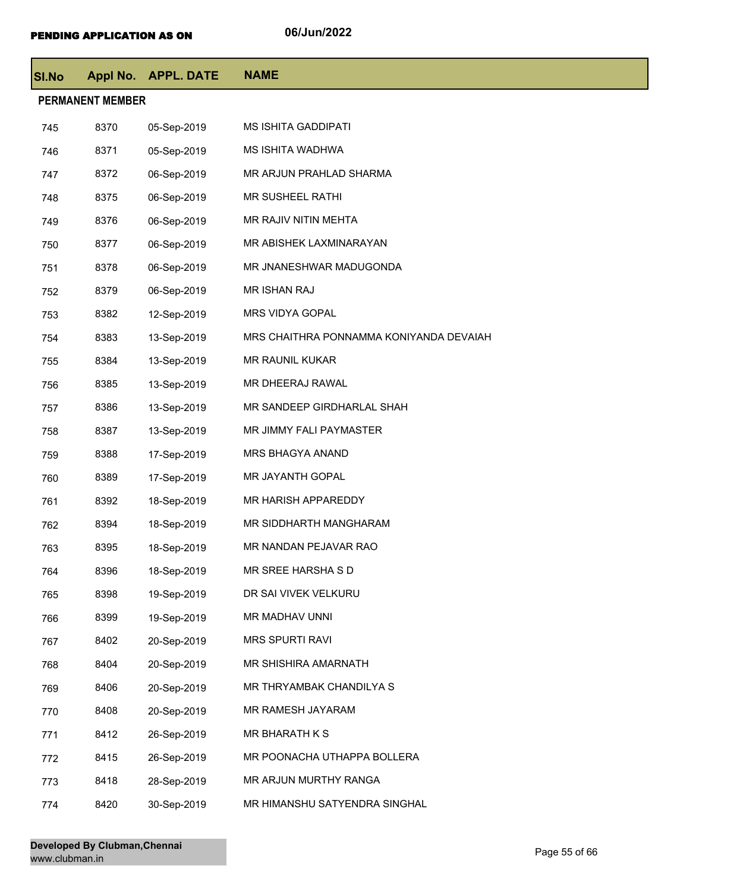| <b>SI.No</b> |                         | Appl No. APPL. DATE | <b>NAME</b>                             |
|--------------|-------------------------|---------------------|-----------------------------------------|
|              | <b>PERMANENT MEMBER</b> |                     |                                         |
| 745          | 8370                    | 05-Sep-2019         | <b>MS ISHITA GADDIPATI</b>              |
| 746          | 8371                    | 05-Sep-2019         | MS ISHITA WADHWA                        |
| 747          | 8372                    | 06-Sep-2019         | MR ARJUN PRAHLAD SHARMA                 |
| 748          | 8375                    | 06-Sep-2019         | MR SUSHEEL RATHI                        |
| 749          | 8376                    | 06-Sep-2019         | MR RAJIV NITIN MEHTA                    |
| 750          | 8377                    | 06-Sep-2019         | MR ABISHEK LAXMINARAYAN                 |
| 751          | 8378                    | 06-Sep-2019         | MR JNANESHWAR MADUGONDA                 |
| 752          | 8379                    | 06-Sep-2019         | MR ISHAN RAJ                            |
| 753          | 8382                    | 12-Sep-2019         | MRS VIDYA GOPAL                         |
| 754          | 8383                    | 13-Sep-2019         | MRS CHAITHRA PONNAMMA KONIYANDA DEVAIAH |
| 755          | 8384                    | 13-Sep-2019         | <b>MR RAUNIL KUKAR</b>                  |
| 756          | 8385                    | 13-Sep-2019         | MR DHEERAJ RAWAL                        |
| 757          | 8386                    | 13-Sep-2019         | MR SANDEEP GIRDHARLAL SHAH              |
| 758          | 8387                    | 13-Sep-2019         | MR JIMMY FALI PAYMASTER                 |
| 759          | 8388                    | 17-Sep-2019         | MRS BHAGYA ANAND                        |
| 760          | 8389                    | 17-Sep-2019         | MR JAYANTH GOPAL                        |
| 761          | 8392                    | 18-Sep-2019         | MR HARISH APPAREDDY                     |
| 762          | 8394                    | 18-Sep-2019         | MR SIDDHARTH MANGHARAM                  |
| 763          | 8395                    | 18-Sep-2019         | MR NANDAN PEJAVAR RAO                   |
| 764          | 8396                    | 18-Sep-2019         | MR SREE HARSHA S D                      |
| 765          | 8398                    | 19-Sep-2019         | DR SAI VIVEK VELKURU                    |
| 766          | 8399                    | 19-Sep-2019         | MR MADHAV UNNI                          |
| 767          | 8402                    | 20-Sep-2019         | <b>MRS SPURTI RAVI</b>                  |
| 768          | 8404                    | 20-Sep-2019         | MR SHISHIRA AMARNATH                    |
| 769          | 8406                    | 20-Sep-2019         | MR THRYAMBAK CHANDILYA S                |
| 770          | 8408                    | 20-Sep-2019         | MR RAMESH JAYARAM                       |
| 771          | 8412                    | 26-Sep-2019         | MR BHARATH K S                          |
| 772          | 8415                    | 26-Sep-2019         | MR POONACHA UTHAPPA BOLLERA             |
| 773          | 8418                    | 28-Sep-2019         | MR ARJUN MURTHY RANGA                   |
| 774          | 8420                    | 30-Sep-2019         | MR HIMANSHU SATYENDRA SINGHAL           |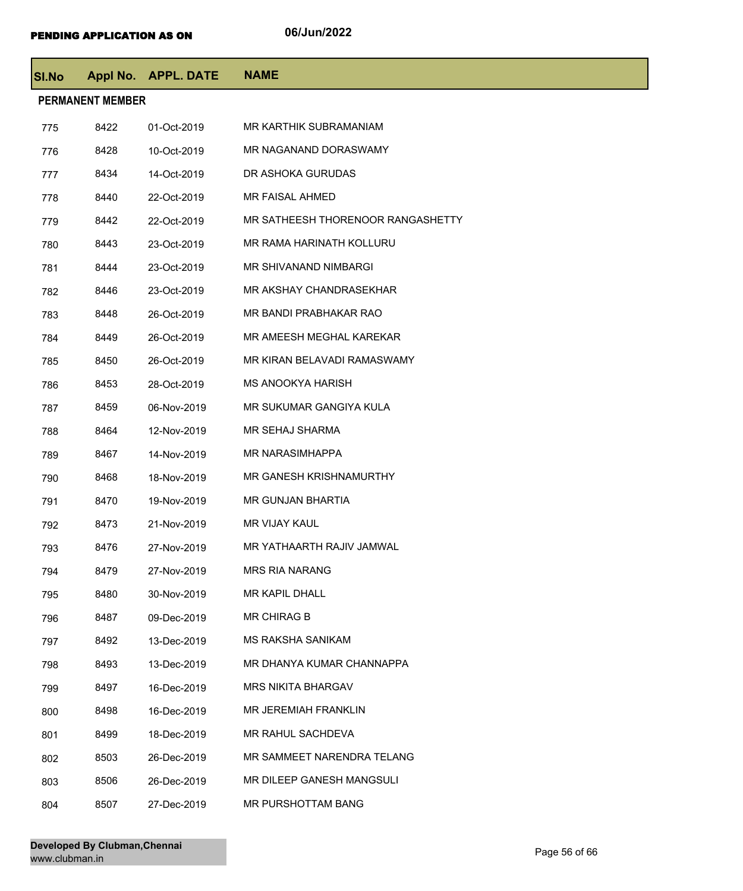| <b>SI.No</b>            |      | Appl No. APPL. DATE | <b>NAME</b>                       |  |  |
|-------------------------|------|---------------------|-----------------------------------|--|--|
| <b>PERMANENT MEMBER</b> |      |                     |                                   |  |  |
| 775                     | 8422 | 01-Oct-2019         | MR KARTHIK SUBRAMANIAM            |  |  |
| 776                     | 8428 | 10-Oct-2019         | MR NAGANAND DORASWAMY             |  |  |
| 777                     | 8434 | 14-Oct-2019         | DR ASHOKA GURUDAS                 |  |  |
| 778                     | 8440 | 22-Oct-2019         | <b>MR FAISAL AHMED</b>            |  |  |
| 779                     | 8442 | 22-Oct-2019         | MR SATHEESH THORENOOR RANGASHETTY |  |  |
| 780                     | 8443 | 23-Oct-2019         | MR RAMA HARINATH KOLLURU          |  |  |
| 781                     | 8444 | 23-Oct-2019         | MR SHIVANAND NIMBARGI             |  |  |
| 782                     | 8446 | 23-Oct-2019         | MR AKSHAY CHANDRASEKHAR           |  |  |
| 783                     | 8448 | 26-Oct-2019         | MR BANDI PRABHAKAR RAO            |  |  |
| 784                     | 8449 | 26-Oct-2019         | MR AMEESH MEGHAL KAREKAR          |  |  |
| 785                     | 8450 | 26-Oct-2019         | MR KIRAN BELAVADI RAMASWAMY       |  |  |
| 786                     | 8453 | 28-Oct-2019         | <b>MS ANOOKYA HARISH</b>          |  |  |
| 787                     | 8459 | 06-Nov-2019         | MR SUKUMAR GANGIYA KULA           |  |  |
| 788                     | 8464 | 12-Nov-2019         | <b>MR SEHAJ SHARMA</b>            |  |  |
| 789                     | 8467 | 14-Nov-2019         | <b>MR NARASIMHAPPA</b>            |  |  |
| 790                     | 8468 | 18-Nov-2019         | MR GANESH KRISHNAMURTHY           |  |  |
| 791                     | 8470 | 19-Nov-2019         | <b>MR GUNJAN BHARTIA</b>          |  |  |
| 792                     | 8473 | 21-Nov-2019         | <b>MR VIJAY KAUL</b>              |  |  |
| 793                     | 8476 | 27-Nov-2019         | MR YATHAARTH RAJIV JAMWAL         |  |  |
| 794                     | 8479 | 27-Nov-2019         | <b>MRS RIA NARANG</b>             |  |  |
| 795                     | 8480 | 30-Nov-2019         | <b>MR KAPIL DHALL</b>             |  |  |
| 796                     | 8487 | 09-Dec-2019         | <b>MR CHIRAG B</b>                |  |  |
| 797                     | 8492 | 13-Dec-2019         | <b>MS RAKSHA SANIKAM</b>          |  |  |
| 798                     | 8493 | 13-Dec-2019         | MR DHANYA KUMAR CHANNAPPA         |  |  |
| 799                     | 8497 | 16-Dec-2019         | <b>MRS NIKITA BHARGAV</b>         |  |  |
| 800                     | 8498 | 16-Dec-2019         | <b>MR JEREMIAH FRANKLIN</b>       |  |  |
| 801                     | 8499 | 18-Dec-2019         | MR RAHUL SACHDEVA                 |  |  |
| 802                     | 8503 | 26-Dec-2019         | MR SAMMEET NARENDRA TELANG        |  |  |
| 803                     | 8506 | 26-Dec-2019         | MR DILEEP GANESH MANGSULI         |  |  |
| 804                     | 8507 | 27-Dec-2019         | MR PURSHOTTAM BANG                |  |  |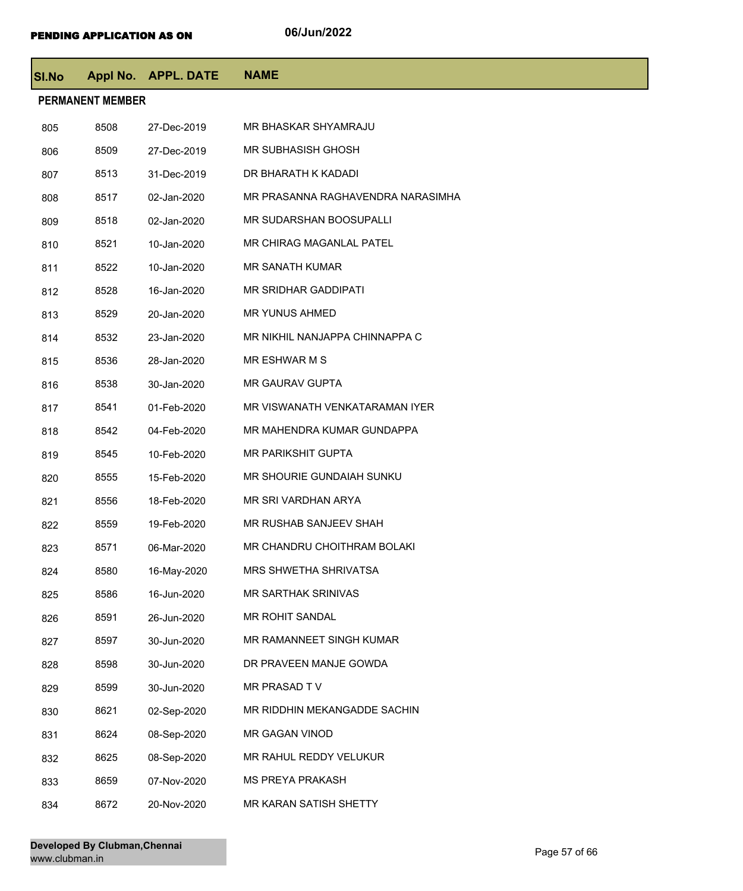| <b>SI.No</b> |                         | Appl No. APPL. DATE | <b>NAME</b>                       |
|--------------|-------------------------|---------------------|-----------------------------------|
|              | <b>PERMANENT MEMBER</b> |                     |                                   |
| 805          | 8508                    | 27-Dec-2019         | MR BHASKAR SHYAMRAJU              |
| 806          | 8509                    | 27-Dec-2019         | <b>MR SUBHASISH GHOSH</b>         |
| 807          | 8513                    | 31-Dec-2019         | DR BHARATH K KADADI               |
| 808          | 8517                    | 02-Jan-2020         | MR PRASANNA RAGHAVENDRA NARASIMHA |
| 809          | 8518                    | 02-Jan-2020         | MR SUDARSHAN BOOSUPALLI           |
| 810          | 8521                    | 10-Jan-2020         | MR CHIRAG MAGANLAL PATEL          |
| 811          | 8522                    | 10-Jan-2020         | MR SANATH KUMAR                   |
| 812          | 8528                    | 16-Jan-2020         | <b>MR SRIDHAR GADDIPATI</b>       |
| 813          | 8529                    | 20-Jan-2020         | <b>MR YUNUS AHMED</b>             |
| 814          | 8532                    | 23-Jan-2020         | MR NIKHIL NANJAPPA CHINNAPPA C    |
| 815          | 8536                    | 28-Jan-2020         | MR ESHWAR M S                     |
| 816          | 8538                    | 30-Jan-2020         | MR GAURAV GUPTA                   |
| 817          | 8541                    | 01-Feb-2020         | MR VISWANATH VENKATARAMAN IYER    |
| 818          | 8542                    | 04-Feb-2020         | MR MAHENDRA KUMAR GUNDAPPA        |
| 819          | 8545                    | 10-Feb-2020         | <b>MR PARIKSHIT GUPTA</b>         |
| 820          | 8555                    | 15-Feb-2020         | MR SHOURIE GUNDAIAH SUNKU         |
| 821          | 8556                    | 18-Feb-2020         | MR SRI VARDHAN ARYA               |
| 822          | 8559                    | 19-Feb-2020         | MR RUSHAB SANJEEV SHAH            |
| 823          | 8571                    | 06-Mar-2020         | MR CHANDRU CHOITHRAM BOLAKI       |
| 824          | 8580                    | 16-May-2020         | MRS SHWETHA SHRIVATSA             |
| 825          | 8586                    | 16-Jun-2020         | MR SARTHAK SRINIVAS               |
| 826          | 8591                    | 26-Jun-2020         | MR ROHIT SANDAL                   |
| 827          | 8597                    | 30-Jun-2020         | MR RAMANNEET SINGH KUMAR          |
| 828          | 8598                    | 30-Jun-2020         | DR PRAVEEN MANJE GOWDA            |
| 829          | 8599                    | 30-Jun-2020         | MR PRASAD TV                      |
| 830          | 8621                    | 02-Sep-2020         | MR RIDDHIN MEKANGADDE SACHIN      |
| 831          | 8624                    | 08-Sep-2020         | MR GAGAN VINOD                    |
| 832          | 8625                    | 08-Sep-2020         | MR RAHUL REDDY VELUKUR            |
| 833          | 8659                    | 07-Nov-2020         | <b>MS PREYA PRAKASH</b>           |
| 834          | 8672                    | 20-Nov-2020         | MR KARAN SATISH SHETTY            |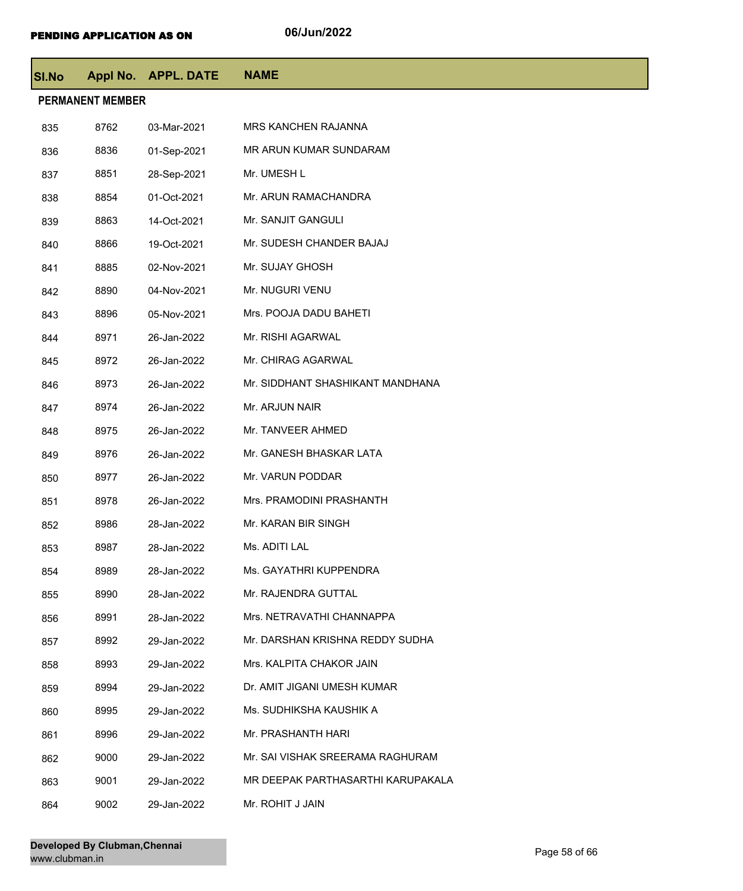| <b>SI.No</b>            |      | Appl No. APPL. DATE | <b>NAME</b>                       |  |
|-------------------------|------|---------------------|-----------------------------------|--|
| <b>PERMANENT MEMBER</b> |      |                     |                                   |  |
| 835                     | 8762 | 03-Mar-2021         | <b>MRS KANCHEN RAJANNA</b>        |  |
| 836                     | 8836 | 01-Sep-2021         | MR ARUN KUMAR SUNDARAM            |  |
| 837                     | 8851 | 28-Sep-2021         | Mr. UMESH L                       |  |
| 838                     | 8854 | 01-Oct-2021         | Mr. ARUN RAMACHANDRA              |  |
| 839                     | 8863 | 14-Oct-2021         | Mr. SANJIT GANGULI                |  |
| 840                     | 8866 | 19-Oct-2021         | Mr. SUDESH CHANDER BAJAJ          |  |
| 841                     | 8885 | 02-Nov-2021         | Mr. SUJAY GHOSH                   |  |
| 842                     | 8890 | 04-Nov-2021         | Mr. NUGURI VENU                   |  |
| 843                     | 8896 | 05-Nov-2021         | Mrs. POOJA DADU BAHETI            |  |
| 844                     | 8971 | 26-Jan-2022         | Mr. RISHI AGARWAL                 |  |
| 845                     | 8972 | 26-Jan-2022         | Mr. CHIRAG AGARWAL                |  |
| 846                     | 8973 | 26-Jan-2022         | Mr. SIDDHANT SHASHIKANT MANDHANA  |  |
| 847                     | 8974 | 26-Jan-2022         | Mr. ARJUN NAIR                    |  |
| 848                     | 8975 | 26-Jan-2022         | Mr. TANVEER AHMED                 |  |
| 849                     | 8976 | 26-Jan-2022         | Mr. GANESH BHASKAR LATA           |  |
| 850                     | 8977 | 26-Jan-2022         | Mr. VARUN PODDAR                  |  |
| 851                     | 8978 | 26-Jan-2022         | Mrs. PRAMODINI PRASHANTH          |  |
| 852                     | 8986 | 28-Jan-2022         | Mr. KARAN BIR SINGH               |  |
| 853                     | 8987 | 28-Jan-2022         | Ms. ADITI LAL                     |  |
| 854                     | 8989 | 28-Jan-2022         | Ms. GAYATHRI KUPPENDRA            |  |
| 855                     | 8990 | 28-Jan-2022         | Mr. RAJENDRA GUTTAL               |  |
| 856                     | 8991 | 28-Jan-2022         | Mrs. NETRAVATHI CHANNAPPA         |  |
| 857                     | 8992 | 29-Jan-2022         | Mr. DARSHAN KRISHNA REDDY SUDHA   |  |
| 858                     | 8993 | 29-Jan-2022         | Mrs. KALPITA CHAKOR JAIN          |  |
| 859                     | 8994 | 29-Jan-2022         | Dr. AMIT JIGANI UMESH KUMAR       |  |
| 860                     | 8995 | 29-Jan-2022         | Ms. SUDHIKSHA KAUSHIK A           |  |
| 861                     | 8996 | 29-Jan-2022         | Mr. PRASHANTH HARI                |  |
| 862                     | 9000 | 29-Jan-2022         | Mr. SAI VISHAK SREERAMA RAGHURAM  |  |
| 863                     | 9001 | 29-Jan-2022         | MR DEEPAK PARTHASARTHI KARUPAKALA |  |
| 864                     | 9002 | 29-Jan-2022         | Mr. ROHIT J JAIN                  |  |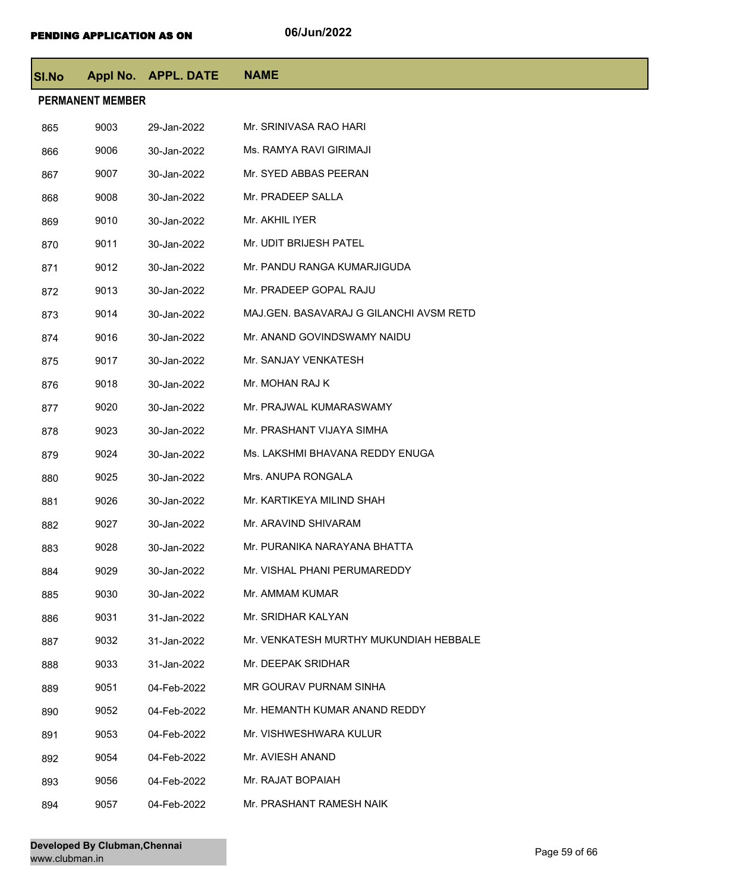| SI.No                   |      | Appl No. APPL. DATE | <b>NAME</b>                             |  |
|-------------------------|------|---------------------|-----------------------------------------|--|
| <b>PERMANENT MEMBER</b> |      |                     |                                         |  |
| 865                     | 9003 | 29-Jan-2022         | Mr. SRINIVASA RAO HARI                  |  |
| 866                     | 9006 | 30-Jan-2022         | Ms. RAMYA RAVI GIRIMAJI                 |  |
| 867                     | 9007 | 30-Jan-2022         | Mr. SYED ABBAS PEERAN                   |  |
| 868                     | 9008 | 30-Jan-2022         | Mr. PRADEEP SALLA                       |  |
| 869                     | 9010 | 30-Jan-2022         | Mr. AKHIL IYER                          |  |
| 870                     | 9011 | 30-Jan-2022         | Mr. UDIT BRIJESH PATEL                  |  |
| 871                     | 9012 | 30-Jan-2022         | Mr. PANDU RANGA KUMARJIGUDA             |  |
| 872                     | 9013 | 30-Jan-2022         | Mr. PRADEEP GOPAL RAJU                  |  |
| 873                     | 9014 | 30-Jan-2022         | MAJ.GEN. BASAVARAJ G GILANCHI AVSM RETD |  |
| 874                     | 9016 | 30-Jan-2022         | Mr. ANAND GOVINDSWAMY NAIDU             |  |
| 875                     | 9017 | 30-Jan-2022         | Mr. SANJAY VENKATESH                    |  |
| 876                     | 9018 | 30-Jan-2022         | Mr. MOHAN RAJ K                         |  |
| 877                     | 9020 | 30-Jan-2022         | Mr. PRAJWAL KUMARASWAMY                 |  |
| 878                     | 9023 | 30-Jan-2022         | Mr. PRASHANT VIJAYA SIMHA               |  |
| 879                     | 9024 | 30-Jan-2022         | Ms. LAKSHMI BHAVANA REDDY ENUGA         |  |
| 880                     | 9025 | 30-Jan-2022         | Mrs. ANUPA RONGALA                      |  |
| 881                     | 9026 | 30-Jan-2022         | Mr. KARTIKEYA MILIND SHAH               |  |
| 882                     | 9027 | 30-Jan-2022         | Mr. ARAVIND SHIVARAM                    |  |
| 883                     | 9028 | 30-Jan-2022         | Mr. PURANIKA NARAYANA BHATTA            |  |
| 884                     | 9029 | 30-Jan-2022         | Mr. VISHAL PHANI PERUMAREDDY            |  |
| 885                     | 9030 | 30-Jan-2022         | Mr. AMMAM KUMAR                         |  |
| 886                     | 9031 | 31-Jan-2022         | Mr. SRIDHAR KALYAN                      |  |
| 887                     | 9032 | 31-Jan-2022         | Mr. VENKATESH MURTHY MUKUNDIAH HEBBALE  |  |
| 888                     | 9033 | 31-Jan-2022         | Mr. DEEPAK SRIDHAR                      |  |
| 889                     | 9051 | 04-Feb-2022         | MR GOURAV PURNAM SINHA                  |  |
| 890                     | 9052 | 04-Feb-2022         | Mr. HEMANTH KUMAR ANAND REDDY           |  |
| 891                     | 9053 | 04-Feb-2022         | Mr. VISHWESHWARA KULUR                  |  |
| 892                     | 9054 | 04-Feb-2022         | Mr. AVIESH ANAND                        |  |
| 893                     | 9056 | 04-Feb-2022         | Mr. RAJAT BOPAIAH                       |  |
| 894                     | 9057 | 04-Feb-2022         | Mr. PRASHANT RAMESH NAIK                |  |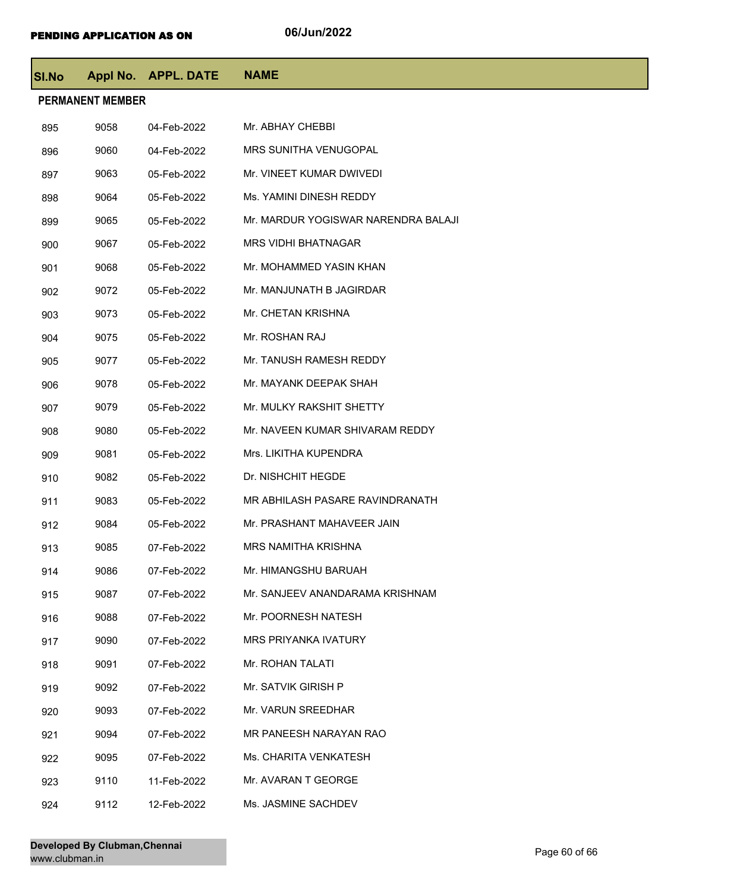| SI.No |                         | Appl No. APPL. DATE | <b>NAME</b>                         |
|-------|-------------------------|---------------------|-------------------------------------|
|       | <b>PERMANENT MEMBER</b> |                     |                                     |
| 895   | 9058                    | 04-Feb-2022         | Mr. ABHAY CHEBBI                    |
| 896   | 9060                    | 04-Feb-2022         | MRS SUNITHA VENUGOPAL               |
| 897   | 9063                    | 05-Feb-2022         | Mr. VINEET KUMAR DWIVEDI            |
| 898   | 9064                    | 05-Feb-2022         | Ms. YAMINI DINESH REDDY             |
| 899   | 9065                    | 05-Feb-2022         | Mr. MARDUR YOGISWAR NARENDRA BALAJI |
| 900   | 9067                    | 05-Feb-2022         | <b>MRS VIDHI BHATNAGAR</b>          |
| 901   | 9068                    | 05-Feb-2022         | Mr. MOHAMMED YASIN KHAN             |
| 902   | 9072                    | 05-Feb-2022         | Mr. MANJUNATH B JAGIRDAR            |
| 903   | 9073                    | 05-Feb-2022         | Mr. CHETAN KRISHNA                  |
| 904   | 9075                    | 05-Feb-2022         | Mr. ROSHAN RAJ                      |
| 905   | 9077                    | 05-Feb-2022         | Mr. TANUSH RAMESH REDDY             |
| 906   | 9078                    | 05-Feb-2022         | Mr. MAYANK DEEPAK SHAH              |
| 907   | 9079                    | 05-Feb-2022         | Mr. MULKY RAKSHIT SHETTY            |
| 908   | 9080                    | 05-Feb-2022         | Mr. NAVEEN KUMAR SHIVARAM REDDY     |
| 909   | 9081                    | 05-Feb-2022         | Mrs. LIKITHA KUPENDRA               |
| 910   | 9082                    | 05-Feb-2022         | Dr. NISHCHIT HEGDE                  |
| 911   | 9083                    | 05-Feb-2022         | MR ABHILASH PASARE RAVINDRANATH     |
| 912   | 9084                    | 05-Feb-2022         | Mr. PRASHANT MAHAVEER JAIN          |
| 913   | 9085                    | 07-Feb-2022         | <b>MRS NAMITHA KRISHNA</b>          |
| 914   | 9086                    | 07-Feb-2022         | Mr. HIMANGSHU BARUAH                |
| 915   | 9087                    | 07-Feb-2022         | Mr. SANJEEV ANANDARAMA KRISHNAM     |
| 916   | 9088                    | 07-Feb-2022         | Mr. POORNESH NATESH                 |
| 917   | 9090                    | 07-Feb-2022         | <b>MRS PRIYANKA IVATURY</b>         |
| 918   | 9091                    | 07-Feb-2022         | Mr. ROHAN TALATI                    |
| 919   | 9092                    | 07-Feb-2022         | Mr. SATVIK GIRISH P                 |
| 920   | 9093                    | 07-Feb-2022         | Mr. VARUN SREEDHAR                  |
| 921   | 9094                    | 07-Feb-2022         | MR PANEESH NARAYAN RAO              |
| 922   | 9095                    | 07-Feb-2022         | Ms. CHARITA VENKATESH               |
| 923   | 9110                    | 11-Feb-2022         | Mr. AVARAN T GEORGE                 |
| 924   | 9112                    | 12-Feb-2022         | Ms. JASMINE SACHDEV                 |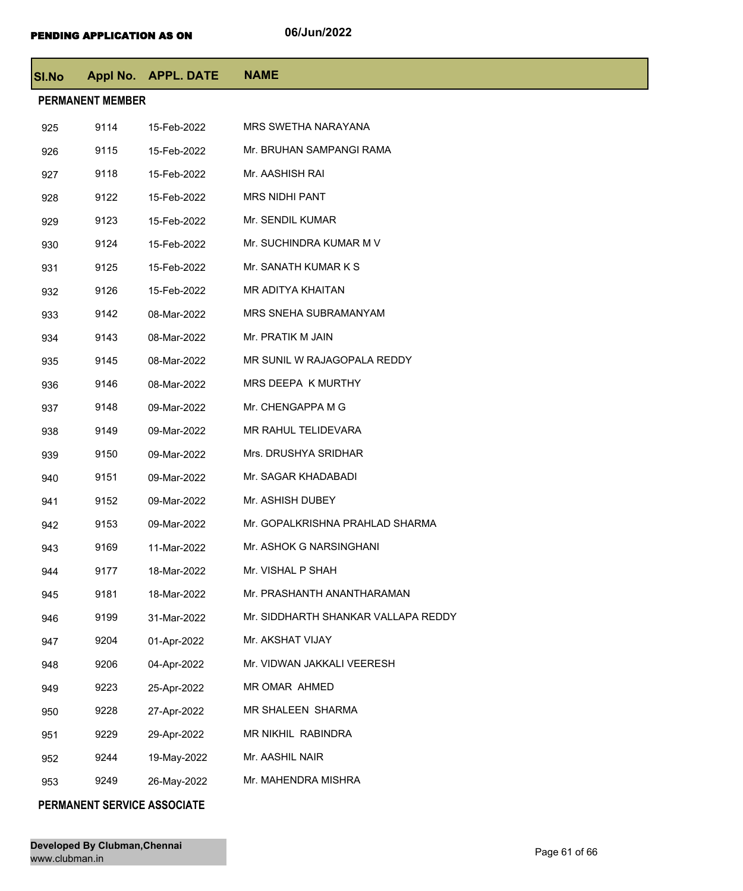| <b>SI.No</b> |                         | Appl No. APPL. DATE | <b>NAME</b>                         |  |  |
|--------------|-------------------------|---------------------|-------------------------------------|--|--|
|              | <b>PERMANENT MEMBER</b> |                     |                                     |  |  |
| 925          | 9114                    | 15-Feb-2022         | <b>MRS SWETHA NARAYANA</b>          |  |  |
| 926          | 9115                    | 15-Feb-2022         | Mr. BRUHAN SAMPANGI RAMA            |  |  |
| 927          | 9118                    | 15-Feb-2022         | Mr. AASHISH RAI                     |  |  |
| 928          | 9122                    | 15-Feb-2022         | <b>MRS NIDHI PANT</b>               |  |  |
| 929          | 9123                    | 15-Feb-2022         | Mr. SENDIL KUMAR                    |  |  |
| 930          | 9124                    | 15-Feb-2022         | Mr. SUCHINDRA KUMAR M V             |  |  |
| 931          | 9125                    | 15-Feb-2022         | Mr. SANATH KUMAR K S                |  |  |
| 932          | 9126                    | 15-Feb-2022         | MR ADITYA KHAITAN                   |  |  |
| 933          | 9142                    | 08-Mar-2022         | MRS SNEHA SUBRAMANYAM               |  |  |
| 934          | 9143                    | 08-Mar-2022         | Mr. PRATIK M JAIN                   |  |  |
| 935          | 9145                    | 08-Mar-2022         | MR SUNIL W RAJAGOPALA REDDY         |  |  |
| 936          | 9146                    | 08-Mar-2022         | MRS DEEPA K MURTHY                  |  |  |
| 937          | 9148                    | 09-Mar-2022         | Mr. CHENGAPPA M G                   |  |  |
| 938          | 9149                    | 09-Mar-2022         | MR RAHUL TELIDEVARA                 |  |  |
| 939          | 9150                    | 09-Mar-2022         | Mrs. DRUSHYA SRIDHAR                |  |  |
| 940          | 9151                    | 09-Mar-2022         | Mr. SAGAR KHADABADI                 |  |  |
| 941          | 9152                    | 09-Mar-2022         | Mr. ASHISH DUBEY                    |  |  |
| 942          | 9153                    | 09-Mar-2022         | Mr. GOPALKRISHNA PRAHLAD SHARMA     |  |  |
| 943          | 9169                    | 11-Mar-2022         | Mr. ASHOK G NARSINGHANI             |  |  |
| 944          | 9177                    | 18-Mar-2022         | Mr. VISHAL P SHAH                   |  |  |
| 945          | 9181                    | 18-Mar-2022         | Mr. PRASHANTH ANANTHARAMAN          |  |  |
| 946          | 9199                    | 31-Mar-2022         | Mr. SIDDHARTH SHANKAR VALLAPA REDDY |  |  |
| 947          | 9204                    | 01-Apr-2022         | Mr. AKSHAT VIJAY                    |  |  |
| 948          | 9206                    | 04-Apr-2022         | Mr. VIDWAN JAKKALI VEERESH          |  |  |
| 949          | 9223                    | 25-Apr-2022         | MR OMAR AHMED                       |  |  |
| 950          | 9228                    | 27-Apr-2022         | MR SHALEEN SHARMA                   |  |  |
| 951          | 9229                    | 29-Apr-2022         | MR NIKHIL RABINDRA                  |  |  |
| 952          | 9244                    | 19-May-2022         | Mr. AASHIL NAIR                     |  |  |
| 953          | 9249                    | 26-May-2022         | Mr. MAHENDRA MISHRA                 |  |  |

## **PERMANENT SERVICE ASSOCIATE**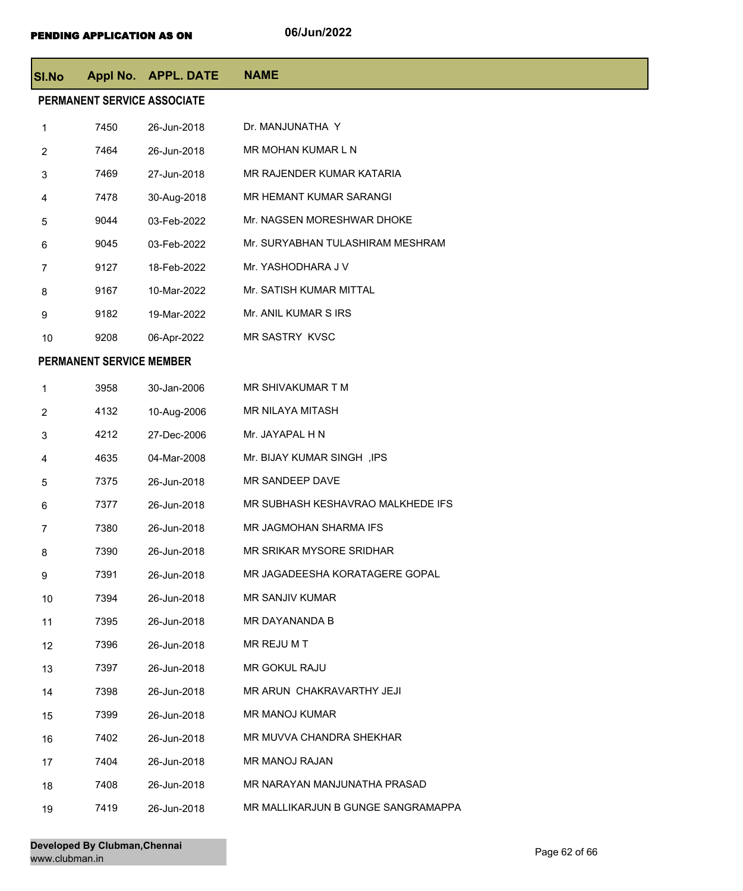| <b>SI.No</b>   |                                 | Appl No. APPL. DATE | <b>NAME</b>                        |  |  |
|----------------|---------------------------------|---------------------|------------------------------------|--|--|
|                | PERMANENT SERVICE ASSOCIATE     |                     |                                    |  |  |
| 1              | 7450                            | 26-Jun-2018         | Dr. MANJUNATHA Y                   |  |  |
| $\overline{2}$ | 7464                            | 26-Jun-2018         | MR MOHAN KUMAR L N                 |  |  |
| 3              | 7469                            | 27-Jun-2018         | MR RAJENDER KUMAR KATARIA          |  |  |
| 4              | 7478                            | 30-Aug-2018         | <b>MR HEMANT KUMAR SARANGI</b>     |  |  |
| 5              | 9044                            | 03-Feb-2022         | Mr. NAGSEN MORESHWAR DHOKE         |  |  |
| 6              | 9045                            | 03-Feb-2022         | Mr. SURYABHAN TULASHIRAM MESHRAM   |  |  |
| 7              | 9127                            | 18-Feb-2022         | Mr. YASHODHARA J V                 |  |  |
| 8              | 9167                            | 10-Mar-2022         | Mr. SATISH KUMAR MITTAL            |  |  |
| 9              | 9182                            | 19-Mar-2022         | Mr. ANIL KUMAR S IRS               |  |  |
| 10             | 9208                            | 06-Apr-2022         | MR SASTRY KVSC                     |  |  |
|                | <b>PERMANENT SERVICE MEMBER</b> |                     |                                    |  |  |
| 1              | 3958                            | 30-Jan-2006         | MR SHIVAKUMAR T M                  |  |  |
| $\overline{2}$ | 4132                            | 10-Aug-2006         | MR NILAYA MITASH                   |  |  |
| 3              | 4212                            | 27-Dec-2006         | Mr. JAYAPAL H N                    |  |  |
| 4              | 4635                            | 04-Mar-2008         | Mr. BIJAY KUMAR SINGH, IPS         |  |  |
| 5              | 7375                            | 26-Jun-2018         | MR SANDEEP DAVE                    |  |  |
| 6              | 7377                            | 26-Jun-2018         | MR SUBHASH KESHAVRAO MALKHEDE IFS  |  |  |
| 7              | 7380                            | 26-Jun-2018         | MR JAGMOHAN SHARMA IFS             |  |  |
| 8              | 7390                            | 26-Jun-2018         | MR SRIKAR MYSORE SRIDHAR           |  |  |
| 9              | 7391                            | 26-Jun-2018         | MR JAGADEESHA KORATAGERE GOPAL     |  |  |
| 10             | 7394                            | 26-Jun-2018         | MR SANJIV KUMAR                    |  |  |
| 11             | 7395                            | 26-Jun-2018         | MR DAYANANDA B                     |  |  |
| 12             | 7396                            | 26-Jun-2018         | MR REJU M T                        |  |  |
| 13             | 7397                            | 26-Jun-2018         | MR GOKUL RAJU                      |  |  |
| 14             | 7398                            | 26-Jun-2018         | MR ARUN CHAKRAVARTHY JEJI          |  |  |
| 15             | 7399                            | 26-Jun-2018         | <b>MR MANOJ KUMAR</b>              |  |  |
| 16             | 7402                            | 26-Jun-2018         | MR MUVVA CHANDRA SHEKHAR           |  |  |
| 17             | 7404                            | 26-Jun-2018         | MR MANOJ RAJAN                     |  |  |
| 18             | 7408                            | 26-Jun-2018         | MR NARAYAN MANJUNATHA PRASAD       |  |  |
| 19             | 7419                            | 26-Jun-2018         | MR MALLIKARJUN B GUNGE SANGRAMAPPA |  |  |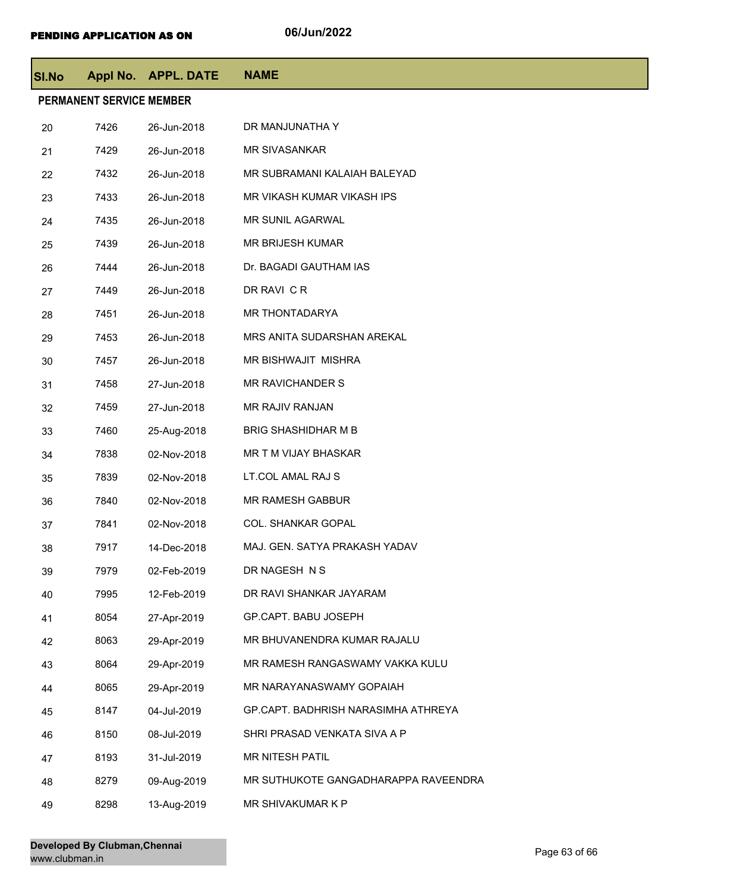| <b>SI.No</b> |                                 | Appl No. APPL. DATE | <b>NAME</b>                          |
|--------------|---------------------------------|---------------------|--------------------------------------|
|              | <b>PERMANENT SERVICE MEMBER</b> |                     |                                      |
| 20           | 7426                            | 26-Jun-2018         | DR MANJUNATHA Y                      |
| 21           | 7429                            | 26-Jun-2018         | <b>MR SIVASANKAR</b>                 |
| 22           | 7432                            | 26-Jun-2018         | MR SUBRAMANI KALAIAH BALEYAD         |
| 23           | 7433                            | 26-Jun-2018         | MR VIKASH KUMAR VIKASH IPS           |
| 24           | 7435                            | 26-Jun-2018         | <b>MR SUNIL AGARWAL</b>              |
| 25           | 7439                            | 26-Jun-2018         | MR BRIJESH KUMAR                     |
| 26           | 7444                            | 26-Jun-2018         | Dr. BAGADI GAUTHAM IAS               |
| 27           | 7449                            | 26-Jun-2018         | DR RAVI C R                          |
| 28           | 7451                            | 26-Jun-2018         | MR THONTADARYA                       |
| 29           | 7453                            | 26-Jun-2018         | MRS ANITA SUDARSHAN AREKAL           |
| 30           | 7457                            | 26-Jun-2018         | MR BISHWAJIT MISHRA                  |
| 31           | 7458                            | 27-Jun-2018         | MR RAVICHANDER S                     |
| 32           | 7459                            | 27-Jun-2018         | MR RAJIV RANJAN                      |
| 33           | 7460                            | 25-Aug-2018         | <b>BRIG SHASHIDHAR M B</b>           |
| 34           | 7838                            | 02-Nov-2018         | MR T M VIJAY BHASKAR                 |
| 35           | 7839                            | 02-Nov-2018         | LT.COL AMAL RAJ S                    |
| 36           | 7840                            | 02-Nov-2018         | <b>MR RAMESH GABBUR</b>              |
| 37           | 7841                            | 02-Nov-2018         | COL. SHANKAR GOPAL                   |
| 38           | 7917                            | 14-Dec-2018         | MAJ. GEN. SATYA PRAKASH YADAV        |
| 39           | 7979                            | 02-Feb-2019         | DR NAGESH N S                        |
| 40           | 7995                            | 12-Feb-2019         | DR RAVI SHANKAR JAYARAM              |
| 41           | 8054                            | 27-Apr-2019         | GP.CAPT. BABU JOSEPH                 |
| 42           | 8063                            | 29-Apr-2019         | MR BHUVANENDRA KUMAR RAJALU          |
| 43           | 8064                            | 29-Apr-2019         | MR RAMESH RANGASWAMY VAKKA KULU      |
| 44           | 8065                            | 29-Apr-2019         | MR NARAYANASWAMY GOPAIAH             |
| 45           | 8147                            | 04-Jul-2019         | GP.CAPT. BADHRISH NARASIMHA ATHREYA  |
| 46           | 8150                            | 08-Jul-2019         | SHRI PRASAD VENKATA SIVA A P         |
| 47           | 8193                            | 31-Jul-2019         | MR NITESH PATIL                      |
| 48           | 8279                            | 09-Aug-2019         | MR SUTHUKOTE GANGADHARAPPA RAVEENDRA |
| 49           | 8298                            | 13-Aug-2019         | MR SHIVAKUMAR K P                    |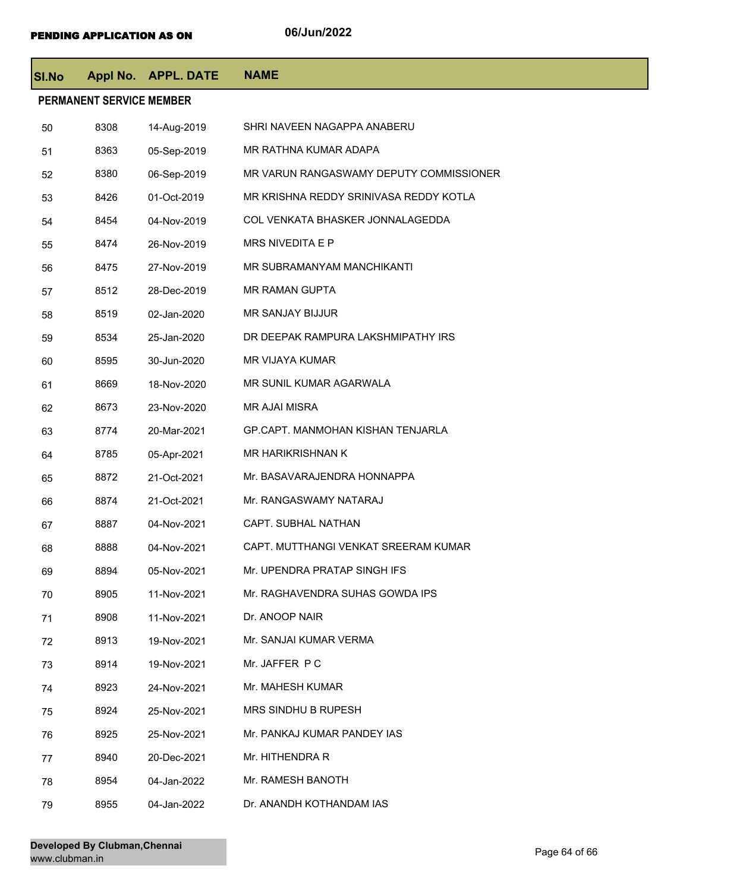| <b>SI.No</b> |                                 | Appl No. APPL. DATE | <b>NAME</b>                             |
|--------------|---------------------------------|---------------------|-----------------------------------------|
|              | <b>PERMANENT SERVICE MEMBER</b> |                     |                                         |
| 50           | 8308                            | 14-Aug-2019         | SHRI NAVEEN NAGAPPA ANABERU             |
| 51           | 8363                            | 05-Sep-2019         | MR RATHNA KUMAR ADAPA                   |
| 52           | 8380                            | 06-Sep-2019         | MR VARUN RANGASWAMY DEPUTY COMMISSIONER |
| 53           | 8426                            | 01-Oct-2019         | MR KRISHNA REDDY SRINIVASA REDDY KOTLA  |
| 54           | 8454                            | 04-Nov-2019         | COL VENKATA BHASKER JONNALAGEDDA        |
| 55           | 8474                            | 26-Nov-2019         | MRS NIVEDITA E P                        |
| 56           | 8475                            | 27-Nov-2019         | MR SUBRAMANYAM MANCHIKANTI              |
| 57           | 8512                            | 28-Dec-2019         | <b>MR RAMAN GUPTA</b>                   |
| 58           | 8519                            | 02-Jan-2020         | MR SANJAY BIJJUR                        |
| 59           | 8534                            | 25-Jan-2020         | DR DEEPAK RAMPURA LAKSHMIPATHY IRS      |
| 60           | 8595                            | 30-Jun-2020         | MR VIJAYA KUMAR                         |
| 61           | 8669                            | 18-Nov-2020         | MR SUNIL KUMAR AGARWALA                 |
| 62           | 8673                            | 23-Nov-2020         | <b>MR AJAI MISRA</b>                    |
| 63           | 8774                            | 20-Mar-2021         | GP.CAPT. MANMOHAN KISHAN TENJARLA       |
| 64           | 8785                            | 05-Apr-2021         | MR HARIKRISHNAN K                       |
| 65           | 8872                            | 21-Oct-2021         | Mr. BASAVARAJENDRA HONNAPPA             |
| 66           | 8874                            | 21-Oct-2021         | Mr. RANGASWAMY NATARAJ                  |
| 67           | 8887                            | 04-Nov-2021         | CAPT. SUBHAL NATHAN                     |
| 68           | 8888                            | 04-Nov-2021         | CAPT. MUTTHANGI VENKAT SREERAM KUMAR    |
| 69           | 8894                            | 05-Nov-2021         | Mr. UPENDRA PRATAP SINGH IFS            |
| 70           | 8905                            | 11-Nov-2021         | Mr. RAGHAVENDRA SUHAS GOWDA IPS         |
| 71           | 8908                            | 11-Nov-2021         | Dr. ANOOP NAIR                          |
| 72           | 8913                            | 19-Nov-2021         | Mr. SANJAI KUMAR VERMA                  |
| 73           | 8914                            | 19-Nov-2021         | Mr. JAFFER PC                           |
| 74           | 8923                            | 24-Nov-2021         | Mr. MAHESH KUMAR                        |
| 75           | 8924                            | 25-Nov-2021         | MRS SINDHU B RUPESH                     |
| 76           | 8925                            | 25-Nov-2021         | Mr. PANKAJ KUMAR PANDEY IAS             |
| 77           | 8940                            | 20-Dec-2021         | Mr. HITHENDRA R                         |
| 78           | 8954                            | 04-Jan-2022         | Mr. RAMESH BANOTH                       |
| 79           | 8955                            | 04-Jan-2022         | Dr. ANANDH KOTHANDAM IAS                |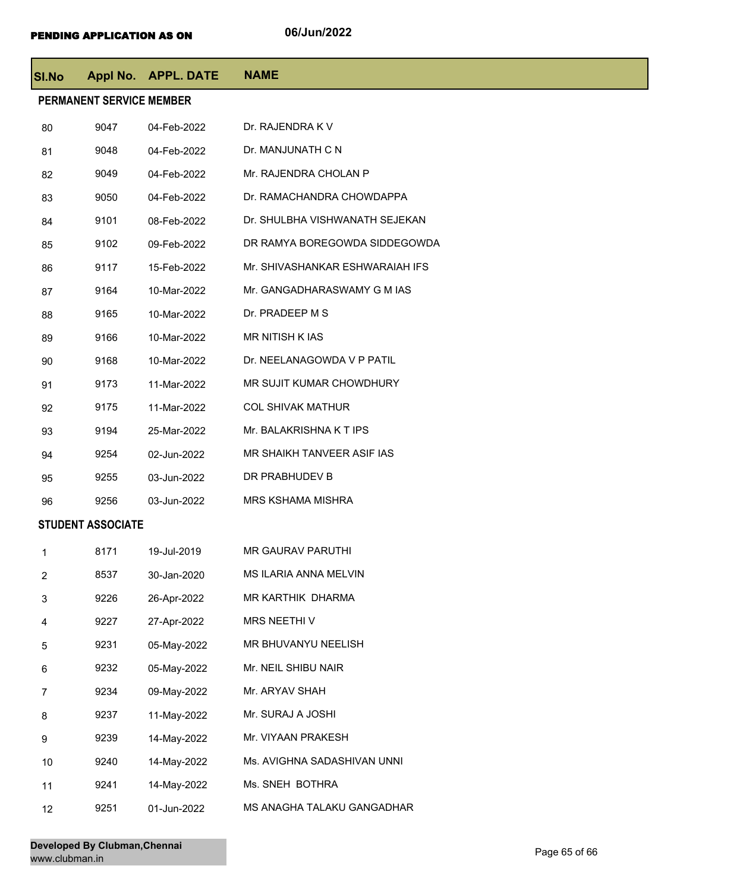| SI.No                    |                          | Appl No. APPL. DATE | <b>NAME</b>                     |  |  |
|--------------------------|--------------------------|---------------------|---------------------------------|--|--|
|                          | PERMANENT SERVICE MEMBER |                     |                                 |  |  |
| 80                       | 9047                     | 04-Feb-2022         | Dr. RAJENDRA K V                |  |  |
| 81                       | 9048                     | 04-Feb-2022         | Dr. MANJUNATH C N               |  |  |
| 82                       | 9049                     | 04-Feb-2022         | Mr. RAJENDRA CHOLAN P           |  |  |
| 83                       | 9050                     | 04-Feb-2022         | Dr. RAMACHANDRA CHOWDAPPA       |  |  |
| 84                       | 9101                     | 08-Feb-2022         | Dr. SHULBHA VISHWANATH SEJEKAN  |  |  |
| 85                       | 9102                     | 09-Feb-2022         | DR RAMYA BOREGOWDA SIDDEGOWDA   |  |  |
| 86                       | 9117                     | 15-Feb-2022         | Mr. SHIVASHANKAR ESHWARAIAH IFS |  |  |
| 87                       | 9164                     | 10-Mar-2022         | Mr. GANGADHARASWAMY G M IAS     |  |  |
| 88                       | 9165                     | 10-Mar-2022         | Dr. PRADEEP M S                 |  |  |
| 89                       | 9166                     | 10-Mar-2022         | <b>MR NITISH KIAS</b>           |  |  |
| 90                       | 9168                     | 10-Mar-2022         | Dr. NEELANAGOWDA V P PATIL      |  |  |
| 91                       | 9173                     | 11-Mar-2022         | MR SUJIT KUMAR CHOWDHURY        |  |  |
| 92                       | 9175                     | 11-Mar-2022         | <b>COL SHIVAK MATHUR</b>        |  |  |
| 93                       | 9194                     | 25-Mar-2022         | Mr. BALAKRISHNA K T IPS         |  |  |
| 94                       | 9254                     | 02-Jun-2022         | MR SHAIKH TANVEER ASIF IAS      |  |  |
| 95                       | 9255                     | 03-Jun-2022         | DR PRABHUDEV B                  |  |  |
| 96                       | 9256                     | 03-Jun-2022         | <b>MRS KSHAMA MISHRA</b>        |  |  |
| <b>STUDENT ASSOCIATE</b> |                          |                     |                                 |  |  |
| 1                        | 8171                     | 19-Jul-2019         | <b>MR GAURAV PARUTHI</b>        |  |  |
| $\overline{c}$           | 8537                     | 30-Jan-2020         | MS ILARIA ANNA MELVIN           |  |  |
| 3                        | 9226                     | 26-Apr-2022         | MR KARTHIK DHARMA               |  |  |
| 4                        | 9227                     | 27-Apr-2022         | MRS NEETHI V                    |  |  |
| 5                        | 9231                     | 05-May-2022         | MR BHUVANYU NEELISH             |  |  |
| 6                        | 9232                     | 05-May-2022         | Mr. NEIL SHIBU NAIR             |  |  |
| 7                        | 9234                     | 09-May-2022         | Mr. ARYAV SHAH                  |  |  |
| 8                        | 9237                     | 11-May-2022         | Mr. SURAJ A JOSHI               |  |  |
| 9                        | 9239                     | 14-May-2022         | Mr. VIYAAN PRAKESH              |  |  |
| 10                       | 9240                     | 14-May-2022         | Ms. AVIGHNA SADASHIVAN UNNI     |  |  |
| 11                       | 9241                     | 14-May-2022         | Ms. SNEH BOTHRA                 |  |  |
| 12                       | 9251                     | 01-Jun-2022         | MS ANAGHA TALAKU GANGADHAR      |  |  |